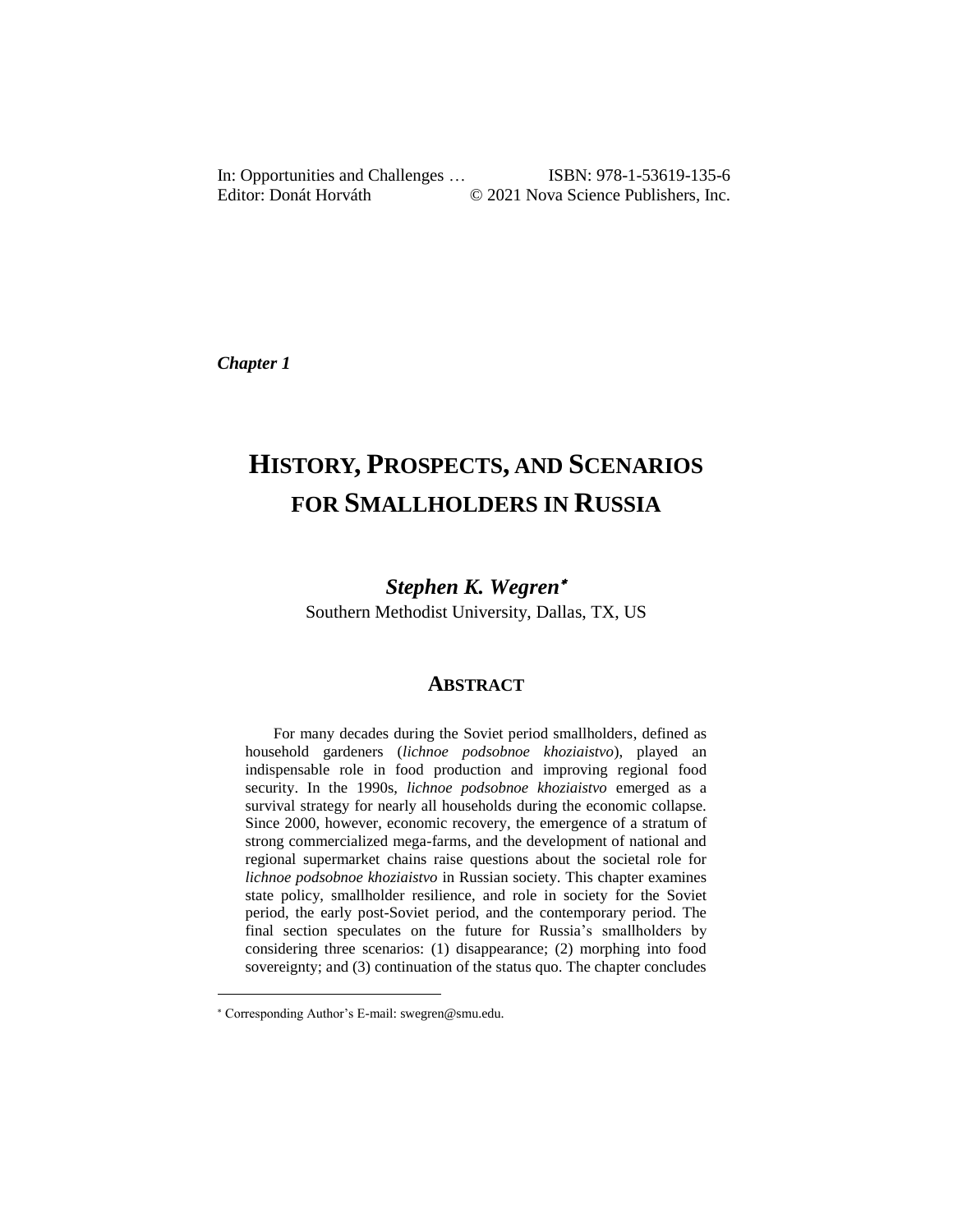In: Opportunities and Challenges … ISBN: 978-1-53619-135-6 Editor: Donát Horváth © 2021 Nova Science Publishers, Inc.

*Chapter 1*

# **HISTORY, PROSPECTS, AND SCENARIOS FOR SMALLHOLDERS IN RUSSIA**

*Stephen K. Wegren*

Southern Methodist University, Dallas, TX, US

## **ABSTRACT**

For many decades during the Soviet period smallholders, defined as household gardeners (*lichnoe podsobnoe khoziaistvo*), played an indispensable role in food production and improving regional food security. In the 1990s, *lichnoe podsobnoe khoziaistvo* emerged as a survival strategy for nearly all households during the economic collapse. Since 2000, however, economic recovery, the emergence of a stratum of strong commercialized mega-farms, and the development of national and regional supermarket chains raise questions about the societal role for *lichnoe podsobnoe khoziaistvo* in Russian society. This chapter examines state policy, smallholder resilience, and role in society for the Soviet period, the early post-Soviet period, and the contemporary period. The final section speculates on the future for Russia's smallholders by considering three scenarios: (1) disappearance; (2) morphing into food sovereignty; and (3) continuation of the status quo. The chapter concludes

l

Corresponding Author's E-mail: swegren@smu.edu.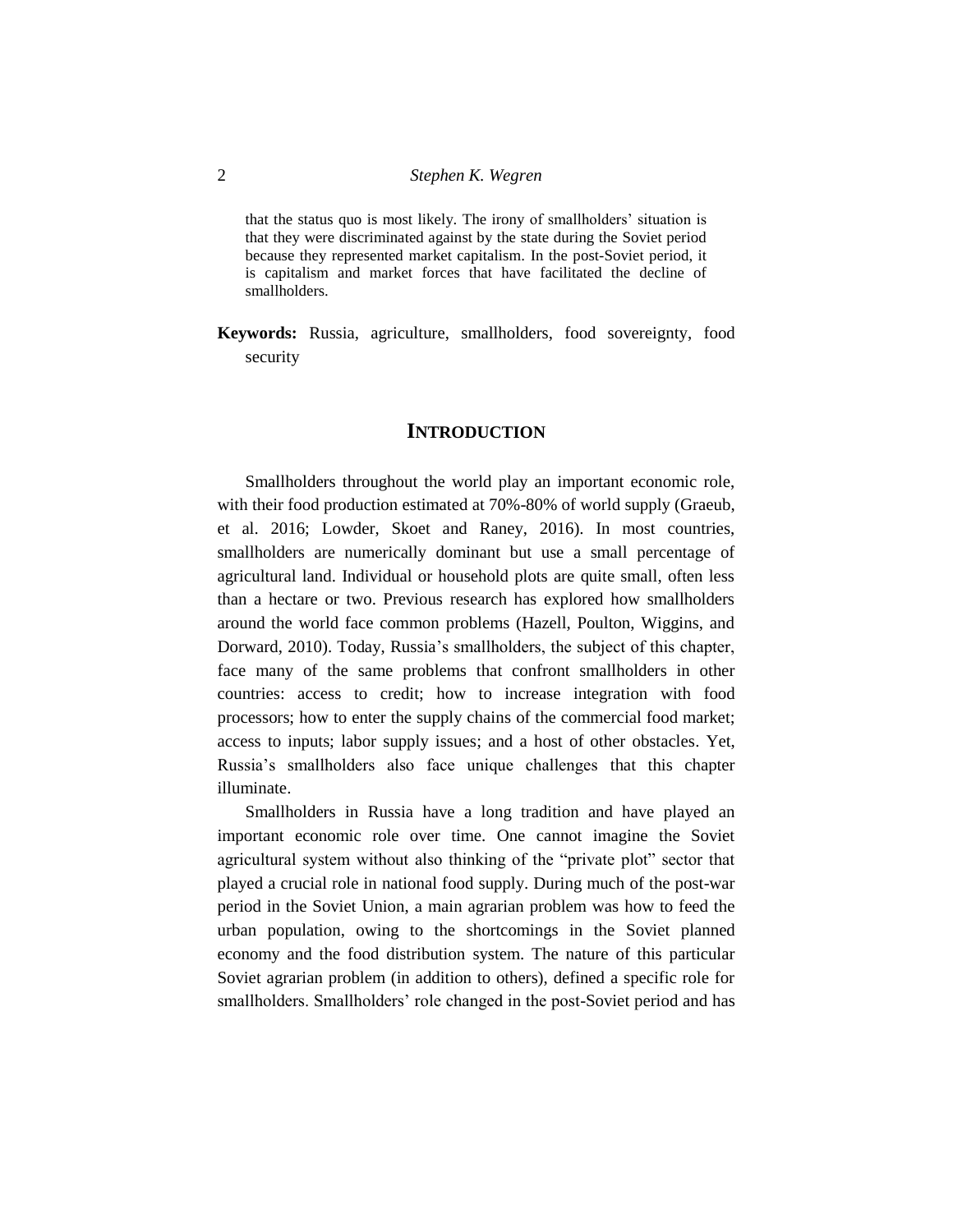that the status quo is most likely. The irony of smallholders' situation is that they were discriminated against by the state during the Soviet period because they represented market capitalism. In the post-Soviet period, it is capitalism and market forces that have facilitated the decline of smallholders.

**Keywords:** Russia, agriculture, smallholders, food sovereignty, food security

## **INTRODUCTION**

Smallholders throughout the world play an important economic role, with their food production estimated at 70%-80% of world supply (Graeub, et al. 2016; Lowder, Skoet and Raney, 2016). In most countries, smallholders are numerically dominant but use a small percentage of agricultural land. Individual or household plots are quite small, often less than a hectare or two. Previous research has explored how smallholders around the world face common problems (Hazell, Poulton, Wiggins, and Dorward, 2010). Today, Russia's smallholders, the subject of this chapter, face many of the same problems that confront smallholders in other countries: access to credit; how to increase integration with food processors; how to enter the supply chains of the commercial food market; access to inputs; labor supply issues; and a host of other obstacles. Yet, Russia's smallholders also face unique challenges that this chapter illuminate.

Smallholders in Russia have a long tradition and have played an important economic role over time. One cannot imagine the Soviet agricultural system without also thinking of the "private plot" sector that played a crucial role in national food supply. During much of the post-war period in the Soviet Union, a main agrarian problem was how to feed the urban population, owing to the shortcomings in the Soviet planned economy and the food distribution system. The nature of this particular Soviet agrarian problem (in addition to others), defined a specific role for smallholders. Smallholders' role changed in the post-Soviet period and has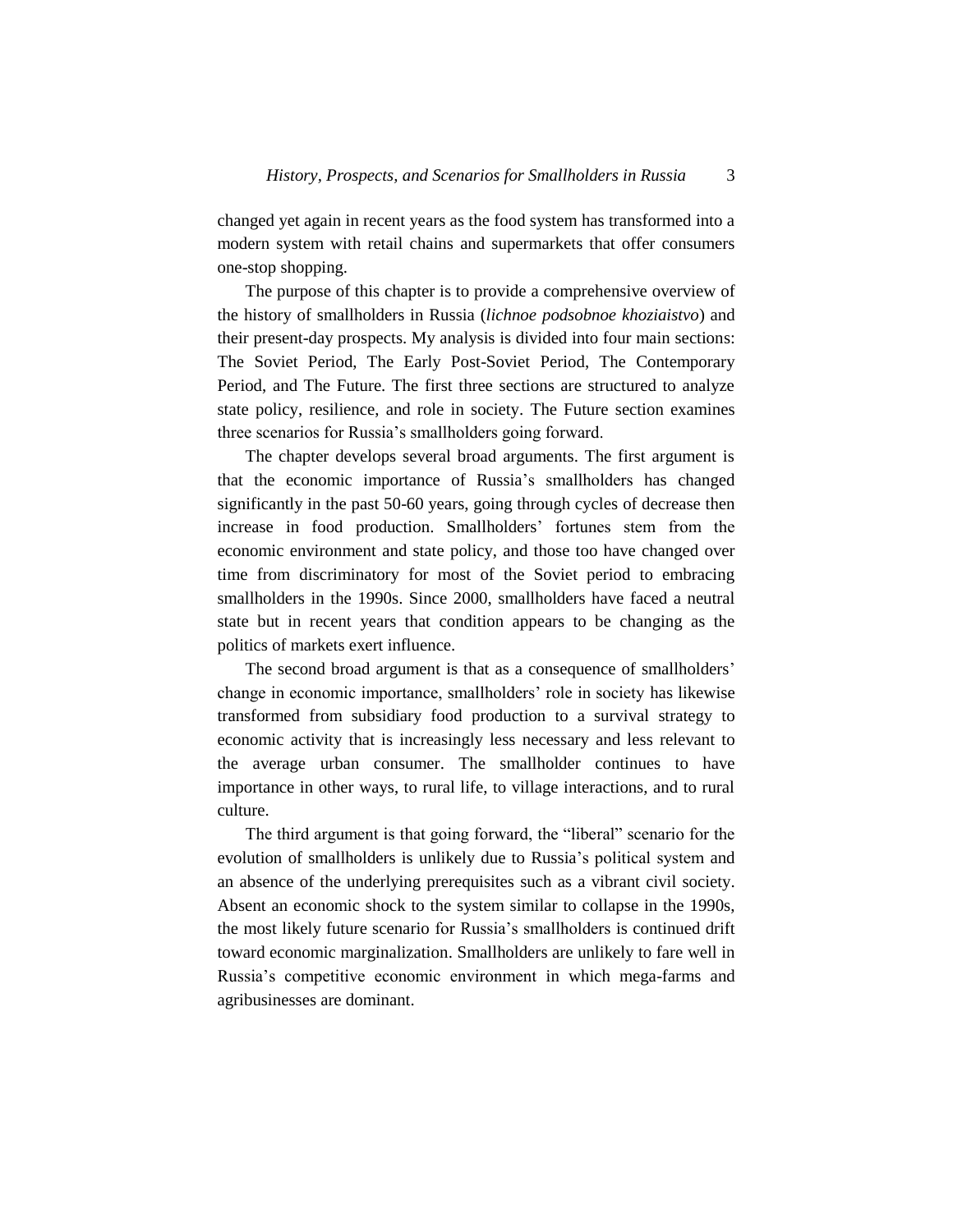changed yet again in recent years as the food system has transformed into a modern system with retail chains and supermarkets that offer consumers one-stop shopping.

The purpose of this chapter is to provide a comprehensive overview of the history of smallholders in Russia (*lichnoe podsobnoe khoziaistvo*) and their present-day prospects. My analysis is divided into four main sections: The Soviet Period, The Early Post-Soviet Period, The Contemporary Period, and The Future. The first three sections are structured to analyze state policy, resilience, and role in society. The Future section examines three scenarios for Russia's smallholders going forward.

The chapter develops several broad arguments. The first argument is that the economic importance of Russia's smallholders has changed significantly in the past 50-60 years, going through cycles of decrease then increase in food production. Smallholders' fortunes stem from the economic environment and state policy, and those too have changed over time from discriminatory for most of the Soviet period to embracing smallholders in the 1990s. Since 2000, smallholders have faced a neutral state but in recent years that condition appears to be changing as the politics of markets exert influence.

The second broad argument is that as a consequence of smallholders' change in economic importance, smallholders' role in society has likewise transformed from subsidiary food production to a survival strategy to economic activity that is increasingly less necessary and less relevant to the average urban consumer. The smallholder continues to have importance in other ways, to rural life, to village interactions, and to rural culture.

The third argument is that going forward, the "liberal" scenario for the evolution of smallholders is unlikely due to Russia's political system and an absence of the underlying prerequisites such as a vibrant civil society. Absent an economic shock to the system similar to collapse in the 1990s, the most likely future scenario for Russia's smallholders is continued drift toward economic marginalization. Smallholders are unlikely to fare well in Russia's competitive economic environment in which mega-farms and agribusinesses are dominant.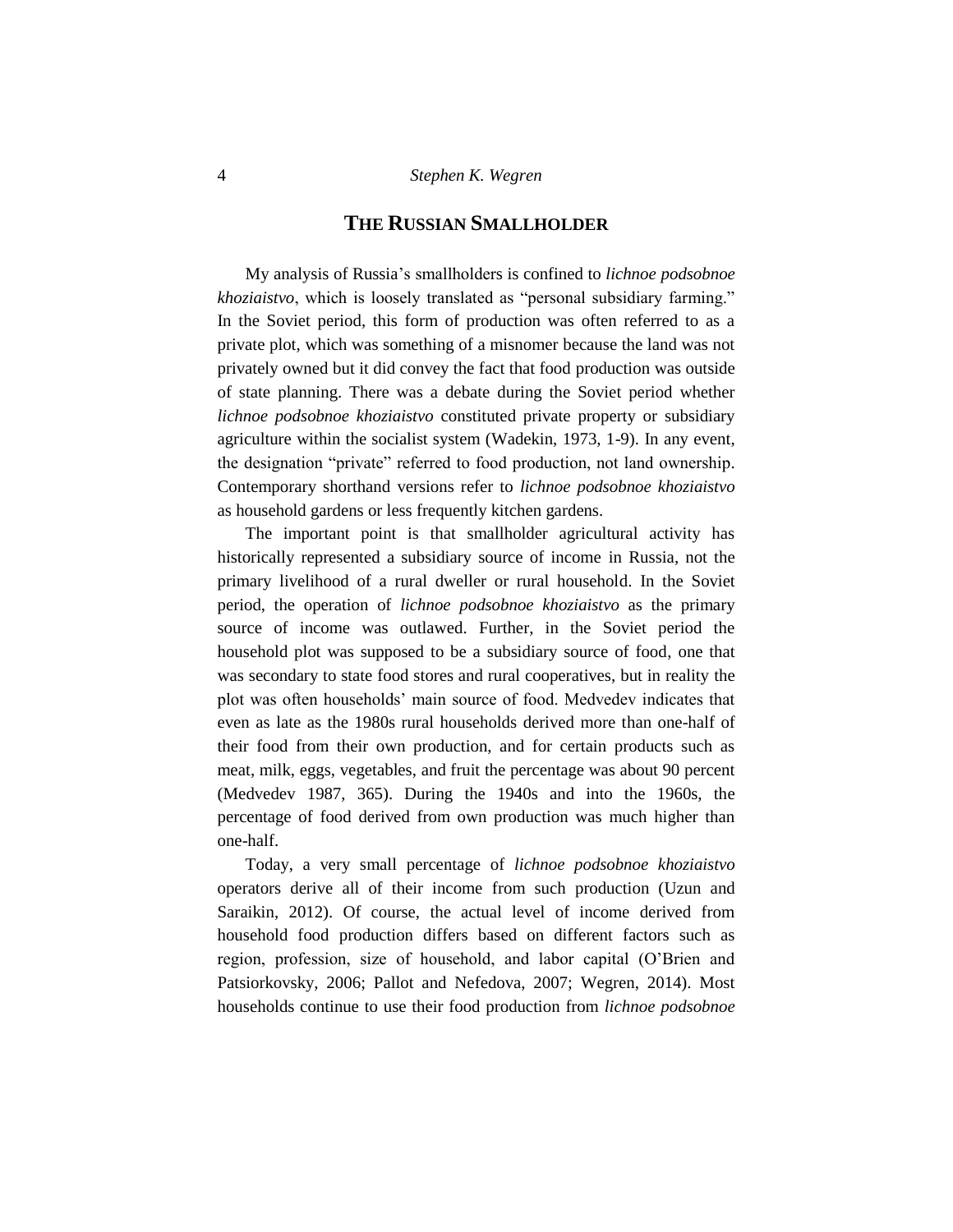## **THE RUSSIAN SMALLHOLDER**

My analysis of Russia's smallholders is confined to *lichnoe podsobnoe khoziaistvo*, which is loosely translated as "personal subsidiary farming." In the Soviet period, this form of production was often referred to as a private plot, which was something of a misnomer because the land was not privately owned but it did convey the fact that food production was outside of state planning. There was a debate during the Soviet period whether *lichnoe podsobnoe khoziaistvo* constituted private property or subsidiary agriculture within the socialist system (Wadekin, 1973, 1-9). In any event, the designation "private" referred to food production, not land ownership. Contemporary shorthand versions refer to *lichnoe podsobnoe khoziaistvo* as household gardens or less frequently kitchen gardens.

The important point is that smallholder agricultural activity has historically represented a subsidiary source of income in Russia, not the primary livelihood of a rural dweller or rural household. In the Soviet period, the operation of *lichnoe podsobnoe khoziaistvo* as the primary source of income was outlawed. Further, in the Soviet period the household plot was supposed to be a subsidiary source of food, one that was secondary to state food stores and rural cooperatives, but in reality the plot was often households' main source of food. Medvedev indicates that even as late as the 1980s rural households derived more than one-half of their food from their own production, and for certain products such as meat, milk, eggs, vegetables, and fruit the percentage was about 90 percent (Medvedev 1987, 365). During the 1940s and into the 1960s, the percentage of food derived from own production was much higher than one-half.

Today, a very small percentage of *lichnoe podsobnoe khoziaistvo* operators derive all of their income from such production (Uzun and Saraikin, 2012). Of course, the actual level of income derived from household food production differs based on different factors such as region, profession, size of household, and labor capital (O'Brien and Patsiorkovsky, 2006; Pallot and Nefedova, 2007; Wegren, 2014). Most households continue to use their food production from *lichnoe podsobnoe*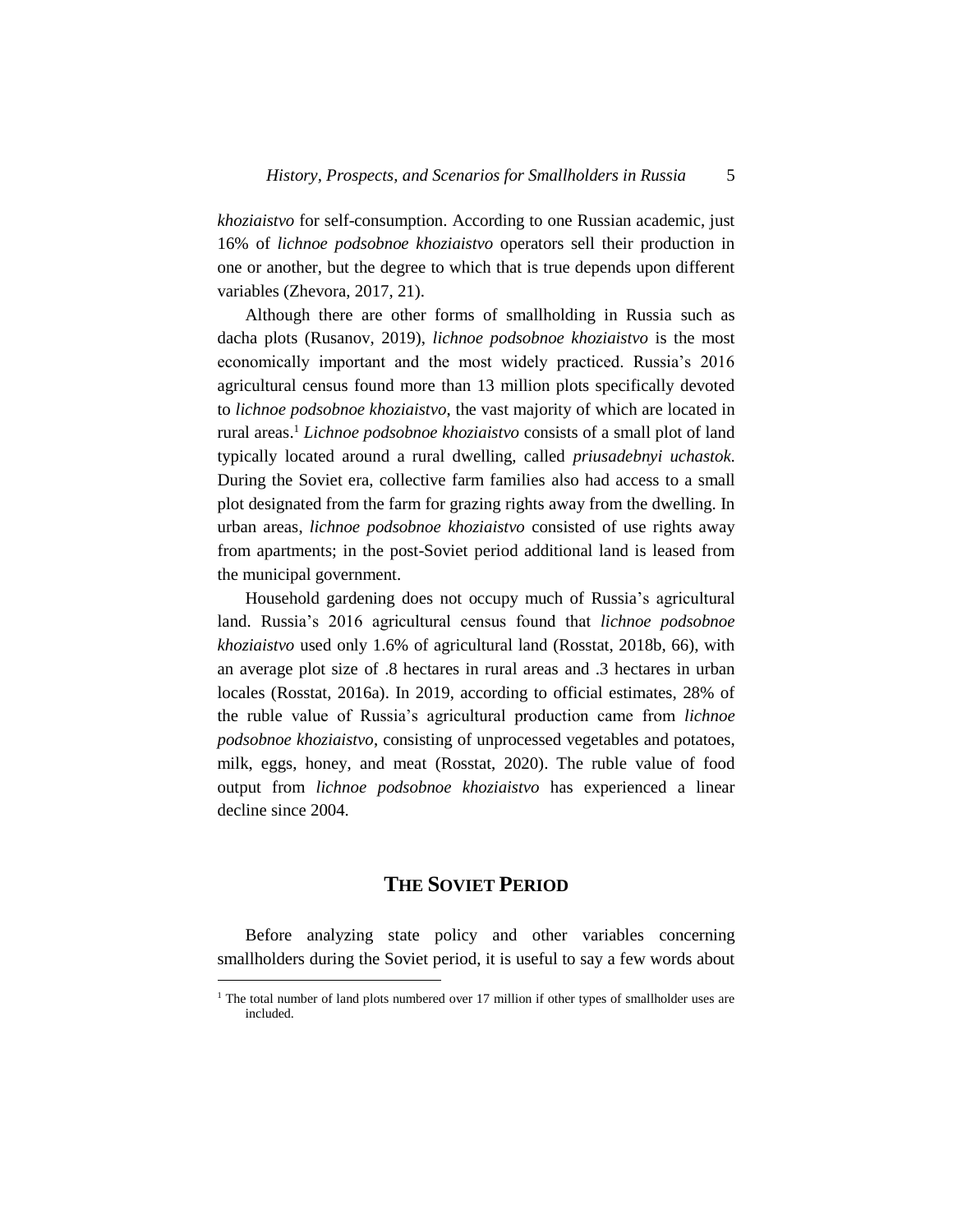*khoziaistvo* for self-consumption. According to one Russian academic, just 16% of *lichnoe podsobnoe khoziaistvo* operators sell their production in one or another, but the degree to which that is true depends upon different variables (Zhevora, 2017, 21).

Although there are other forms of smallholding in Russia such as dacha plots (Rusanov, 2019), *lichnoe podsobnoe khoziaistvo* is the most economically important and the most widely practiced. Russia's 2016 agricultural census found more than 13 million plots specifically devoted to *lichnoe podsobnoe khoziaistvo*, the vast majority of which are located in rural areas. <sup>1</sup> *Lichnoe podsobnoe khoziaistvo* consists of a small plot of land typically located around a rural dwelling, called *priusadebnyi uchastok*. During the Soviet era, collective farm families also had access to a small plot designated from the farm for grazing rights away from the dwelling. In urban areas, *lichnoe podsobnoe khoziaistvo* consisted of use rights away from apartments; in the post-Soviet period additional land is leased from the municipal government.

Household gardening does not occupy much of Russia's agricultural land. Russia's 2016 agricultural census found that *lichnoe podsobnoe khoziaistvo* used only 1.6% of agricultural land (Rosstat, 2018b, 66), with an average plot size of .8 hectares in rural areas and .3 hectares in urban locales (Rosstat, 2016a). In 2019, according to official estimates, 28% of the ruble value of Russia's agricultural production came from *lichnoe podsobnoe khoziaistvo*, consisting of unprocessed vegetables and potatoes, milk, eggs, honey, and meat (Rosstat, 2020). The ruble value of food output from *lichnoe podsobnoe khoziaistvo* has experienced a linear decline since 2004.

# **THE SOVIET PERIOD**

Before analyzing state policy and other variables concerning smallholders during the Soviet period, it is useful to say a few words about

l

<sup>&</sup>lt;sup>1</sup> The total number of land plots numbered over 17 million if other types of smallholder uses are included.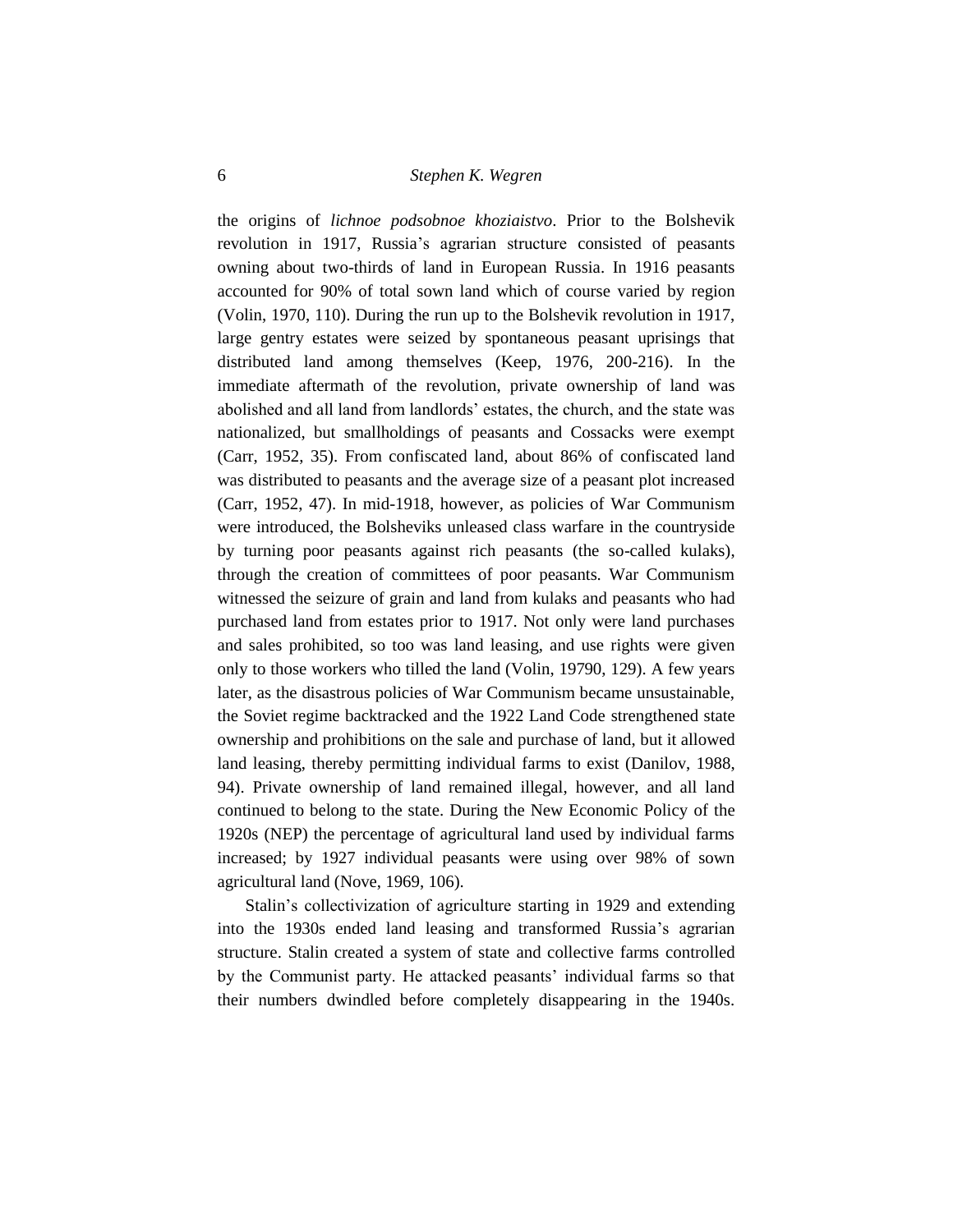the origins of *lichnoe podsobnoe khoziaistvo*. Prior to the Bolshevik revolution in 1917, Russia's agrarian structure consisted of peasants owning about two-thirds of land in European Russia. In 1916 peasants accounted for 90% of total sown land which of course varied by region (Volin, 1970, 110). During the run up to the Bolshevik revolution in 1917, large gentry estates were seized by spontaneous peasant uprisings that distributed land among themselves (Keep, 1976, 200-216). In the immediate aftermath of the revolution, private ownership of land was abolished and all land from landlords' estates, the church, and the state was nationalized, but smallholdings of peasants and Cossacks were exempt (Carr, 1952, 35). From confiscated land, about 86% of confiscated land was distributed to peasants and the average size of a peasant plot increased (Carr, 1952, 47). In mid-1918, however, as policies of War Communism were introduced, the Bolsheviks unleased class warfare in the countryside by turning poor peasants against rich peasants (the so-called kulaks), through the creation of committees of poor peasants. War Communism witnessed the seizure of grain and land from kulaks and peasants who had purchased land from estates prior to 1917. Not only were land purchases and sales prohibited, so too was land leasing, and use rights were given only to those workers who tilled the land (Volin, 19790, 129). A few years later, as the disastrous policies of War Communism became unsustainable, the Soviet regime backtracked and the 1922 Land Code strengthened state ownership and prohibitions on the sale and purchase of land, but it allowed land leasing, thereby permitting individual farms to exist (Danilov, 1988, 94). Private ownership of land remained illegal, however, and all land continued to belong to the state. During the New Economic Policy of the 1920s (NEP) the percentage of agricultural land used by individual farms increased; by 1927 individual peasants were using over 98% of sown agricultural land (Nove, 1969, 106).

Stalin's collectivization of agriculture starting in 1929 and extending into the 1930s ended land leasing and transformed Russia's agrarian structure. Stalin created a system of state and collective farms controlled by the Communist party. He attacked peasants' individual farms so that their numbers dwindled before completely disappearing in the 1940s.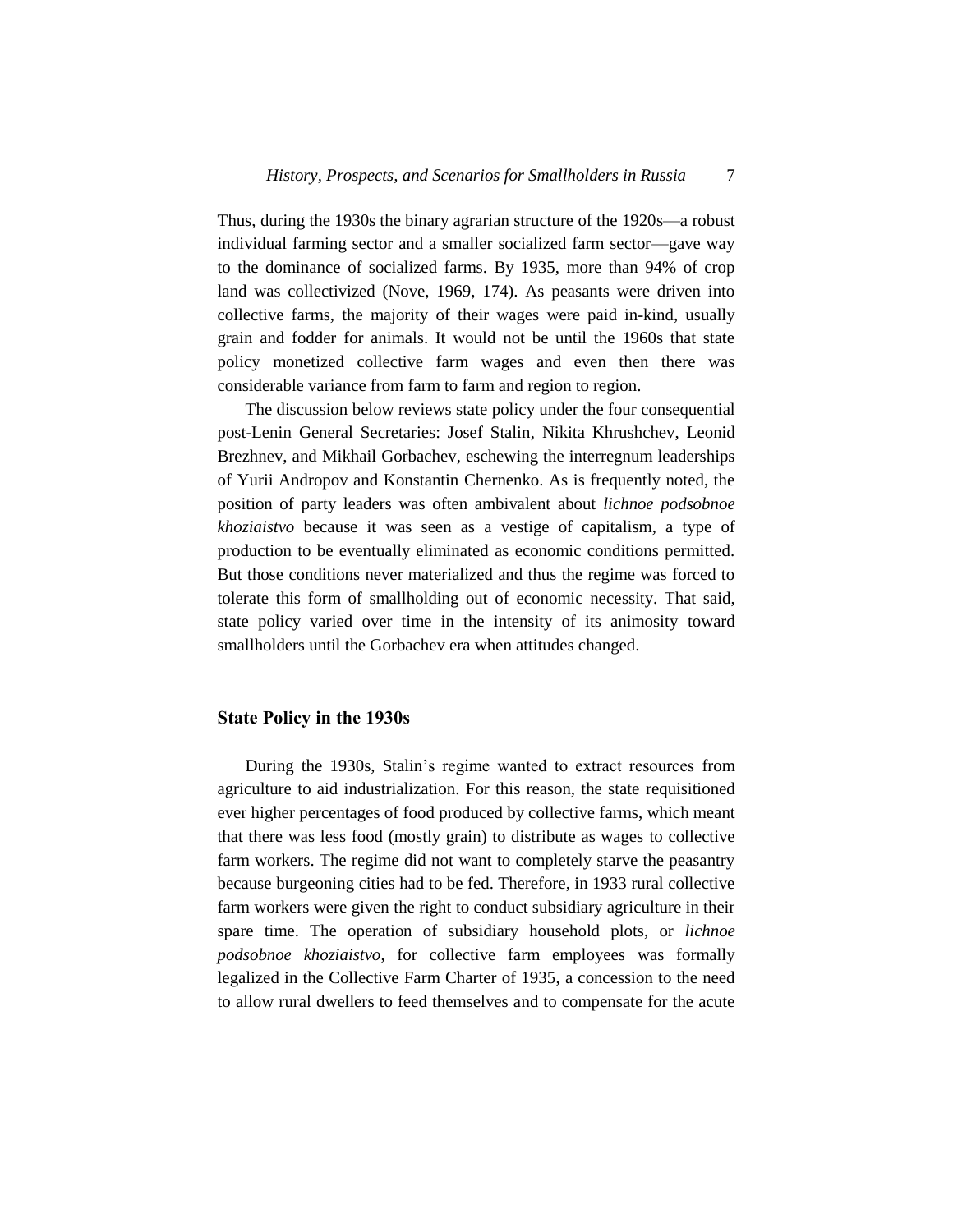Thus, during the 1930s the binary agrarian structure of the 1920s—a robust individual farming sector and a smaller socialized farm sector—gave way to the dominance of socialized farms. By 1935, more than 94% of crop land was collectivized (Nove, 1969, 174). As peasants were driven into collective farms, the majority of their wages were paid in-kind, usually grain and fodder for animals. It would not be until the 1960s that state policy monetized collective farm wages and even then there was considerable variance from farm to farm and region to region.

The discussion below reviews state policy under the four consequential post-Lenin General Secretaries: Josef Stalin, Nikita Khrushchev, Leonid Brezhnev, and Mikhail Gorbachev, eschewing the interregnum leaderships of Yurii Andropov and Konstantin Chernenko. As is frequently noted, the position of party leaders was often ambivalent about *lichnoe podsobnoe khoziaistvo* because it was seen as a vestige of capitalism, a type of production to be eventually eliminated as economic conditions permitted. But those conditions never materialized and thus the regime was forced to tolerate this form of smallholding out of economic necessity. That said, state policy varied over time in the intensity of its animosity toward smallholders until the Gorbachev era when attitudes changed.

## **State Policy in the 1930s**

During the 1930s, Stalin's regime wanted to extract resources from agriculture to aid industrialization. For this reason, the state requisitioned ever higher percentages of food produced by collective farms, which meant that there was less food (mostly grain) to distribute as wages to collective farm workers. The regime did not want to completely starve the peasantry because burgeoning cities had to be fed. Therefore, in 1933 rural collective farm workers were given the right to conduct subsidiary agriculture in their spare time. The operation of subsidiary household plots, or *lichnoe podsobnoe khoziaistvo*, for collective farm employees was formally legalized in the Collective Farm Charter of 1935, a concession to the need to allow rural dwellers to feed themselves and to compensate for the acute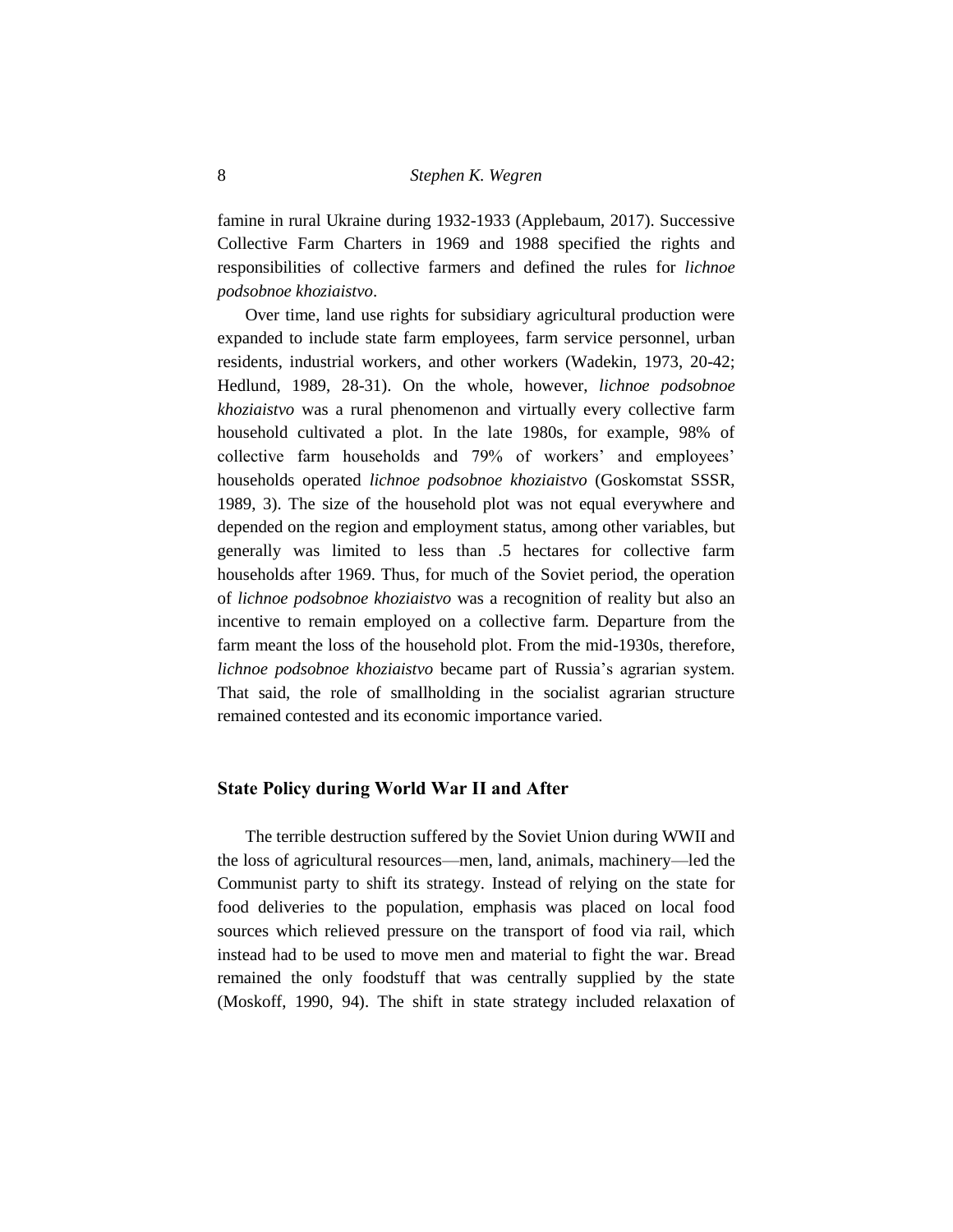famine in rural Ukraine during 1932-1933 (Applebaum, 2017). Successive Collective Farm Charters in 1969 and 1988 specified the rights and responsibilities of collective farmers and defined the rules for *lichnoe podsobnoe khoziaistvo*.

Over time, land use rights for subsidiary agricultural production were expanded to include state farm employees, farm service personnel, urban residents, industrial workers, and other workers (Wadekin, 1973, 20-42; Hedlund, 1989, 28-31). On the whole, however, *lichnoe podsobnoe khoziaistvo* was a rural phenomenon and virtually every collective farm household cultivated a plot. In the late 1980s, for example, 98% of collective farm households and 79% of workers' and employees' households operated *lichnoe podsobnoe khoziaistvo* (Goskomstat SSSR, 1989, 3). The size of the household plot was not equal everywhere and depended on the region and employment status, among other variables, but generally was limited to less than .5 hectares for collective farm households after 1969. Thus, for much of the Soviet period, the operation of *lichnoe podsobnoe khoziaistvo* was a recognition of reality but also an incentive to remain employed on a collective farm. Departure from the farm meant the loss of the household plot. From the mid-1930s, therefore, *lichnoe podsobnoe khoziaistvo* became part of Russia's agrarian system. That said, the role of smallholding in the socialist agrarian structure remained contested and its economic importance varied.

#### **State Policy during World War II and After**

The terrible destruction suffered by the Soviet Union during WWII and the loss of agricultural resources—men, land, animals, machinery—led the Communist party to shift its strategy. Instead of relying on the state for food deliveries to the population, emphasis was placed on local food sources which relieved pressure on the transport of food via rail, which instead had to be used to move men and material to fight the war. Bread remained the only foodstuff that was centrally supplied by the state (Moskoff, 1990, 94). The shift in state strategy included relaxation of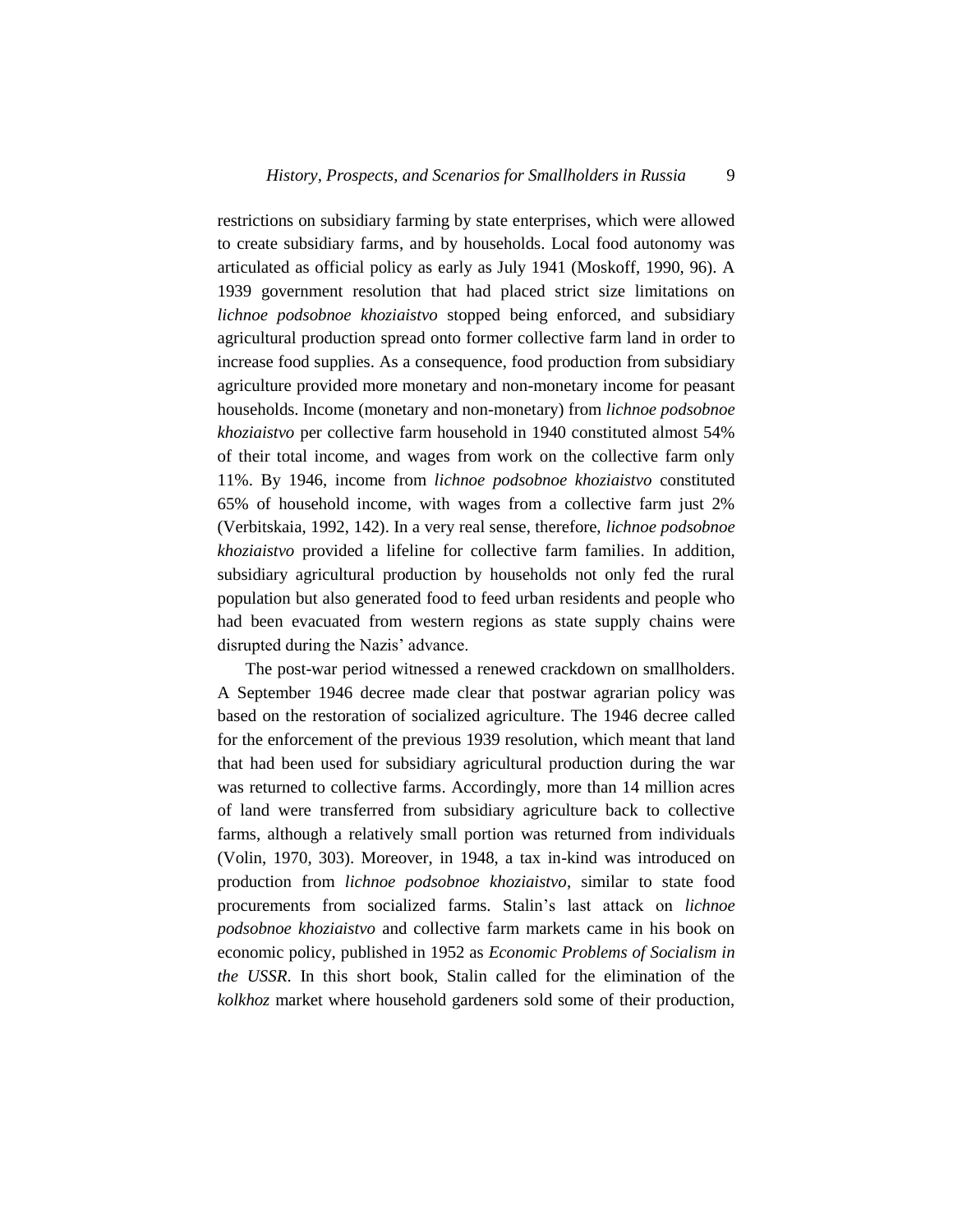restrictions on subsidiary farming by state enterprises, which were allowed to create subsidiary farms, and by households. Local food autonomy was articulated as official policy as early as July 1941 (Moskoff, 1990, 96). A 1939 government resolution that had placed strict size limitations on *lichnoe podsobnoe khoziaistvo* stopped being enforced, and subsidiary agricultural production spread onto former collective farm land in order to increase food supplies. As a consequence, food production from subsidiary agriculture provided more monetary and non-monetary income for peasant households. Income (monetary and non-monetary) from *lichnoe podsobnoe khoziaistvo* per collective farm household in 1940 constituted almost 54% of their total income, and wages from work on the collective farm only 11%. By 1946, income from *lichnoe podsobnoe khoziaistvo* constituted 65% of household income, with wages from a collective farm just 2% (Verbitskaia, 1992, 142). In a very real sense, therefore, *lichnoe podsobnoe khoziaistvo* provided a lifeline for collective farm families. In addition, subsidiary agricultural production by households not only fed the rural population but also generated food to feed urban residents and people who had been evacuated from western regions as state supply chains were disrupted during the Nazis' advance.

The post-war period witnessed a renewed crackdown on smallholders. A September 1946 decree made clear that postwar agrarian policy was based on the restoration of socialized agriculture. The 1946 decree called for the enforcement of the previous 1939 resolution, which meant that land that had been used for subsidiary agricultural production during the war was returned to collective farms. Accordingly, more than 14 million acres of land were transferred from subsidiary agriculture back to collective farms, although a relatively small portion was returned from individuals (Volin, 1970, 303). Moreover, in 1948, a tax in-kind was introduced on production from *lichnoe podsobnoe khoziaistvo*, similar to state food procurements from socialized farms. Stalin's last attack on *lichnoe podsobnoe khoziaistvo* and collective farm markets came in his book on economic policy, published in 1952 as *Economic Problems of Socialism in the USSR*. In this short book, Stalin called for the elimination of the *kolkhoz* market where household gardeners sold some of their production,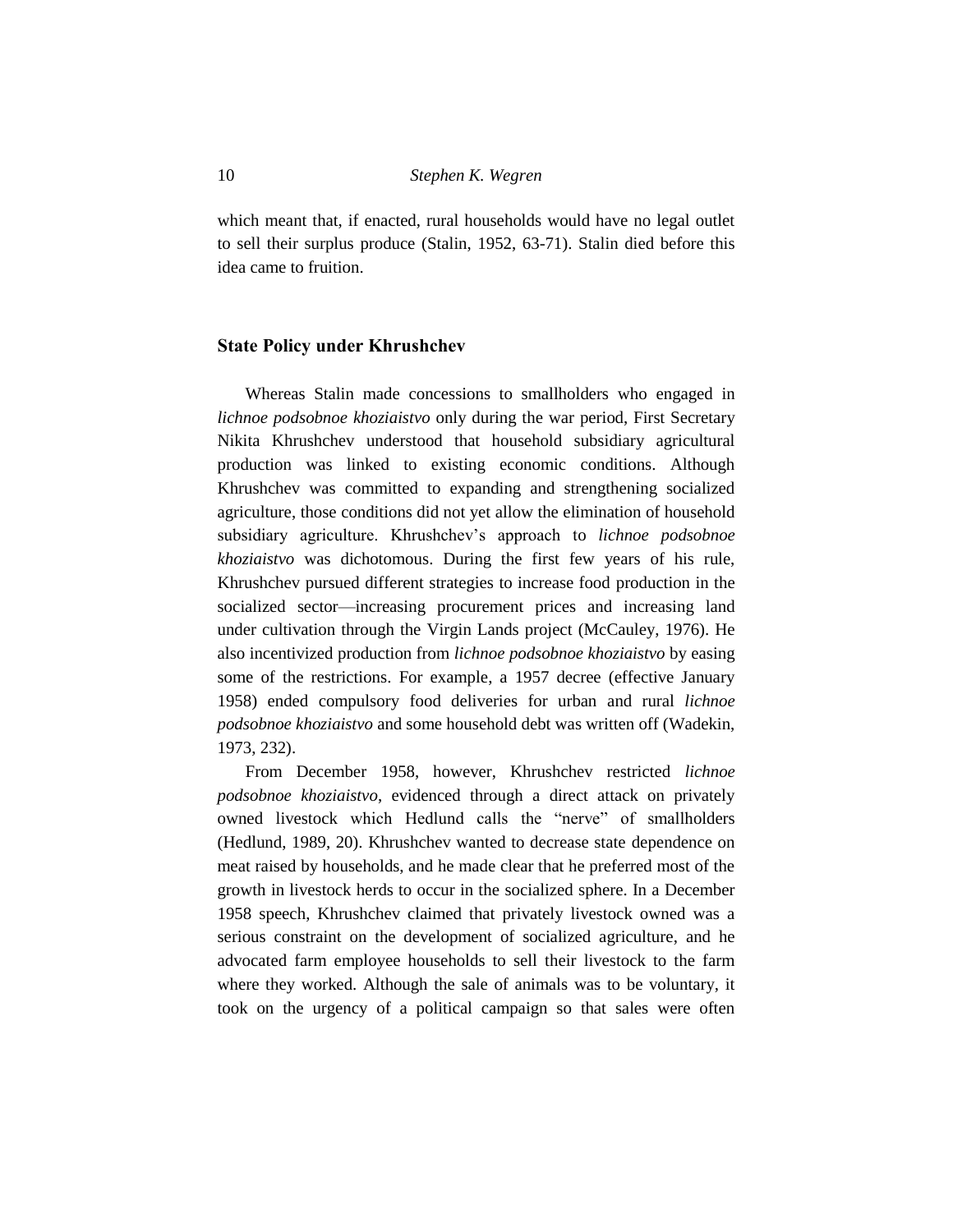which meant that, if enacted, rural households would have no legal outlet to sell their surplus produce (Stalin, 1952, 63-71). Stalin died before this idea came to fruition.

## **State Policy under Khrushchev**

Whereas Stalin made concessions to smallholders who engaged in *lichnoe podsobnoe khoziaistvo* only during the war period, First Secretary Nikita Khrushchev understood that household subsidiary agricultural production was linked to existing economic conditions. Although Khrushchev was committed to expanding and strengthening socialized agriculture, those conditions did not yet allow the elimination of household subsidiary agriculture. Khrushchev's approach to *lichnoe podsobnoe khoziaistvo* was dichotomous. During the first few years of his rule, Khrushchev pursued different strategies to increase food production in the socialized sector—increasing procurement prices and increasing land under cultivation through the Virgin Lands project (McCauley, 1976). He also incentivized production from *lichnoe podsobnoe khoziaistvo* by easing some of the restrictions. For example, a 1957 decree (effective January 1958) ended compulsory food deliveries for urban and rural *lichnoe podsobnoe khoziaistvo* and some household debt was written off (Wadekin, 1973, 232).

From December 1958, however, Khrushchev restricted *lichnoe podsobnoe khoziaistvo*, evidenced through a direct attack on privately owned livestock which Hedlund calls the "nerve" of smallholders (Hedlund, 1989, 20). Khrushchev wanted to decrease state dependence on meat raised by households, and he made clear that he preferred most of the growth in livestock herds to occur in the socialized sphere. In a December 1958 speech, Khrushchev claimed that privately livestock owned was a serious constraint on the development of socialized agriculture, and he advocated farm employee households to sell their livestock to the farm where they worked. Although the sale of animals was to be voluntary, it took on the urgency of a political campaign so that sales were often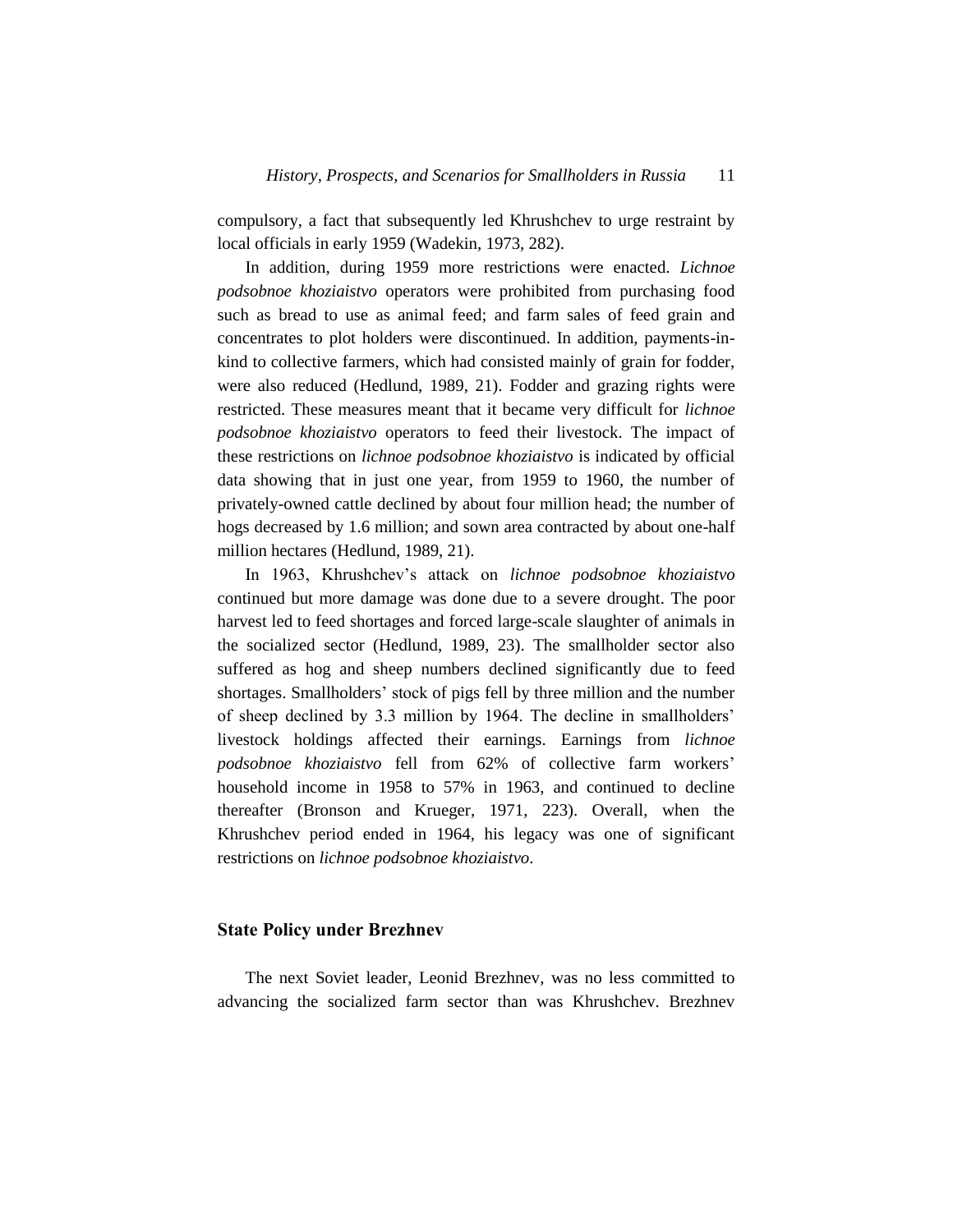compulsory, a fact that subsequently led Khrushchev to urge restraint by local officials in early 1959 (Wadekin, 1973, 282).

In addition, during 1959 more restrictions were enacted. *Lichnoe podsobnoe khoziaistvo* operators were prohibited from purchasing food such as bread to use as animal feed; and farm sales of feed grain and concentrates to plot holders were discontinued. In addition, payments-inkind to collective farmers, which had consisted mainly of grain for fodder, were also reduced (Hedlund, 1989, 21). Fodder and grazing rights were restricted. These measures meant that it became very difficult for *lichnoe podsobnoe khoziaistvo* operators to feed their livestock. The impact of these restrictions on *lichnoe podsobnoe khoziaistvo* is indicated by official data showing that in just one year, from 1959 to 1960, the number of privately-owned cattle declined by about four million head; the number of hogs decreased by 1.6 million; and sown area contracted by about one-half million hectares (Hedlund, 1989, 21).

In 1963, Khrushchev's attack on *lichnoe podsobnoe khoziaistvo* continued but more damage was done due to a severe drought. The poor harvest led to feed shortages and forced large-scale slaughter of animals in the socialized sector (Hedlund, 1989, 23). The smallholder sector also suffered as hog and sheep numbers declined significantly due to feed shortages. Smallholders' stock of pigs fell by three million and the number of sheep declined by 3.3 million by 1964. The decline in smallholders' livestock holdings affected their earnings. Earnings from *lichnoe podsobnoe khoziaistvo* fell from 62% of collective farm workers' household income in 1958 to 57% in 1963, and continued to decline thereafter (Bronson and Krueger, 1971, 223). Overall, when the Khrushchev period ended in 1964, his legacy was one of significant restrictions on *lichnoe podsobnoe khoziaistvo*.

#### **State Policy under Brezhnev**

The next Soviet leader, Leonid Brezhnev, was no less committed to advancing the socialized farm sector than was Khrushchev. Brezhnev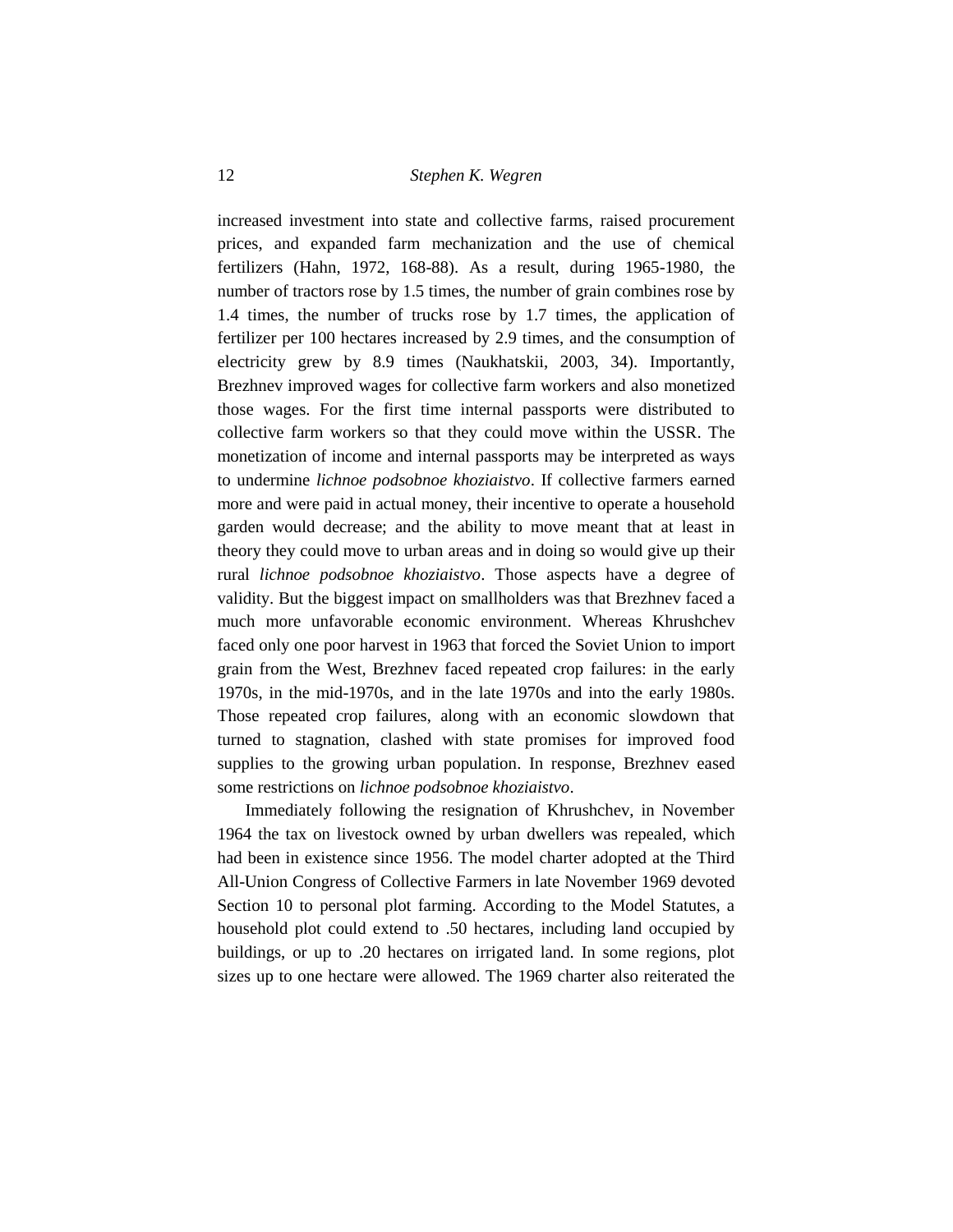increased investment into state and collective farms, raised procurement prices, and expanded farm mechanization and the use of chemical fertilizers (Hahn, 1972, 168-88). As a result, during 1965-1980, the number of tractors rose by 1.5 times, the number of grain combines rose by 1.4 times, the number of trucks rose by 1.7 times, the application of fertilizer per 100 hectares increased by 2.9 times, and the consumption of electricity grew by 8.9 times (Naukhatskii, 2003, 34). Importantly, Brezhnev improved wages for collective farm workers and also monetized those wages. For the first time internal passports were distributed to collective farm workers so that they could move within the USSR. The monetization of income and internal passports may be interpreted as ways to undermine *lichnoe podsobnoe khoziaistvo*. If collective farmers earned more and were paid in actual money, their incentive to operate a household garden would decrease; and the ability to move meant that at least in theory they could move to urban areas and in doing so would give up their rural *lichnoe podsobnoe khoziaistvo*. Those aspects have a degree of validity. But the biggest impact on smallholders was that Brezhnev faced a much more unfavorable economic environment. Whereas Khrushchev faced only one poor harvest in 1963 that forced the Soviet Union to import grain from the West, Brezhnev faced repeated crop failures: in the early 1970s, in the mid-1970s, and in the late 1970s and into the early 1980s. Those repeated crop failures, along with an economic slowdown that turned to stagnation, clashed with state promises for improved food supplies to the growing urban population. In response, Brezhnev eased some restrictions on *lichnoe podsobnoe khoziaistvo*.

Immediately following the resignation of Khrushchev, in November 1964 the tax on livestock owned by urban dwellers was repealed, which had been in existence since 1956. The model charter adopted at the Third All-Union Congress of Collective Farmers in late November 1969 devoted Section 10 to personal plot farming. According to the Model Statutes, a household plot could extend to .50 hectares, including land occupied by buildings, or up to .20 hectares on irrigated land. In some regions, plot sizes up to one hectare were allowed. The 1969 charter also reiterated the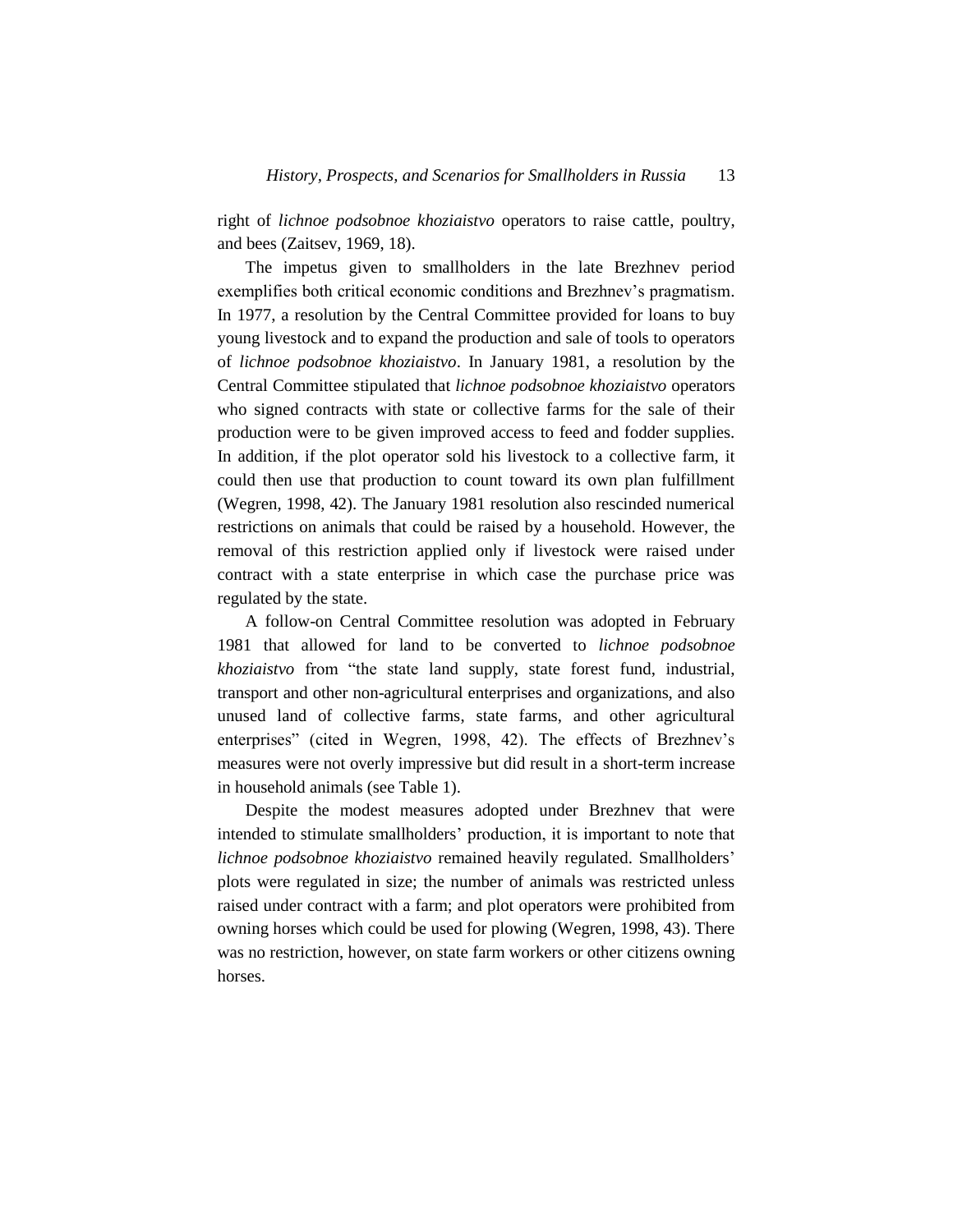right of *lichnoe podsobnoe khoziaistvo* operators to raise cattle, poultry, and bees (Zaitsev, 1969, 18).

The impetus given to smallholders in the late Brezhnev period exemplifies both critical economic conditions and Brezhnev's pragmatism. In 1977, a resolution by the Central Committee provided for loans to buy young livestock and to expand the production and sale of tools to operators of *lichnoe podsobnoe khoziaistvo*. In January 1981, a resolution by the Central Committee stipulated that *lichnoe podsobnoe khoziaistvo* operators who signed contracts with state or collective farms for the sale of their production were to be given improved access to feed and fodder supplies. In addition, if the plot operator sold his livestock to a collective farm, it could then use that production to count toward its own plan fulfillment (Wegren, 1998, 42). The January 1981 resolution also rescinded numerical restrictions on animals that could be raised by a household. However, the removal of this restriction applied only if livestock were raised under contract with a state enterprise in which case the purchase price was regulated by the state.

A follow-on Central Committee resolution was adopted in February 1981 that allowed for land to be converted to *lichnoe podsobnoe khoziaistvo* from "the state land supply, state forest fund, industrial, transport and other non-agricultural enterprises and organizations, and also unused land of collective farms, state farms, and other agricultural enterprises" (cited in Wegren, 1998, 42). The effects of Brezhnev's measures were not overly impressive but did result in a short-term increase in household animals (see Table 1).

Despite the modest measures adopted under Brezhnev that were intended to stimulate smallholders' production, it is important to note that *lichnoe podsobnoe khoziaistvo* remained heavily regulated. Smallholders' plots were regulated in size; the number of animals was restricted unless raised under contract with a farm; and plot operators were prohibited from owning horses which could be used for plowing (Wegren, 1998, 43). There was no restriction, however, on state farm workers or other citizens owning horses.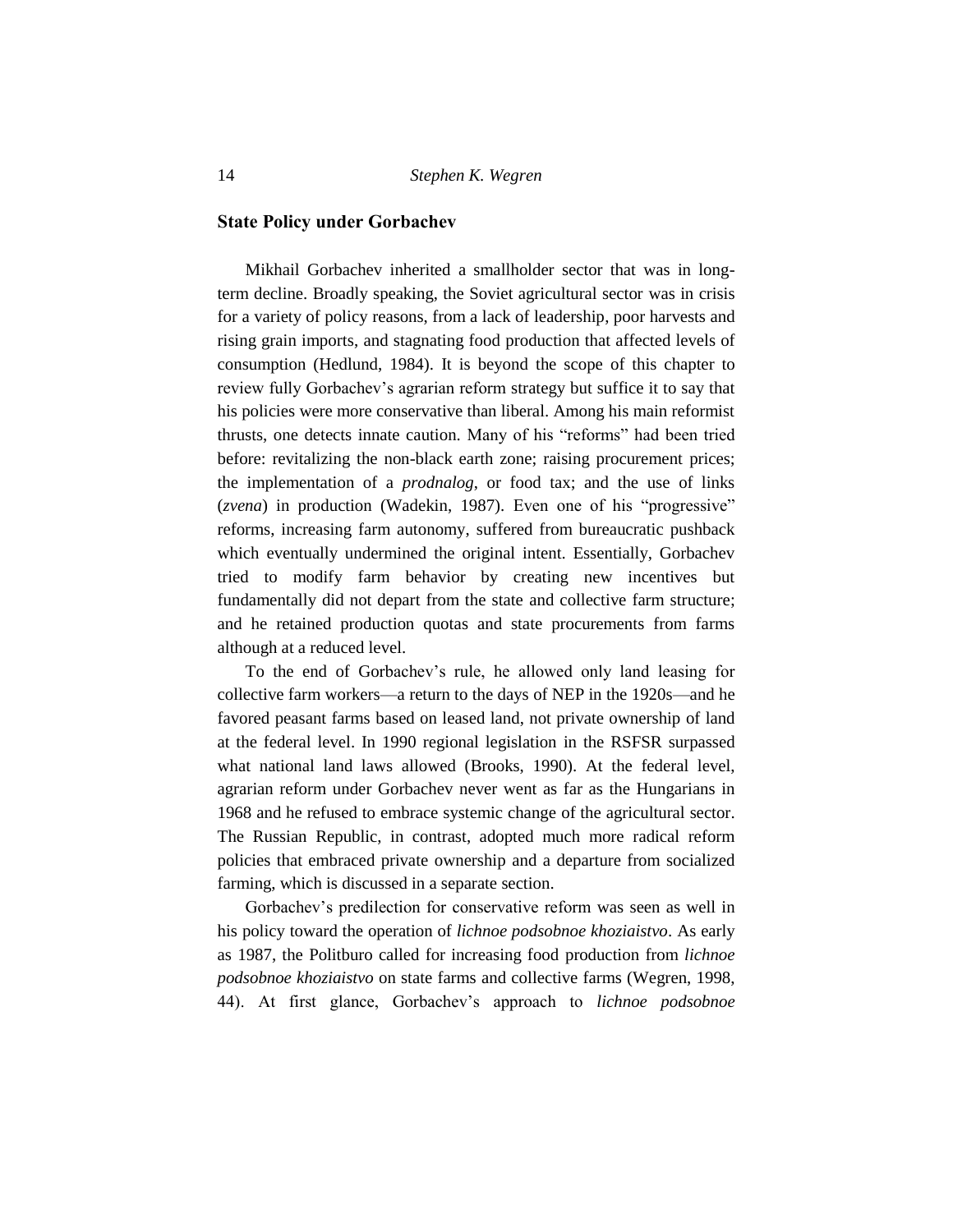## **State Policy under Gorbachev**

Mikhail Gorbachev inherited a smallholder sector that was in longterm decline. Broadly speaking, the Soviet agricultural sector was in crisis for a variety of policy reasons, from a lack of leadership, poor harvests and rising grain imports, and stagnating food production that affected levels of consumption (Hedlund, 1984). It is beyond the scope of this chapter to review fully Gorbachev's agrarian reform strategy but suffice it to say that his policies were more conservative than liberal. Among his main reformist thrusts, one detects innate caution. Many of his "reforms" had been tried before: revitalizing the non-black earth zone; raising procurement prices; the implementation of a *prodnalog*, or food tax; and the use of links (*zvena*) in production (Wadekin, 1987). Even one of his "progressive" reforms, increasing farm autonomy, suffered from bureaucratic pushback which eventually undermined the original intent. Essentially, Gorbachev tried to modify farm behavior by creating new incentives but fundamentally did not depart from the state and collective farm structure; and he retained production quotas and state procurements from farms although at a reduced level.

To the end of Gorbachev's rule, he allowed only land leasing for collective farm workers—a return to the days of NEP in the 1920s—and he favored peasant farms based on leased land, not private ownership of land at the federal level. In 1990 regional legislation in the RSFSR surpassed what national land laws allowed (Brooks, 1990). At the federal level, agrarian reform under Gorbachev never went as far as the Hungarians in 1968 and he refused to embrace systemic change of the agricultural sector. The Russian Republic, in contrast, adopted much more radical reform policies that embraced private ownership and a departure from socialized farming, which is discussed in a separate section.

Gorbachev's predilection for conservative reform was seen as well in his policy toward the operation of *lichnoe podsobnoe khoziaistvo*. As early as 1987, the Politburo called for increasing food production from *lichnoe podsobnoe khoziaistvo* on state farms and collective farms (Wegren, 1998, 44). At first glance, Gorbachev's approach to *lichnoe podsobnoe*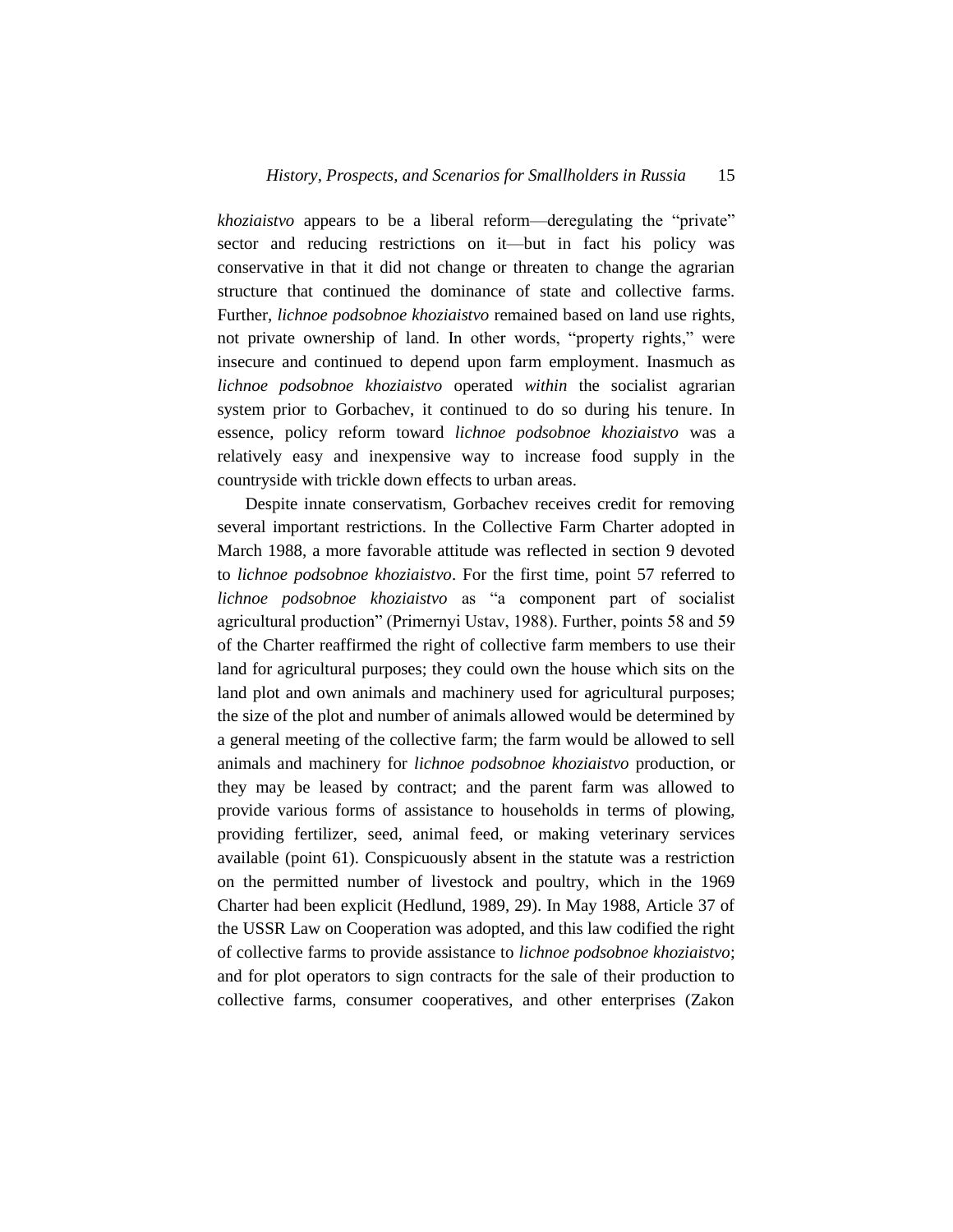*khoziaistvo* appears to be a liberal reform—deregulating the "private" sector and reducing restrictions on it—but in fact his policy was conservative in that it did not change or threaten to change the agrarian structure that continued the dominance of state and collective farms. Further, *lichnoe podsobnoe khoziaistvo* remained based on land use rights, not private ownership of land. In other words, "property rights," were insecure and continued to depend upon farm employment. Inasmuch as *lichnoe podsobnoe khoziaistvo* operated *within* the socialist agrarian system prior to Gorbachev, it continued to do so during his tenure. In essence, policy reform toward *lichnoe podsobnoe khoziaistvo* was a relatively easy and inexpensive way to increase food supply in the countryside with trickle down effects to urban areas.

Despite innate conservatism, Gorbachev receives credit for removing several important restrictions. In the Collective Farm Charter adopted in March 1988, a more favorable attitude was reflected in section 9 devoted to *lichnoe podsobnoe khoziaistvo*. For the first time, point 57 referred to *lichnoe podsobnoe khoziaistvo* as "a component part of socialist agricultural production" (Primernyi Ustav, 1988). Further, points 58 and 59 of the Charter reaffirmed the right of collective farm members to use their land for agricultural purposes; they could own the house which sits on the land plot and own animals and machinery used for agricultural purposes; the size of the plot and number of animals allowed would be determined by a general meeting of the collective farm; the farm would be allowed to sell animals and machinery for *lichnoe podsobnoe khoziaistvo* production, or they may be leased by contract; and the parent farm was allowed to provide various forms of assistance to households in terms of plowing, providing fertilizer, seed, animal feed, or making veterinary services available (point 61). Conspicuously absent in the statute was a restriction on the permitted number of livestock and poultry, which in the 1969 Charter had been explicit (Hedlund, 1989, 29). In May 1988, Article 37 of the USSR Law on Cooperation was adopted, and this law codified the right of collective farms to provide assistance to *lichnoe podsobnoe khoziaistvo*; and for plot operators to sign contracts for the sale of their production to collective farms, consumer cooperatives, and other enterprises (Zakon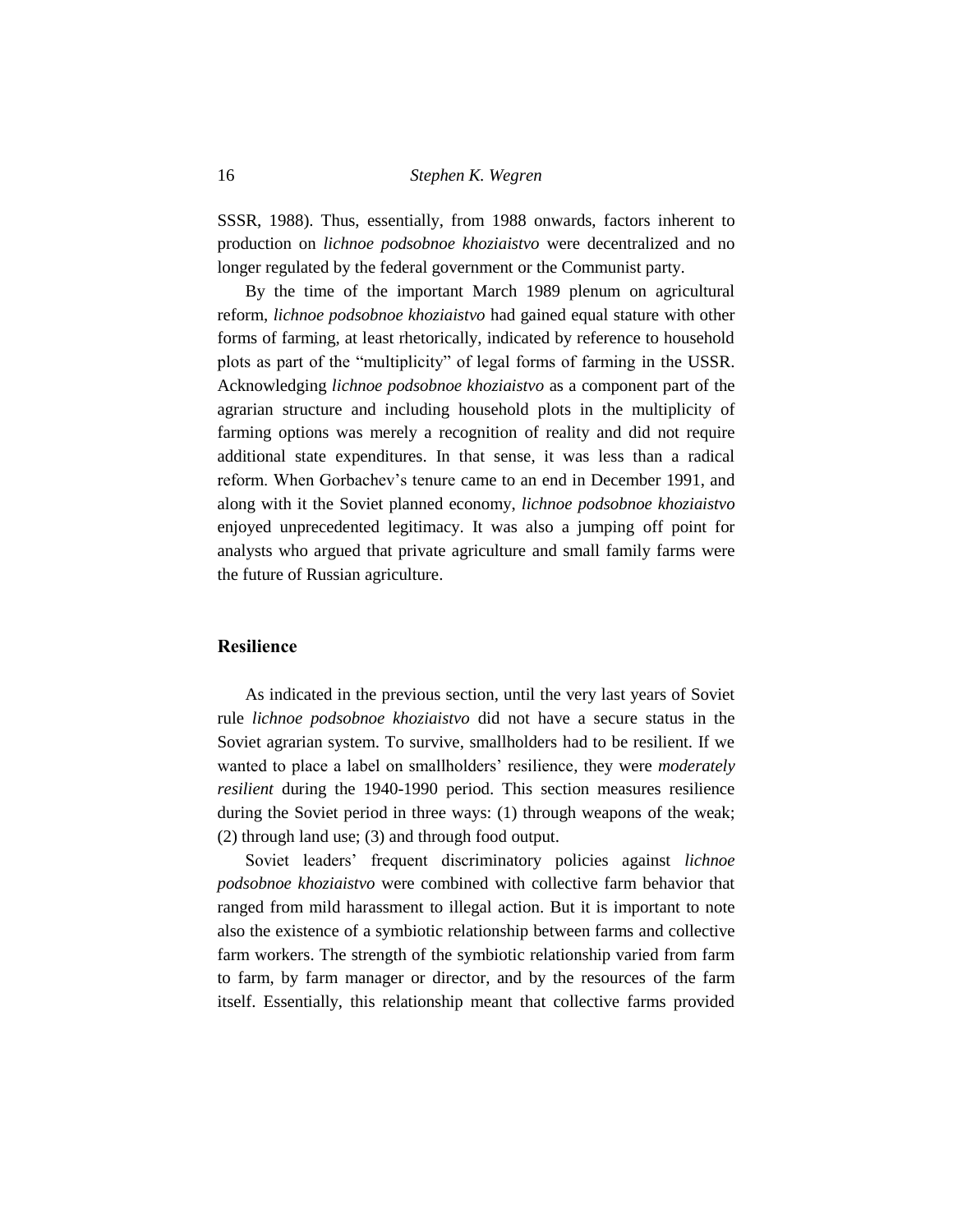SSSR, 1988). Thus, essentially, from 1988 onwards, factors inherent to production on *lichnoe podsobnoe khoziaistvo* were decentralized and no longer regulated by the federal government or the Communist party.

By the time of the important March 1989 plenum on agricultural reform, *lichnoe podsobnoe khoziaistvo* had gained equal stature with other forms of farming, at least rhetorically, indicated by reference to household plots as part of the "multiplicity" of legal forms of farming in the USSR. Acknowledging *lichnoe podsobnoe khoziaistvo* as a component part of the agrarian structure and including household plots in the multiplicity of farming options was merely a recognition of reality and did not require additional state expenditures. In that sense, it was less than a radical reform. When Gorbachev's tenure came to an end in December 1991, and along with it the Soviet planned economy, *lichnoe podsobnoe khoziaistvo* enjoyed unprecedented legitimacy. It was also a jumping off point for analysts who argued that private agriculture and small family farms were the future of Russian agriculture.

#### **Resilience**

As indicated in the previous section, until the very last years of Soviet rule *lichnoe podsobnoe khoziaistvo* did not have a secure status in the Soviet agrarian system. To survive, smallholders had to be resilient. If we wanted to place a label on smallholders' resilience, they were *moderately resilient* during the 1940-1990 period. This section measures resilience during the Soviet period in three ways: (1) through weapons of the weak; (2) through land use; (3) and through food output.

Soviet leaders' frequent discriminatory policies against *lichnoe podsobnoe khoziaistvo* were combined with collective farm behavior that ranged from mild harassment to illegal action. But it is important to note also the existence of a symbiotic relationship between farms and collective farm workers. The strength of the symbiotic relationship varied from farm to farm, by farm manager or director, and by the resources of the farm itself. Essentially, this relationship meant that collective farms provided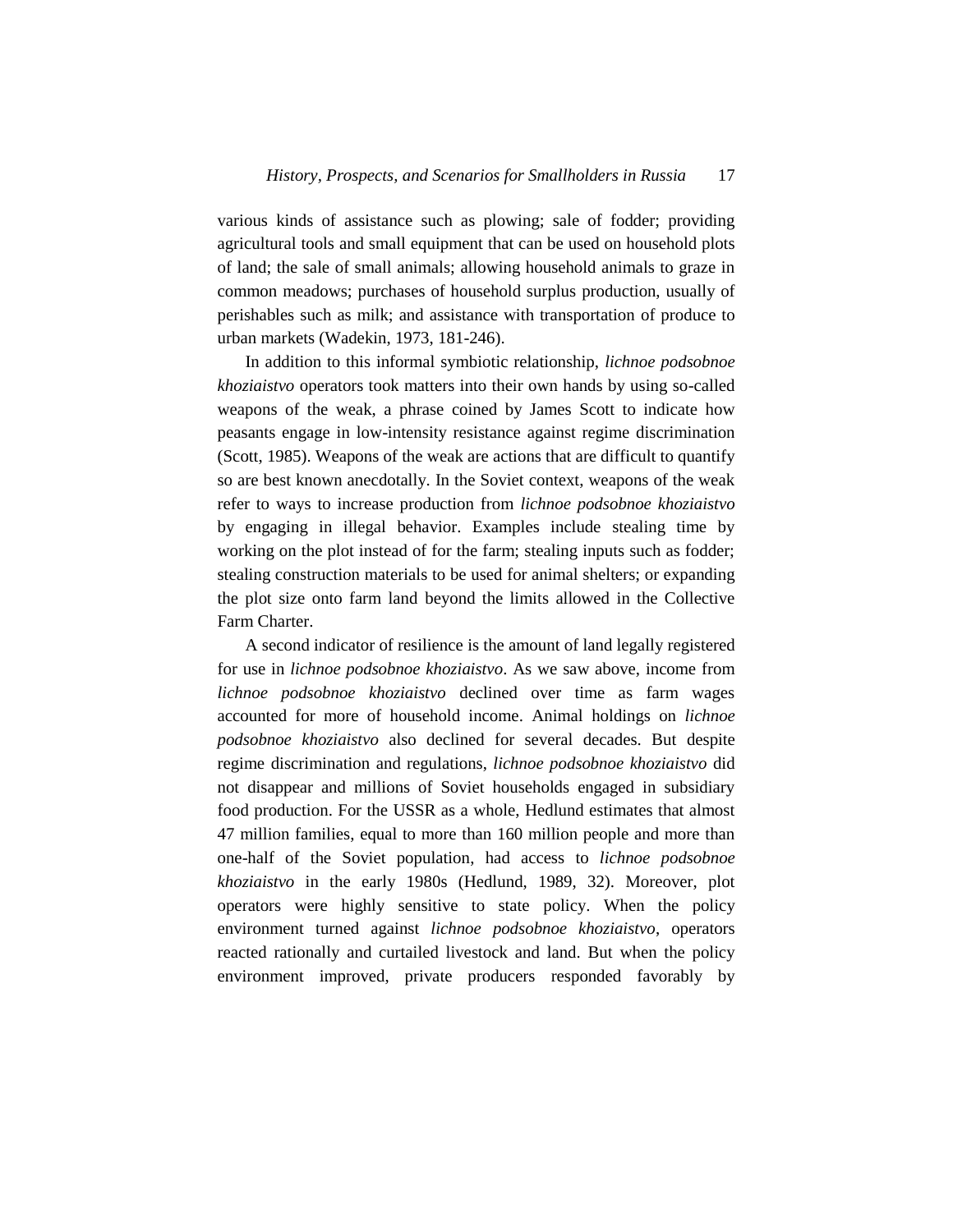various kinds of assistance such as plowing; sale of fodder; providing agricultural tools and small equipment that can be used on household plots of land; the sale of small animals; allowing household animals to graze in common meadows; purchases of household surplus production, usually of perishables such as milk; and assistance with transportation of produce to urban markets (Wadekin, 1973, 181-246).

In addition to this informal symbiotic relationship, *lichnoe podsobnoe khoziaistvo* operators took matters into their own hands by using so-called weapons of the weak, a phrase coined by James Scott to indicate how peasants engage in low-intensity resistance against regime discrimination (Scott, 1985). Weapons of the weak are actions that are difficult to quantify so are best known anecdotally. In the Soviet context, weapons of the weak refer to ways to increase production from *lichnoe podsobnoe khoziaistvo* by engaging in illegal behavior. Examples include stealing time by working on the plot instead of for the farm; stealing inputs such as fodder; stealing construction materials to be used for animal shelters; or expanding the plot size onto farm land beyond the limits allowed in the Collective Farm Charter.

A second indicator of resilience is the amount of land legally registered for use in *lichnoe podsobnoe khoziaistvo*. As we saw above, income from *lichnoe podsobnoe khoziaistvo* declined over time as farm wages accounted for more of household income. Animal holdings on *lichnoe podsobnoe khoziaistvo* also declined for several decades. But despite regime discrimination and regulations, *lichnoe podsobnoe khoziaistvo* did not disappear and millions of Soviet households engaged in subsidiary food production. For the USSR as a whole, Hedlund estimates that almost 47 million families, equal to more than 160 million people and more than one-half of the Soviet population, had access to *lichnoe podsobnoe khoziaistvo* in the early 1980s (Hedlund, 1989, 32). Moreover, plot operators were highly sensitive to state policy. When the policy environment turned against *lichnoe podsobnoe khoziaistvo*, operators reacted rationally and curtailed livestock and land. But when the policy environment improved, private producers responded favorably by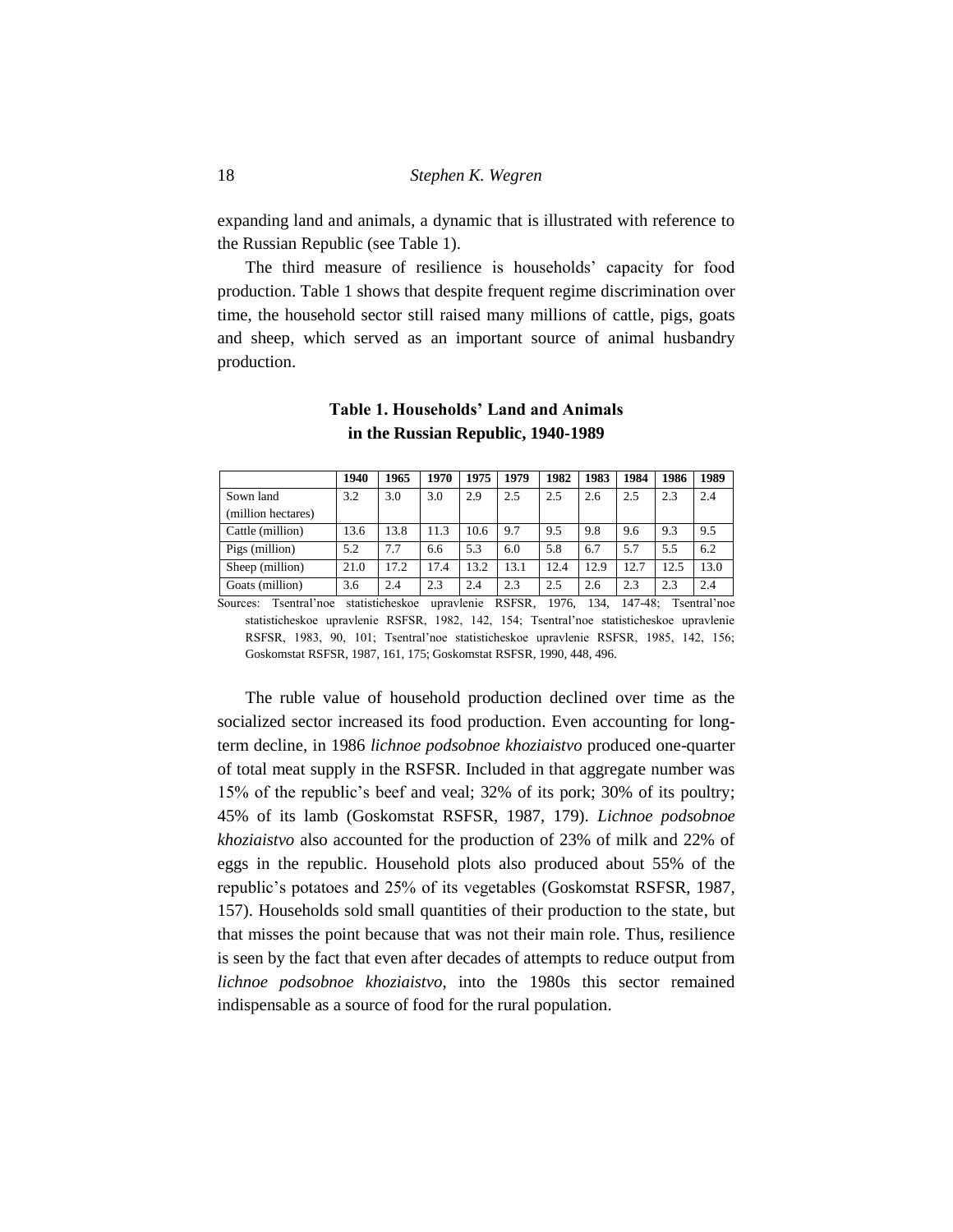expanding land and animals, a dynamic that is illustrated with reference to the Russian Republic (see Table 1).

The third measure of resilience is households' capacity for food production. Table 1 shows that despite frequent regime discrimination over time, the household sector still raised many millions of cattle, pigs, goats and sheep, which served as an important source of animal husbandry production.

|                    | 1940 | 1965 | 1970 | 1975 | 1979 | 1982 | 1983 | 1984 | 1986 | 1989 |
|--------------------|------|------|------|------|------|------|------|------|------|------|
| Sown land          | 3.2  | 3.0  | 3.0  | 2.9  | 2.5  | 2.5  | 2.6  | 2.5  | 2.3  | 2.4  |
| (million hectares) |      |      |      |      |      |      |      |      |      |      |
| Cattle (million)   | 13.6 | 13.8 | 11.3 | 10.6 | 9.7  | 9.5  | 9.8  | 9.6  | 9.3  | 9.5  |
| Pigs (million)     | 5.2  | 7.7  | 6.6  | 5.3  | 6.0  | 5.8  | 6.7  | 5.7  | 5.5  | 6.2  |
| Sheep (million)    | 21.0 | 17.2 | 17.4 | 13.2 | 13.1 | 12.4 | 12.9 | 12.7 | 12.5 | 13.0 |
| Goats (million)    | 3.6  | 2.4  | 2.3  | 2.4  | 2.3  | 2.5  | 2.6  | 2.3  | 2.3  | 2.4  |

## **Table 1. Households' Land and Animals in the Russian Republic, 1940-1989**

Sources: Tsentral'noe statisticheskoe upravlenie RSFSR, 1976, 134, 147-48; Tsentral'noe statisticheskoe upravlenie RSFSR, 1982, 142, 154; Tsentral'noe statisticheskoe upravlenie RSFSR, 1983, 90, 101; Tsentral'noe statisticheskoe upravlenie RSFSR, 1985, 142, 156; Goskomstat RSFSR, 1987, 161, 175; Goskomstat RSFSR, 1990, 448, 496.

The ruble value of household production declined over time as the socialized sector increased its food production. Even accounting for longterm decline, in 1986 *lichnoe podsobnoe khoziaistvo* produced one-quarter of total meat supply in the RSFSR. Included in that aggregate number was 15% of the republic's beef and veal; 32% of its pork; 30% of its poultry; 45% of its lamb (Goskomstat RSFSR, 1987, 179). *Lichnoe podsobnoe khoziaistvo* also accounted for the production of 23% of milk and 22% of eggs in the republic. Household plots also produced about 55% of the republic's potatoes and 25% of its vegetables (Goskomstat RSFSR, 1987, 157). Households sold small quantities of their production to the state, but that misses the point because that was not their main role. Thus, resilience is seen by the fact that even after decades of attempts to reduce output from *lichnoe podsobnoe khoziaistvo*, into the 1980s this sector remained indispensable as a source of food for the rural population.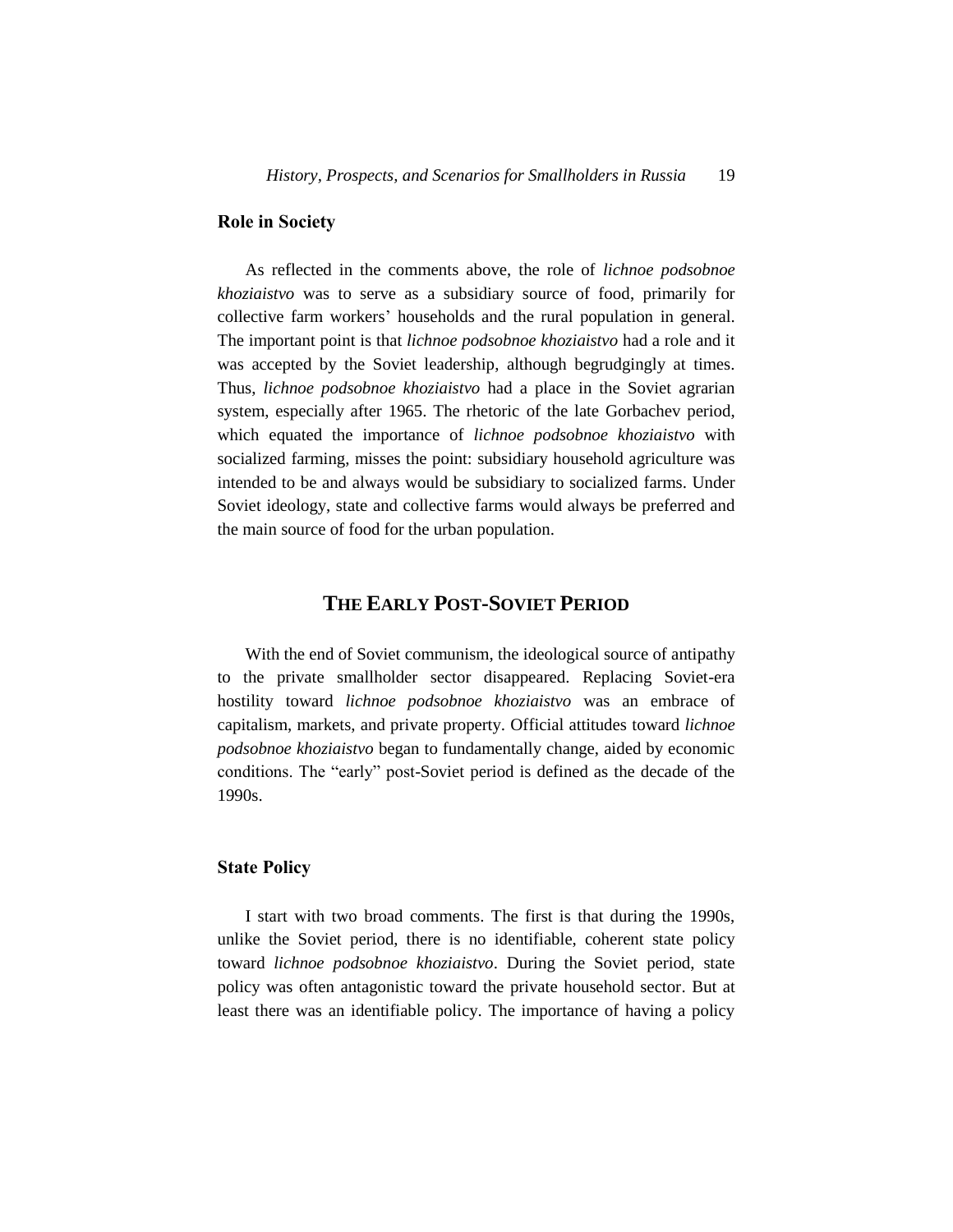## **Role in Society**

As reflected in the comments above, the role of *lichnoe podsobnoe khoziaistvo* was to serve as a subsidiary source of food, primarily for collective farm workers' households and the rural population in general. The important point is that *lichnoe podsobnoe khoziaistvo* had a role and it was accepted by the Soviet leadership, although begrudgingly at times. Thus, *lichnoe podsobnoe khoziaistvo* had a place in the Soviet agrarian system, especially after 1965. The rhetoric of the late Gorbachev period, which equated the importance of *lichnoe podsobnoe khoziaistvo* with socialized farming, misses the point: subsidiary household agriculture was intended to be and always would be subsidiary to socialized farms. Under Soviet ideology, state and collective farms would always be preferred and the main source of food for the urban population.

# **THE EARLY POST-SOVIET PERIOD**

With the end of Soviet communism, the ideological source of antipathy to the private smallholder sector disappeared. Replacing Soviet-era hostility toward *lichnoe podsobnoe khoziaistvo* was an embrace of capitalism, markets, and private property. Official attitudes toward *lichnoe podsobnoe khoziaistvo* began to fundamentally change, aided by economic conditions. The "early" post-Soviet period is defined as the decade of the 1990s.

## **State Policy**

I start with two broad comments. The first is that during the 1990s, unlike the Soviet period, there is no identifiable, coherent state policy toward *lichnoe podsobnoe khoziaistvo*. During the Soviet period, state policy was often antagonistic toward the private household sector. But at least there was an identifiable policy. The importance of having a policy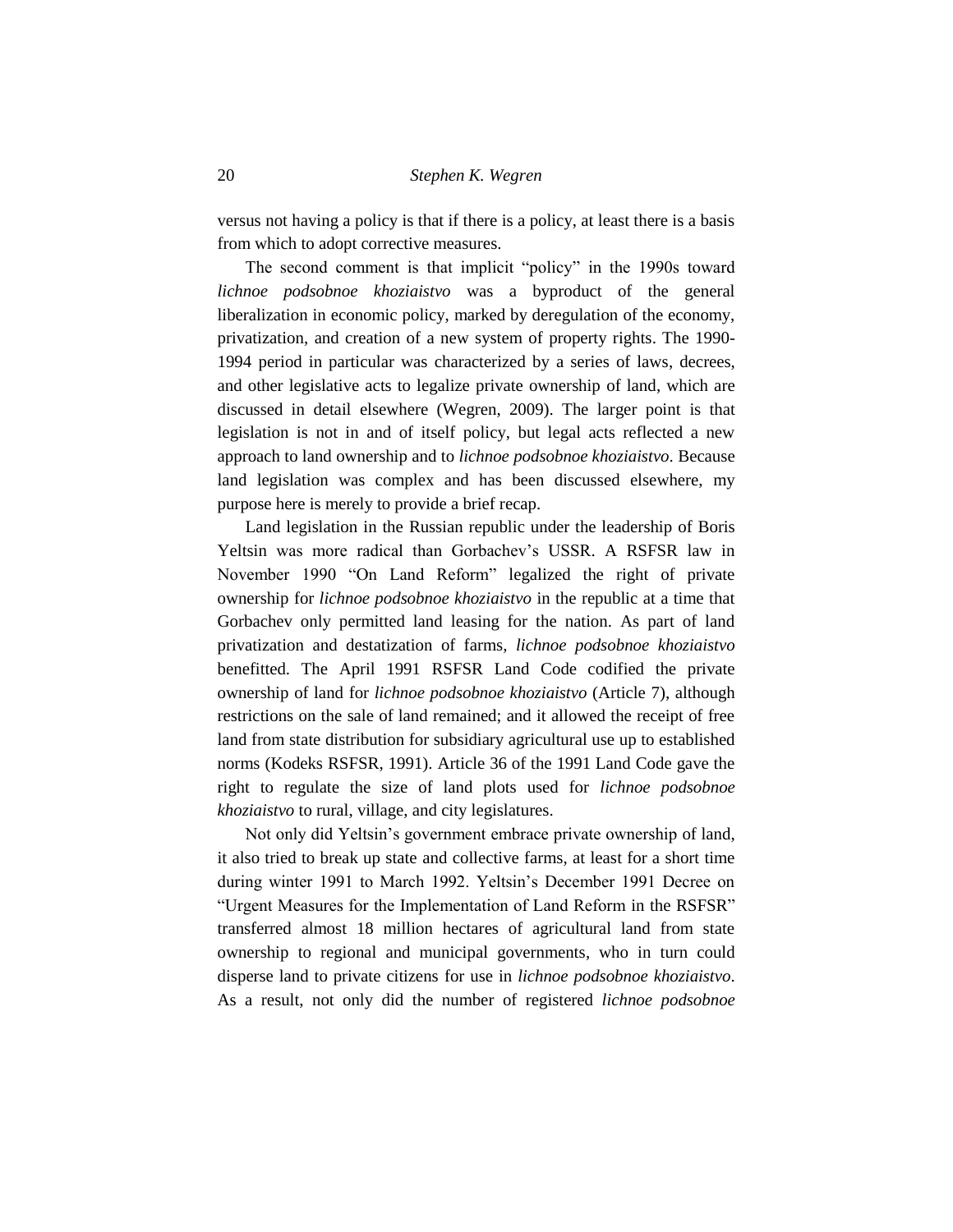versus not having a policy is that if there is a policy, at least there is a basis from which to adopt corrective measures.

The second comment is that implicit "policy" in the 1990s toward *lichnoe podsobnoe khoziaistvo* was a byproduct of the general liberalization in economic policy, marked by deregulation of the economy, privatization, and creation of a new system of property rights. The 1990- 1994 period in particular was characterized by a series of laws, decrees, and other legislative acts to legalize private ownership of land, which are discussed in detail elsewhere (Wegren, 2009). The larger point is that legislation is not in and of itself policy, but legal acts reflected a new approach to land ownership and to *lichnoe podsobnoe khoziaistvo*. Because land legislation was complex and has been discussed elsewhere, my purpose here is merely to provide a brief recap.

Land legislation in the Russian republic under the leadership of Boris Yeltsin was more radical than Gorbachev's USSR. A RSFSR law in November 1990 "On Land Reform" legalized the right of private ownership for *lichnoe podsobnoe khoziaistvo* in the republic at a time that Gorbachev only permitted land leasing for the nation. As part of land privatization and destatization of farms, *lichnoe podsobnoe khoziaistvo* benefitted. The April 1991 RSFSR Land Code codified the private ownership of land for *lichnoe podsobnoe khoziaistvo* (Article 7), although restrictions on the sale of land remained; and it allowed the receipt of free land from state distribution for subsidiary agricultural use up to established norms (Kodeks RSFSR, 1991). Article 36 of the 1991 Land Code gave the right to regulate the size of land plots used for *lichnoe podsobnoe khoziaistvo* to rural, village, and city legislatures.

Not only did Yeltsin's government embrace private ownership of land, it also tried to break up state and collective farms, at least for a short time during winter 1991 to March 1992. Yeltsin's December 1991 Decree on "Urgent Measures for the Implementation of Land Reform in the RSFSR" transferred almost 18 million hectares of agricultural land from state ownership to regional and municipal governments, who in turn could disperse land to private citizens for use in *lichnoe podsobnoe khoziaistvo*. As a result, not only did the number of registered *lichnoe podsobnoe*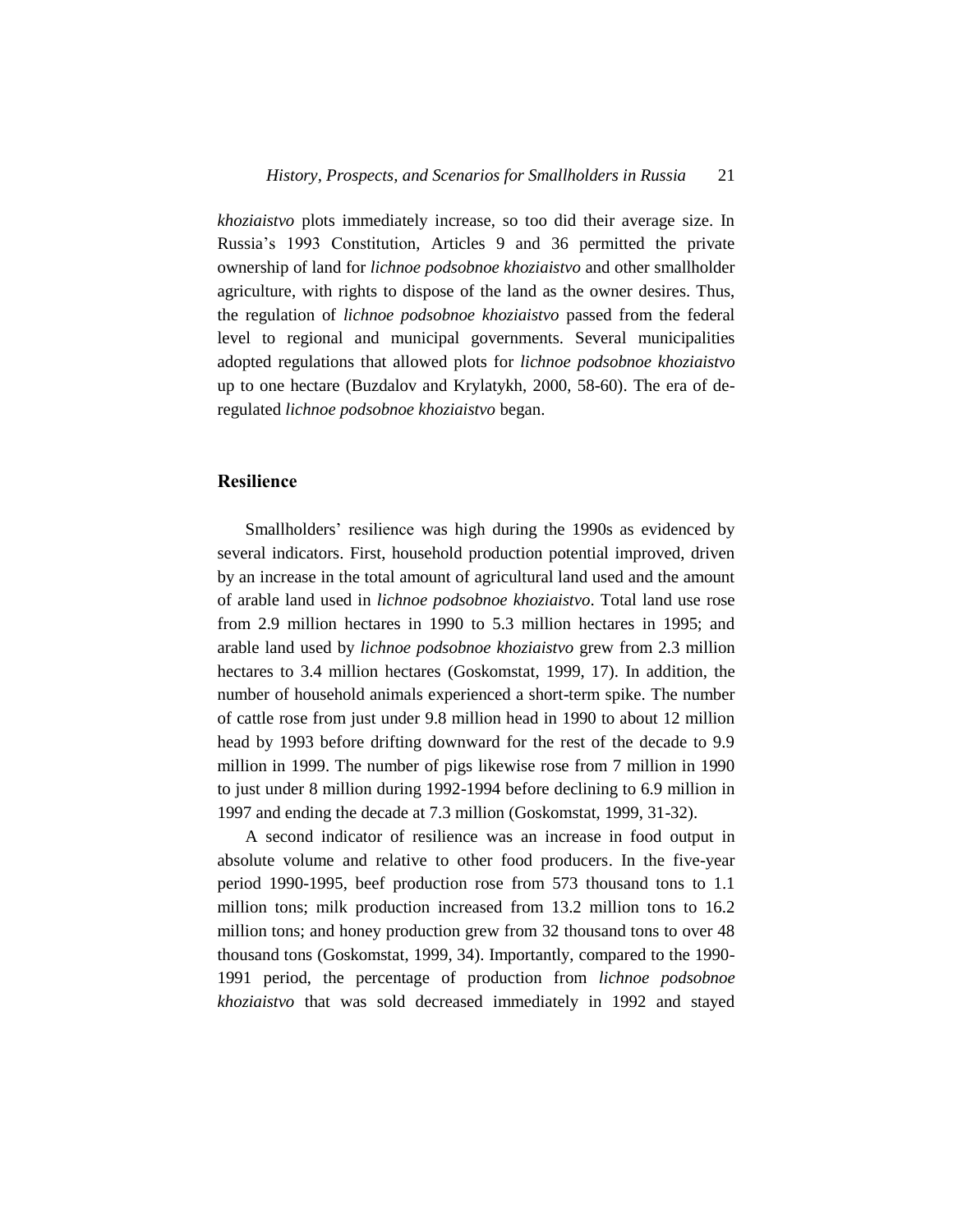*khoziaistvo* plots immediately increase, so too did their average size. In Russia's 1993 Constitution, Articles 9 and 36 permitted the private ownership of land for *lichnoe podsobnoe khoziaistvo* and other smallholder agriculture, with rights to dispose of the land as the owner desires. Thus, the regulation of *lichnoe podsobnoe khoziaistvo* passed from the federal level to regional and municipal governments. Several municipalities adopted regulations that allowed plots for *lichnoe podsobnoe khoziaistvo* up to one hectare (Buzdalov and Krylatykh, 2000, 58-60). The era of deregulated *lichnoe podsobnoe khoziaistvo* began.

## **Resilience**

Smallholders' resilience was high during the 1990s as evidenced by several indicators. First, household production potential improved, driven by an increase in the total amount of agricultural land used and the amount of arable land used in *lichnoe podsobnoe khoziaistvo*. Total land use rose from 2.9 million hectares in 1990 to 5.3 million hectares in 1995; and arable land used by *lichnoe podsobnoe khoziaistvo* grew from 2.3 million hectares to 3.4 million hectares (Goskomstat, 1999, 17). In addition, the number of household animals experienced a short-term spike. The number of cattle rose from just under 9.8 million head in 1990 to about 12 million head by 1993 before drifting downward for the rest of the decade to 9.9 million in 1999. The number of pigs likewise rose from 7 million in 1990 to just under 8 million during 1992-1994 before declining to 6.9 million in 1997 and ending the decade at 7.3 million (Goskomstat, 1999, 31-32).

A second indicator of resilience was an increase in food output in absolute volume and relative to other food producers. In the five-year period 1990-1995, beef production rose from 573 thousand tons to 1.1 million tons; milk production increased from 13.2 million tons to 16.2 million tons; and honey production grew from 32 thousand tons to over 48 thousand tons (Goskomstat, 1999, 34). Importantly, compared to the 1990- 1991 period, the percentage of production from *lichnoe podsobnoe khoziaistvo* that was sold decreased immediately in 1992 and stayed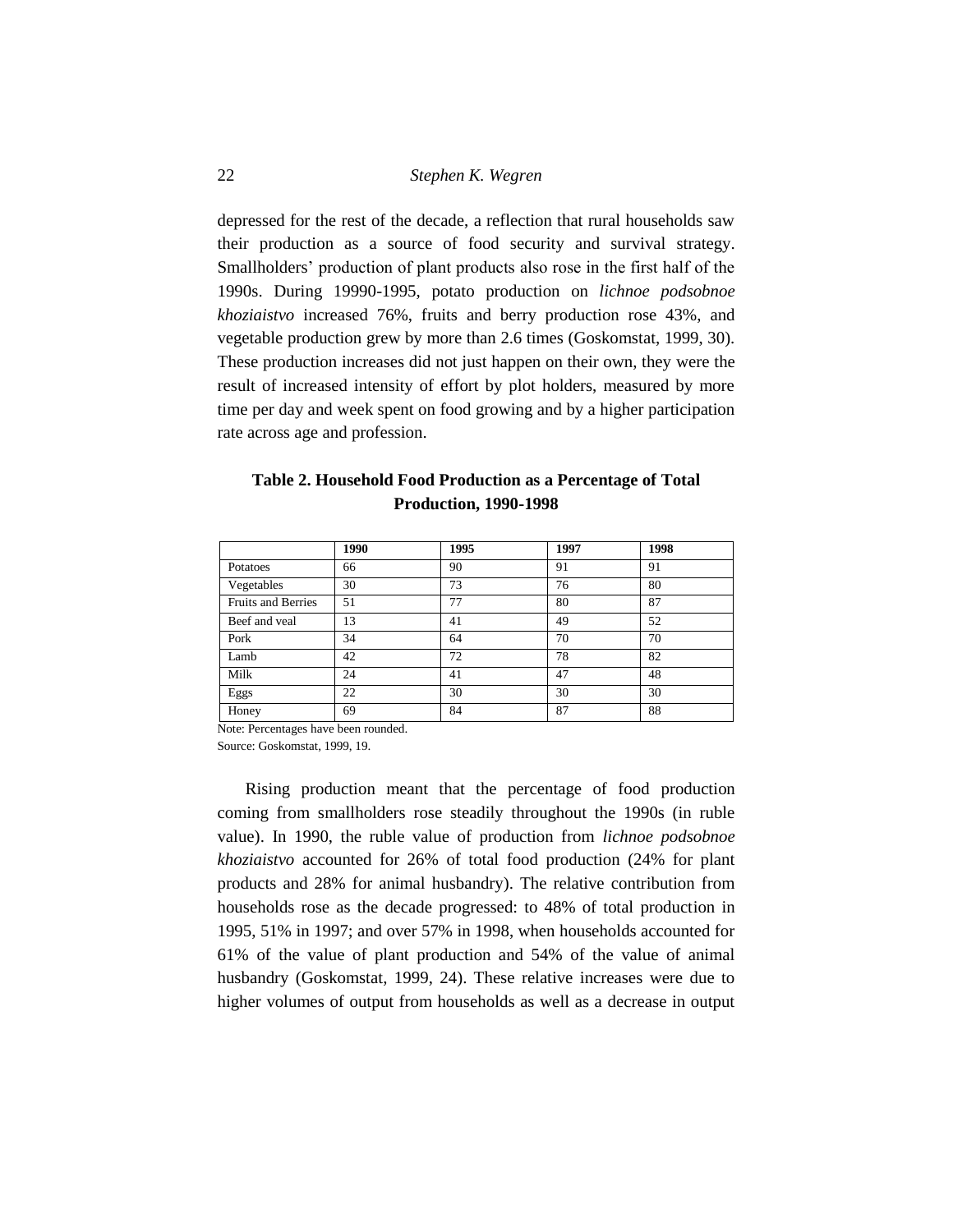depressed for the rest of the decade, a reflection that rural households saw their production as a source of food security and survival strategy. Smallholders' production of plant products also rose in the first half of the 1990s. During 19990-1995, potato production on *lichnoe podsobnoe khoziaistvo* increased 76%, fruits and berry production rose 43%, and vegetable production grew by more than 2.6 times (Goskomstat, 1999, 30). These production increases did not just happen on their own, they were the result of increased intensity of effort by plot holders, measured by more time per day and week spent on food growing and by a higher participation rate across age and profession.

| Production, 1990-1998     |      |      |      |      |  |  |
|---------------------------|------|------|------|------|--|--|
|                           | 1990 | 1995 | 1997 | 1998 |  |  |
| Potatoes                  | 66   | 90   | 91   | 91   |  |  |
| Vegetables                | 30   | 73   | 76   | 80   |  |  |
| <b>Fruits and Berries</b> | 51   | 77   | 80   | 87   |  |  |
| Beef and yeal             | 13   | 41   | 49   | 52   |  |  |
| Pork                      | 34   | 64   | 70   | 70   |  |  |
| Lamb                      | 42   | 72   | 78   | 82   |  |  |

Milk 24 41 47 48 Eggs 22 30 30 30 Honey 69 84 87 88

## **Table 2. Household Food Production as a Percentage of Total Production, 1990-1998**

Note: Percentages have been rounded.

Source: Goskomstat, 1999, 19.

Rising production meant that the percentage of food production coming from smallholders rose steadily throughout the 1990s (in ruble value). In 1990, the ruble value of production from *lichnoe podsobnoe khoziaistvo* accounted for 26% of total food production (24% for plant products and 28% for animal husbandry). The relative contribution from households rose as the decade progressed: to 48% of total production in 1995, 51% in 1997; and over 57% in 1998, when households accounted for 61% of the value of plant production and 54% of the value of animal husbandry (Goskomstat, 1999, 24). These relative increases were due to higher volumes of output from households as well as a decrease in output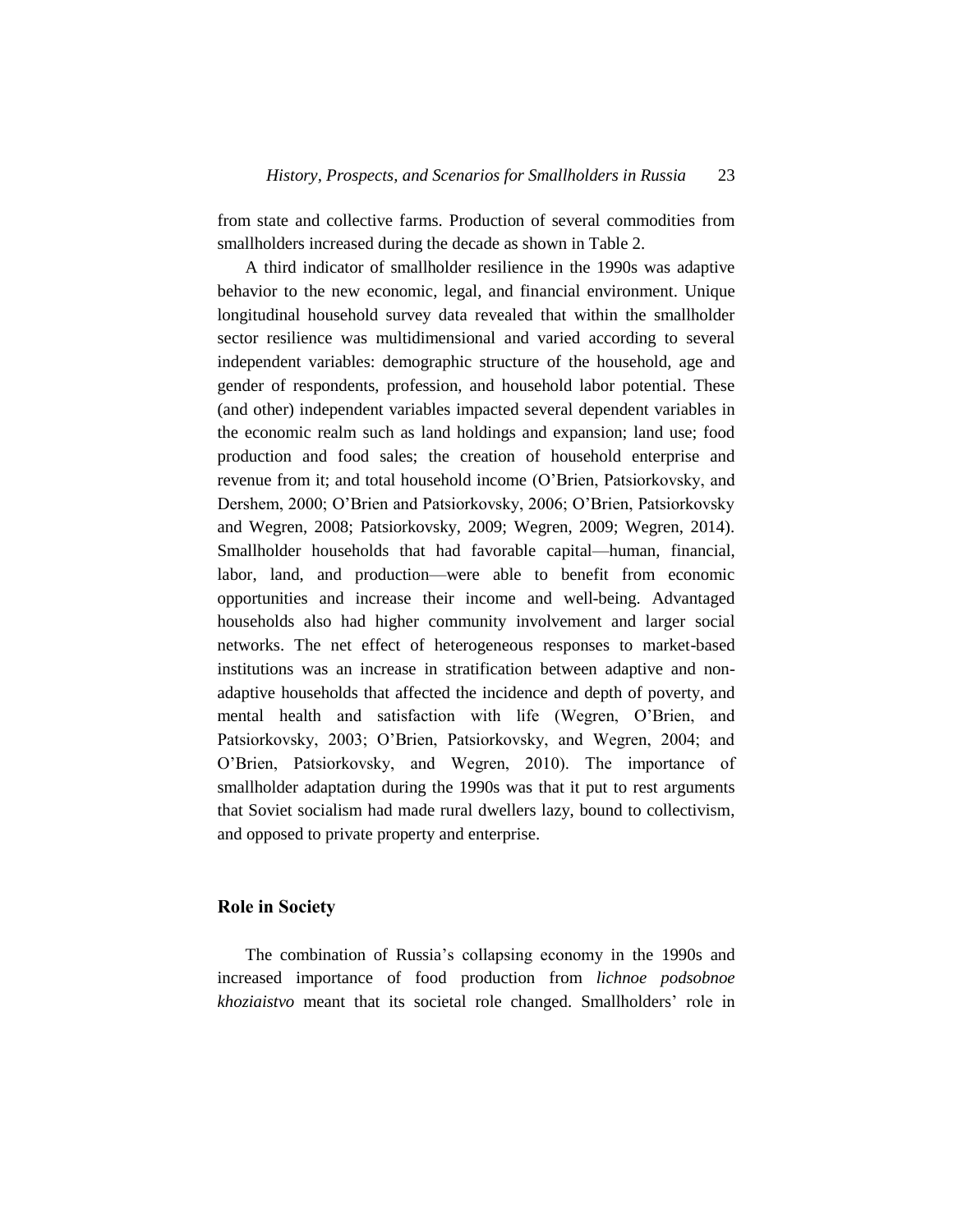from state and collective farms. Production of several commodities from smallholders increased during the decade as shown in Table 2.

A third indicator of smallholder resilience in the 1990s was adaptive behavior to the new economic, legal, and financial environment. Unique longitudinal household survey data revealed that within the smallholder sector resilience was multidimensional and varied according to several independent variables: demographic structure of the household, age and gender of respondents, profession, and household labor potential. These (and other) independent variables impacted several dependent variables in the economic realm such as land holdings and expansion; land use; food production and food sales; the creation of household enterprise and revenue from it; and total household income (O'Brien, Patsiorkovsky, and Dershem, 2000; O'Brien and Patsiorkovsky, 2006; O'Brien, Patsiorkovsky and Wegren, 2008; Patsiorkovsky, 2009; Wegren, 2009; Wegren, 2014). Smallholder households that had favorable capital—human, financial, labor, land, and production—were able to benefit from economic opportunities and increase their income and well-being. Advantaged households also had higher community involvement and larger social networks. The net effect of heterogeneous responses to market-based institutions was an increase in stratification between adaptive and nonadaptive households that affected the incidence and depth of poverty, and mental health and satisfaction with life (Wegren, O'Brien, and Patsiorkovsky, 2003; O'Brien, Patsiorkovsky, and Wegren, 2004; and O'Brien, Patsiorkovsky, and Wegren, 2010). The importance of smallholder adaptation during the 1990s was that it put to rest arguments that Soviet socialism had made rural dwellers lazy, bound to collectivism, and opposed to private property and enterprise.

## **Role in Society**

The combination of Russia's collapsing economy in the 1990s and increased importance of food production from *lichnoe podsobnoe khoziaistvo* meant that its societal role changed. Smallholders' role in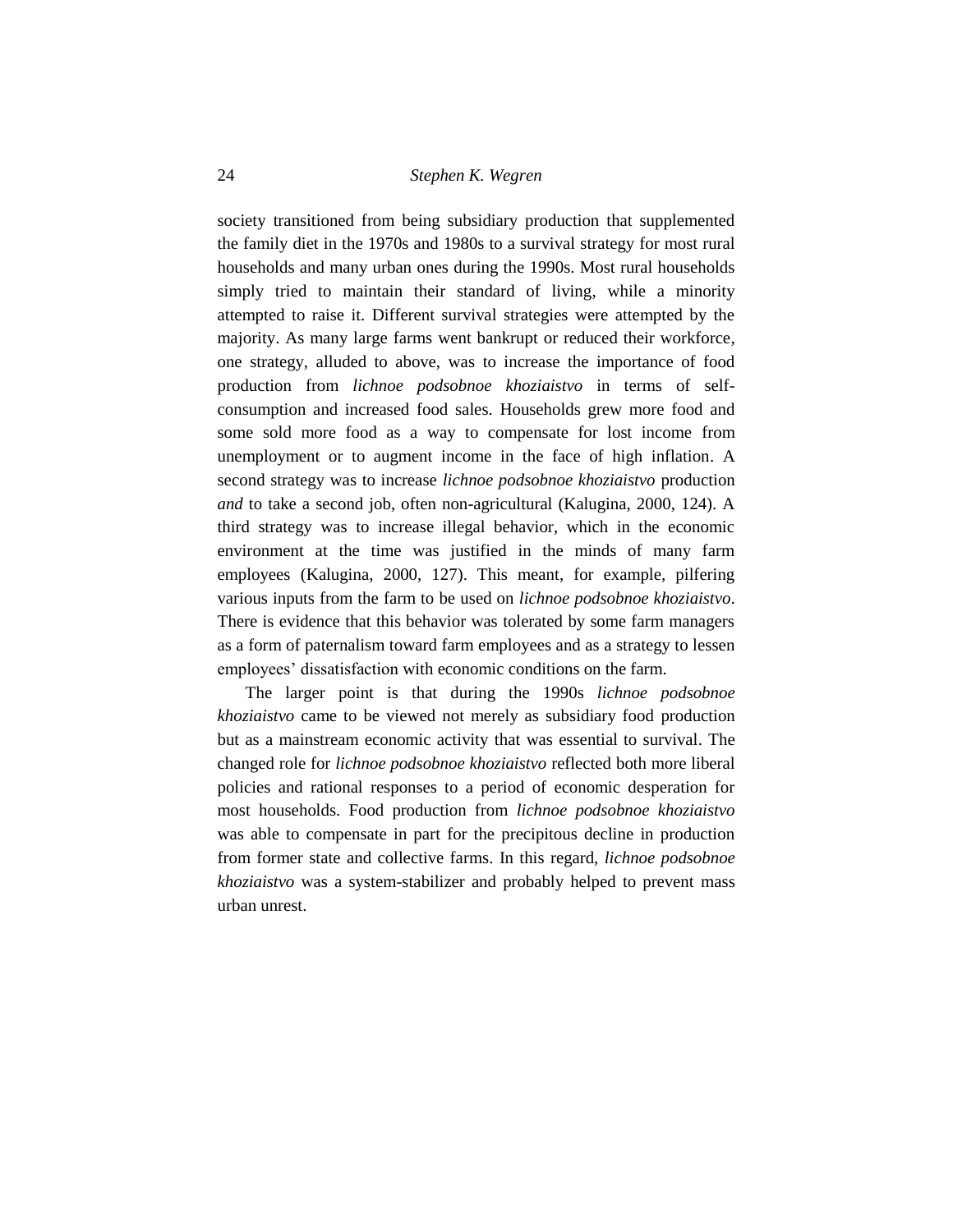society transitioned from being subsidiary production that supplemented the family diet in the 1970s and 1980s to a survival strategy for most rural households and many urban ones during the 1990s. Most rural households simply tried to maintain their standard of living, while a minority attempted to raise it. Different survival strategies were attempted by the majority. As many large farms went bankrupt or reduced their workforce, one strategy, alluded to above, was to increase the importance of food production from *lichnoe podsobnoe khoziaistvo* in terms of selfconsumption and increased food sales. Households grew more food and some sold more food as a way to compensate for lost income from unemployment or to augment income in the face of high inflation. A second strategy was to increase *lichnoe podsobnoe khoziaistvo* production *and* to take a second job, often non-agricultural (Kalugina, 2000, 124). A third strategy was to increase illegal behavior, which in the economic environment at the time was justified in the minds of many farm employees (Kalugina, 2000, 127). This meant, for example, pilfering various inputs from the farm to be used on *lichnoe podsobnoe khoziaistvo*. There is evidence that this behavior was tolerated by some farm managers as a form of paternalism toward farm employees and as a strategy to lessen employees' dissatisfaction with economic conditions on the farm.

The larger point is that during the 1990s *lichnoe podsobnoe khoziaistvo* came to be viewed not merely as subsidiary food production but as a mainstream economic activity that was essential to survival. The changed role for *lichnoe podsobnoe khoziaistvo* reflected both more liberal policies and rational responses to a period of economic desperation for most households. Food production from *lichnoe podsobnoe khoziaistvo* was able to compensate in part for the precipitous decline in production from former state and collective farms. In this regard, *lichnoe podsobnoe khoziaistvo* was a system-stabilizer and probably helped to prevent mass urban unrest.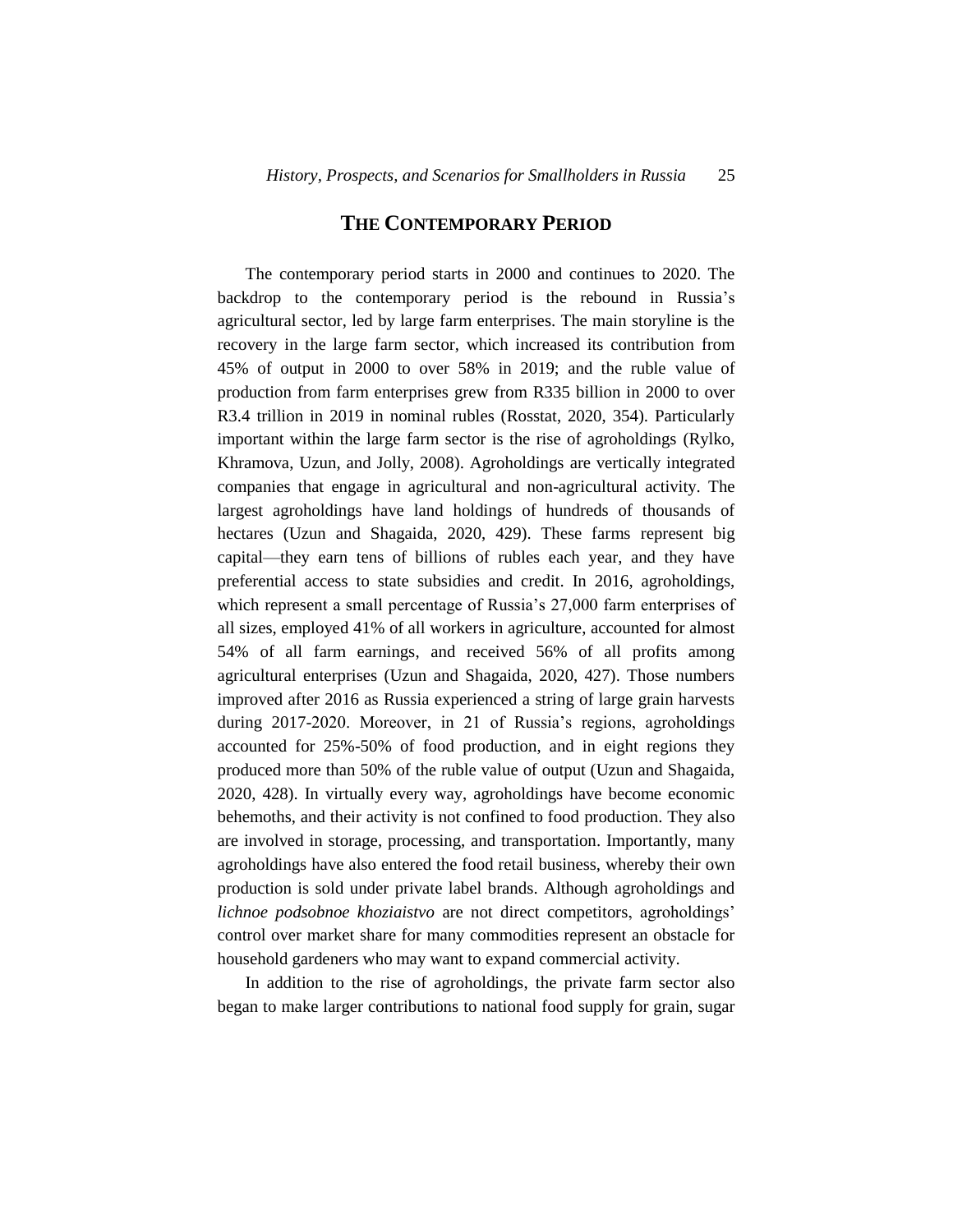## **THE CONTEMPORARY PERIOD**

The contemporary period starts in 2000 and continues to 2020. The backdrop to the contemporary period is the rebound in Russia's agricultural sector, led by large farm enterprises. The main storyline is the recovery in the large farm sector, which increased its contribution from 45% of output in 2000 to over 58% in 2019; and the ruble value of production from farm enterprises grew from R335 billion in 2000 to over R3.4 trillion in 2019 in nominal rubles (Rosstat, 2020, 354). Particularly important within the large farm sector is the rise of agroholdings (Rylko, Khramova, Uzun, and Jolly, 2008). Agroholdings are vertically integrated companies that engage in agricultural and non-agricultural activity. The largest agroholdings have land holdings of hundreds of thousands of hectares (Uzun and Shagaida, 2020, 429). These farms represent big capital—they earn tens of billions of rubles each year, and they have preferential access to state subsidies and credit. In 2016, agroholdings, which represent a small percentage of Russia's 27,000 farm enterprises of all sizes, employed 41% of all workers in agriculture, accounted for almost 54% of all farm earnings, and received 56% of all profits among agricultural enterprises (Uzun and Shagaida, 2020, 427). Those numbers improved after 2016 as Russia experienced a string of large grain harvests during 2017-2020. Moreover, in 21 of Russia's regions, agroholdings accounted for 25%-50% of food production, and in eight regions they produced more than 50% of the ruble value of output (Uzun and Shagaida, 2020, 428). In virtually every way, agroholdings have become economic behemoths, and their activity is not confined to food production. They also are involved in storage, processing, and transportation. Importantly, many agroholdings have also entered the food retail business, whereby their own production is sold under private label brands. Although agroholdings and *lichnoe podsobnoe khoziaistvo* are not direct competitors, agroholdings' control over market share for many commodities represent an obstacle for household gardeners who may want to expand commercial activity.

In addition to the rise of agroholdings, the private farm sector also began to make larger contributions to national food supply for grain, sugar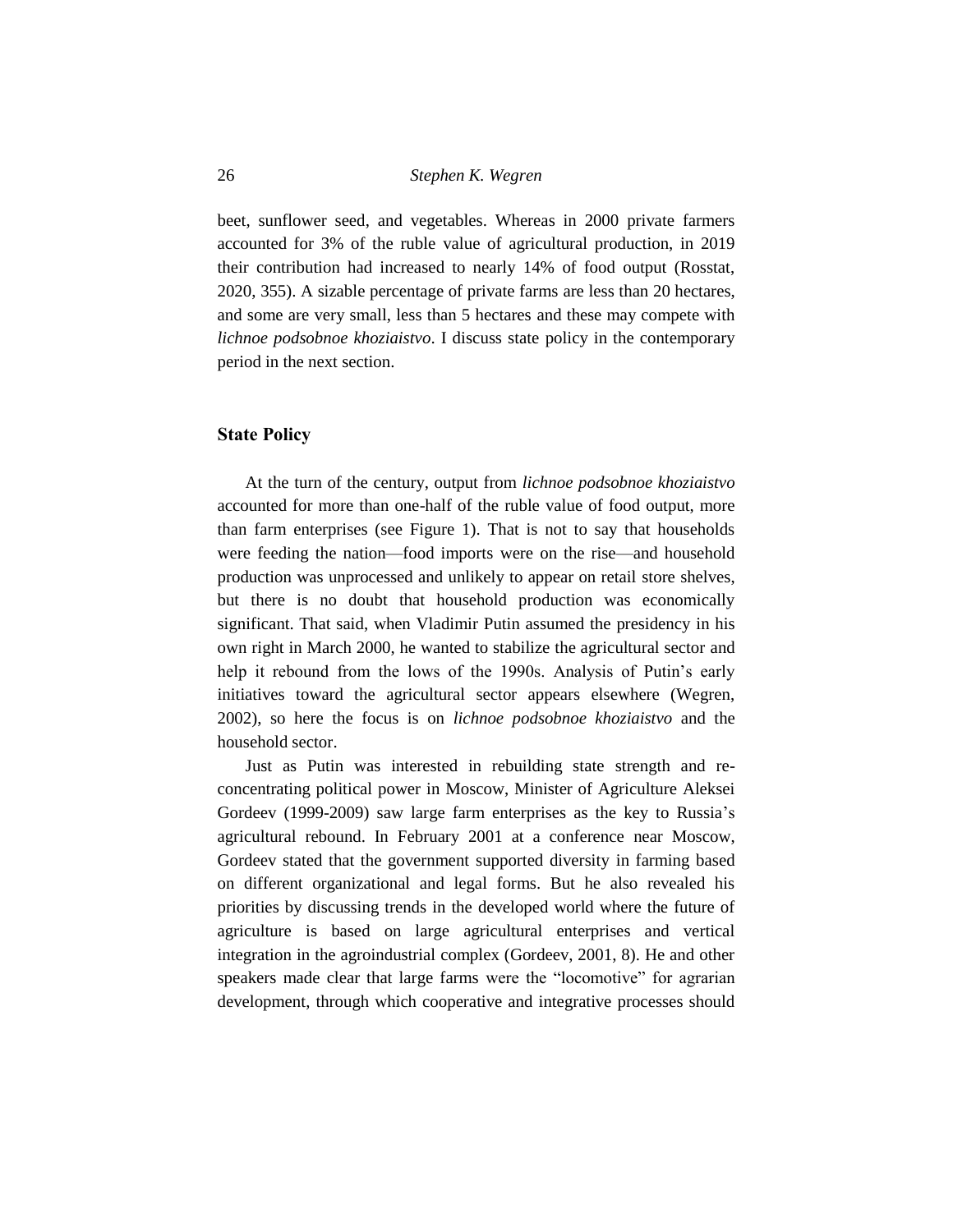beet, sunflower seed, and vegetables. Whereas in 2000 private farmers accounted for 3% of the ruble value of agricultural production, in 2019 their contribution had increased to nearly 14% of food output (Rosstat, 2020, 355). A sizable percentage of private farms are less than 20 hectares, and some are very small, less than 5 hectares and these may compete with *lichnoe podsobnoe khoziaistvo*. I discuss state policy in the contemporary period in the next section.

#### **State Policy**

At the turn of the century, output from *lichnoe podsobnoe khoziaistvo* accounted for more than one-half of the ruble value of food output, more than farm enterprises (see Figure 1). That is not to say that households were feeding the nation—food imports were on the rise—and household production was unprocessed and unlikely to appear on retail store shelves, but there is no doubt that household production was economically significant. That said, when Vladimir Putin assumed the presidency in his own right in March 2000, he wanted to stabilize the agricultural sector and help it rebound from the lows of the 1990s. Analysis of Putin's early initiatives toward the agricultural sector appears elsewhere (Wegren, 2002), so here the focus is on *lichnoe podsobnoe khoziaistvo* and the household sector.

Just as Putin was interested in rebuilding state strength and reconcentrating political power in Moscow, Minister of Agriculture Aleksei Gordeev (1999-2009) saw large farm enterprises as the key to Russia's agricultural rebound. In February 2001 at a conference near Moscow, Gordeev stated that the government supported diversity in farming based on different organizational and legal forms. But he also revealed his priorities by discussing trends in the developed world where the future of agriculture is based on large agricultural enterprises and vertical integration in the agroindustrial complex (Gordeev, 2001, 8). He and other speakers made clear that large farms were the "locomotive" for agrarian development, through which cooperative and integrative processes should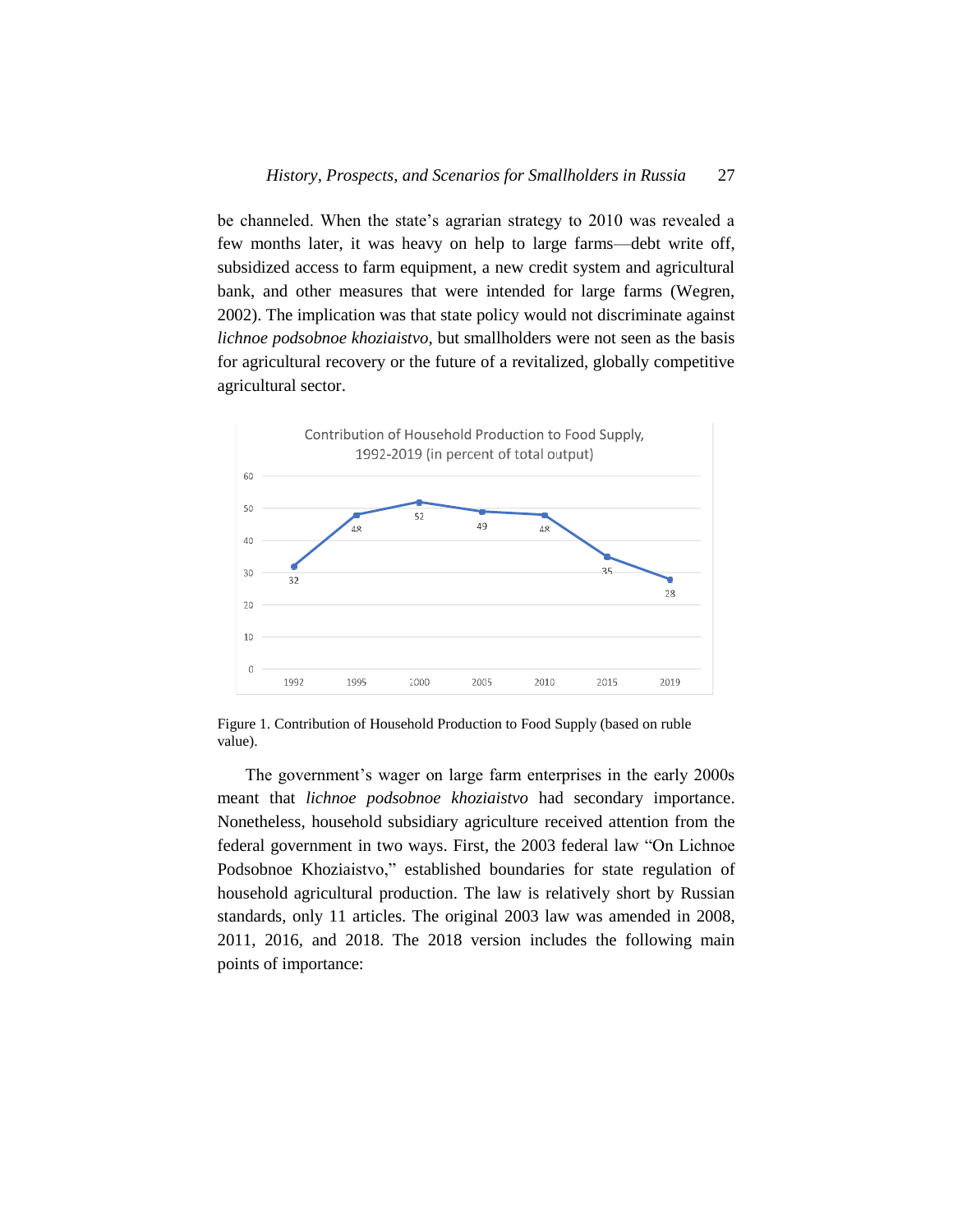be channeled. When the state's agrarian strategy to 2010 was revealed a few months later, it was heavy on help to large farms—debt write off, subsidized access to farm equipment, a new credit system and agricultural bank, and other measures that were intended for large farms (Wegren, 2002). The implication was that state policy would not discriminate against *lichnoe podsobnoe khoziaistvo*, but smallholders were not seen as the basis for agricultural recovery or the future of a revitalized, globally competitive agricultural sector.



Figure 1. Contribution of Household Production to Food Supply (based on ruble value).

The government's wager on large farm enterprises in the early 2000s meant that *lichnoe podsobnoe khoziaistvo* had secondary importance. Nonetheless, household subsidiary agriculture received attention from the federal government in two ways. First, the 2003 federal law "On Lichnoe Podsobnoe Khoziaistvo," established boundaries for state regulation of household agricultural production. The law is relatively short by Russian standards, only 11 articles. The original 2003 law was amended in 2008, 2011, 2016, and 2018. The 2018 version includes the following main points of importance: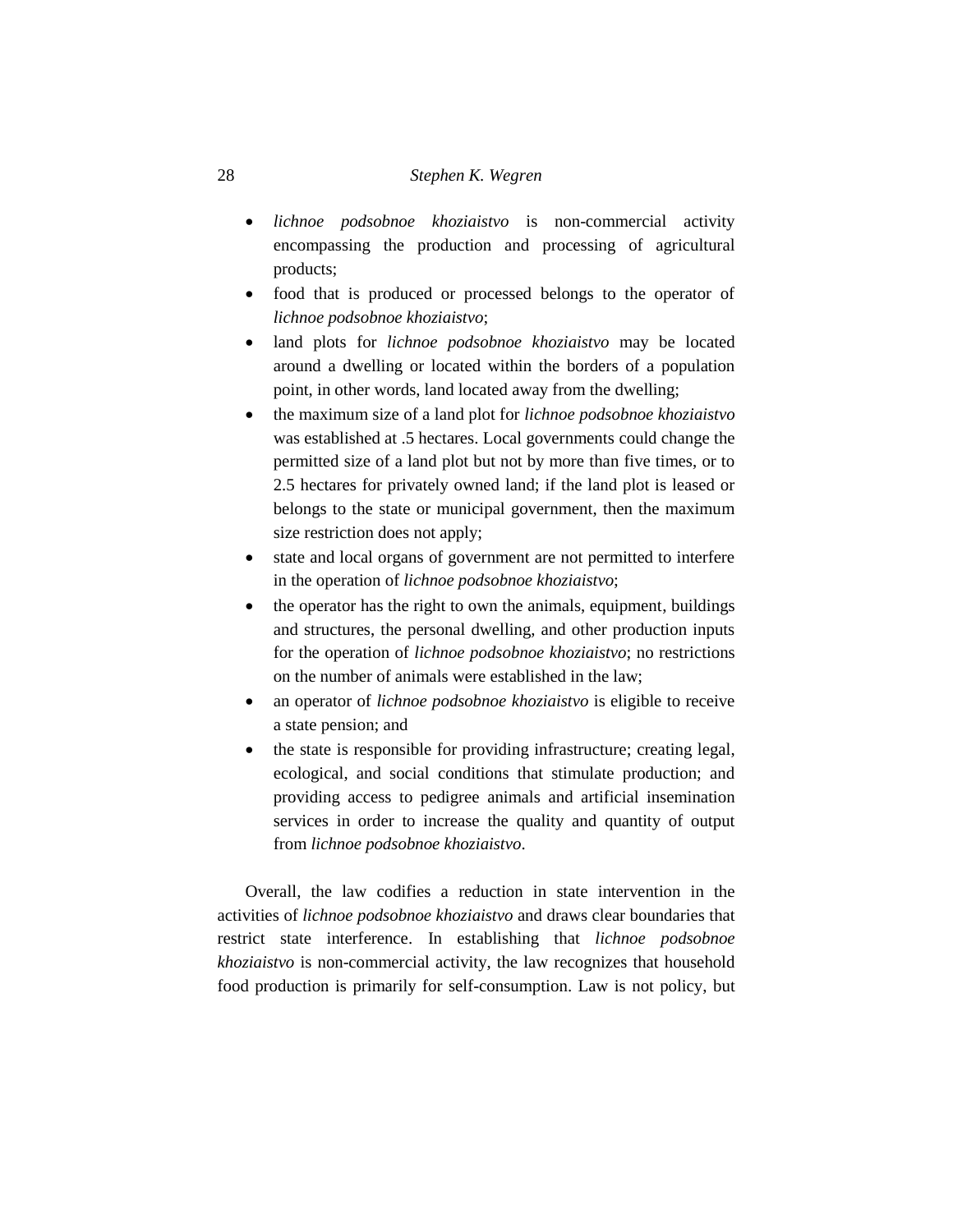- *lichnoe podsobnoe khoziaistvo* is non-commercial activity encompassing the production and processing of agricultural products;
- food that is produced or processed belongs to the operator of *lichnoe podsobnoe khoziaistvo*;
- land plots for *lichnoe podsobnoe khoziaistvo* may be located around a dwelling or located within the borders of a population point, in other words, land located away from the dwelling;
- the maximum size of a land plot for *lichnoe podsobnoe khoziaistvo* was established at .5 hectares. Local governments could change the permitted size of a land plot but not by more than five times, or to 2.5 hectares for privately owned land; if the land plot is leased or belongs to the state or municipal government, then the maximum size restriction does not apply;
- state and local organs of government are not permitted to interfere in the operation of *lichnoe podsobnoe khoziaistvo*;
- the operator has the right to own the animals, equipment, buildings and structures, the personal dwelling, and other production inputs for the operation of *lichnoe podsobnoe khoziaistvo*; no restrictions on the number of animals were established in the law;
- an operator of *lichnoe podsobnoe khoziaistvo* is eligible to receive a state pension; and
- the state is responsible for providing infrastructure; creating legal, ecological, and social conditions that stimulate production; and providing access to pedigree animals and artificial insemination services in order to increase the quality and quantity of output from *lichnoe podsobnoe khoziaistvo*.

Overall, the law codifies a reduction in state intervention in the activities of *lichnoe podsobnoe khoziaistvo* and draws clear boundaries that restrict state interference. In establishing that *lichnoe podsobnoe khoziaistvo* is non-commercial activity, the law recognizes that household food production is primarily for self-consumption. Law is not policy, but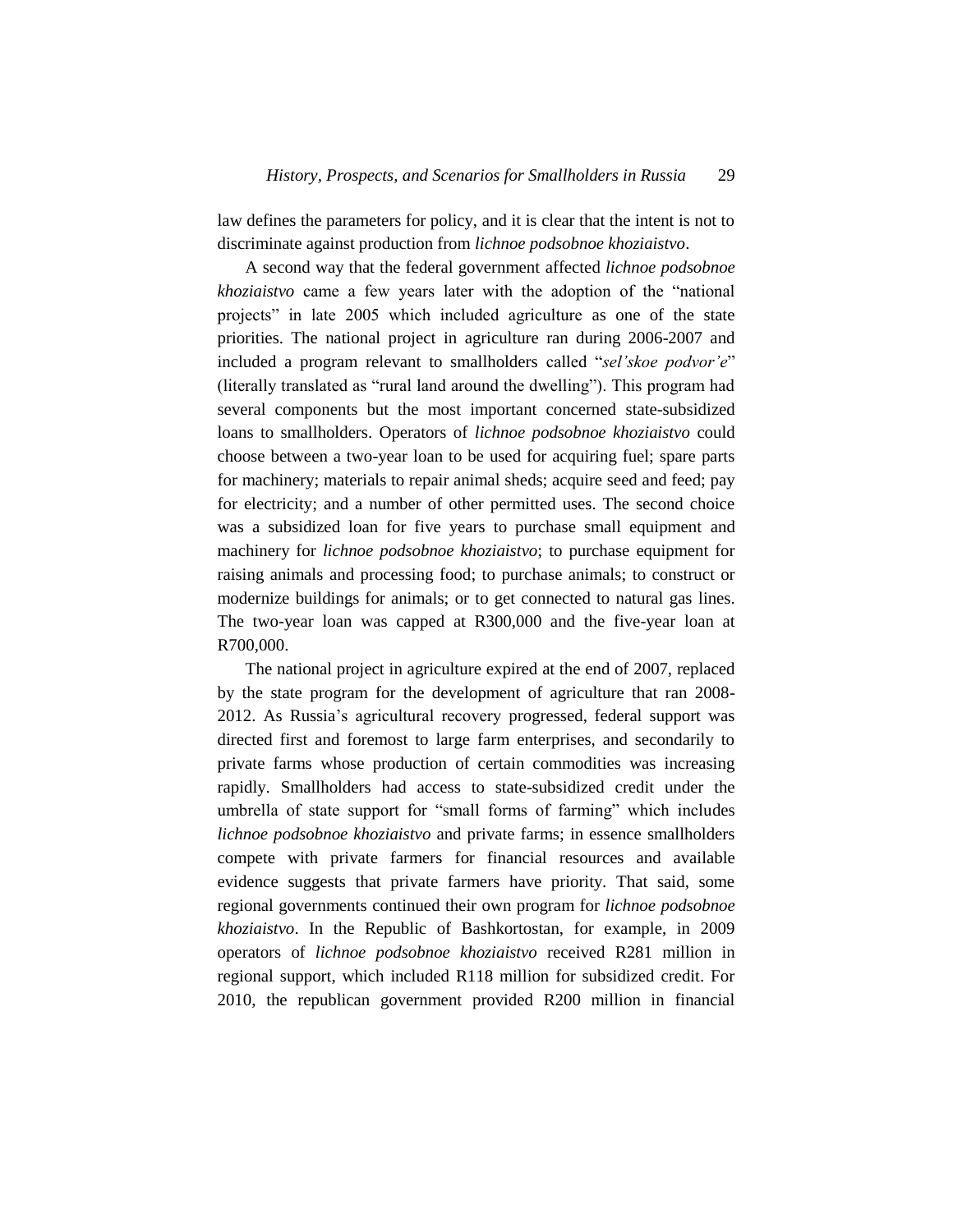law defines the parameters for policy, and it is clear that the intent is not to discriminate against production from *lichnoe podsobnoe khoziaistvo*.

A second way that the federal government affected *lichnoe podsobnoe khoziaistvo* came a few years later with the adoption of the "national projects" in late 2005 which included agriculture as one of the state priorities. The national project in agriculture ran during 2006-2007 and included a program relevant to smallholders called "*sel'skoe podvor'e*" (literally translated as "rural land around the dwelling"). This program had several components but the most important concerned state-subsidized loans to smallholders. Operators of *lichnoe podsobnoe khoziaistvo* could choose between a two-year loan to be used for acquiring fuel; spare parts for machinery; materials to repair animal sheds; acquire seed and feed; pay for electricity; and a number of other permitted uses. The second choice was a subsidized loan for five years to purchase small equipment and machinery for *lichnoe podsobnoe khoziaistvo*; to purchase equipment for raising animals and processing food; to purchase animals; to construct or modernize buildings for animals; or to get connected to natural gas lines. The two-year loan was capped at R300,000 and the five-year loan at R700,000.

The national project in agriculture expired at the end of 2007, replaced by the state program for the development of agriculture that ran 2008- 2012. As Russia's agricultural recovery progressed, federal support was directed first and foremost to large farm enterprises, and secondarily to private farms whose production of certain commodities was increasing rapidly. Smallholders had access to state-subsidized credit under the umbrella of state support for "small forms of farming" which includes *lichnoe podsobnoe khoziaistvo* and private farms; in essence smallholders compete with private farmers for financial resources and available evidence suggests that private farmers have priority. That said, some regional governments continued their own program for *lichnoe podsobnoe khoziaistvo*. In the Republic of Bashkortostan, for example, in 2009 operators of *lichnoe podsobnoe khoziaistvo* received R281 million in regional support, which included R118 million for subsidized credit. For 2010, the republican government provided R200 million in financial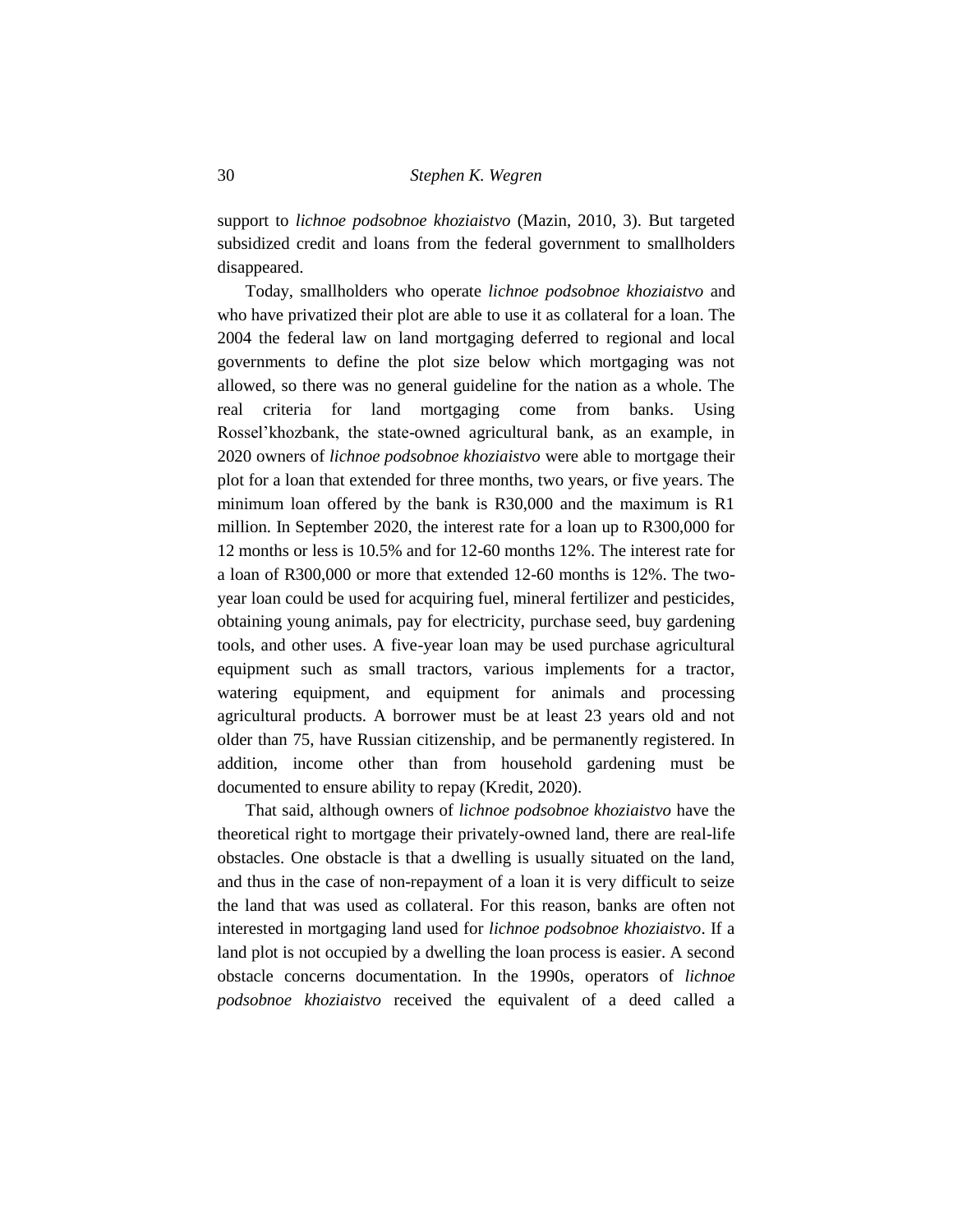support to *lichnoe podsobnoe khoziaistvo* (Mazin, 2010, 3). But targeted subsidized credit and loans from the federal government to smallholders disappeared.

Today, smallholders who operate *lichnoe podsobnoe khoziaistvo* and who have privatized their plot are able to use it as collateral for a loan. The 2004 the federal law on land mortgaging deferred to regional and local governments to define the plot size below which mortgaging was not allowed, so there was no general guideline for the nation as a whole. The real criteria for land mortgaging come from banks. Using Rossel'khozbank, the state-owned agricultural bank, as an example, in 2020 owners of *lichnoe podsobnoe khoziaistvo* were able to mortgage their plot for a loan that extended for three months, two years, or five years. The minimum loan offered by the bank is R30,000 and the maximum is R1 million. In September 2020, the interest rate for a loan up to R300,000 for 12 months or less is 10.5% and for 12-60 months 12%. The interest rate for a loan of R300,000 or more that extended 12-60 months is 12%. The twoyear loan could be used for acquiring fuel, mineral fertilizer and pesticides, obtaining young animals, pay for electricity, purchase seed, buy gardening tools, and other uses. A five-year loan may be used purchase agricultural equipment such as small tractors, various implements for a tractor, watering equipment, and equipment for animals and processing agricultural products. A borrower must be at least 23 years old and not older than 75, have Russian citizenship, and be permanently registered. In addition, income other than from household gardening must be documented to ensure ability to repay (Kredit, 2020).

That said, although owners of *lichnoe podsobnoe khoziaistvo* have the theoretical right to mortgage their privately-owned land, there are real-life obstacles. One obstacle is that a dwelling is usually situated on the land, and thus in the case of non-repayment of a loan it is very difficult to seize the land that was used as collateral. For this reason, banks are often not interested in mortgaging land used for *lichnoe podsobnoe khoziaistvo*. If a land plot is not occupied by a dwelling the loan process is easier. A second obstacle concerns documentation. In the 1990s, operators of *lichnoe podsobnoe khoziaistvo* received the equivalent of a deed called a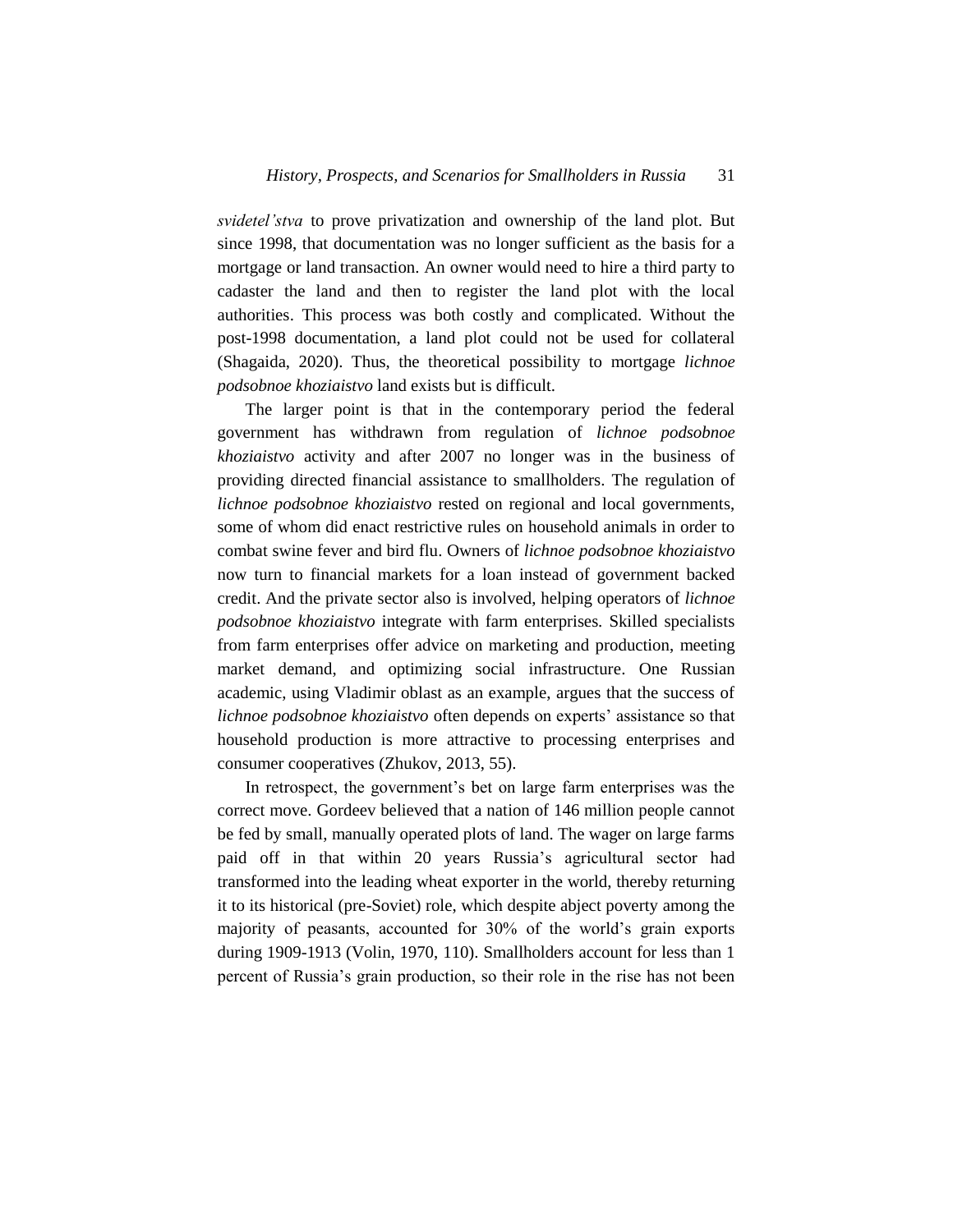*svidetel'stva* to prove privatization and ownership of the land plot. But since 1998, that documentation was no longer sufficient as the basis for a mortgage or land transaction. An owner would need to hire a third party to cadaster the land and then to register the land plot with the local authorities. This process was both costly and complicated. Without the post-1998 documentation, a land plot could not be used for collateral (Shagaida, 2020). Thus, the theoretical possibility to mortgage *lichnoe podsobnoe khoziaistvo* land exists but is difficult.

The larger point is that in the contemporary period the federal government has withdrawn from regulation of *lichnoe podsobnoe khoziaistvo* activity and after 2007 no longer was in the business of providing directed financial assistance to smallholders. The regulation of *lichnoe podsobnoe khoziaistvo* rested on regional and local governments, some of whom did enact restrictive rules on household animals in order to combat swine fever and bird flu. Owners of *lichnoe podsobnoe khoziaistvo* now turn to financial markets for a loan instead of government backed credit. And the private sector also is involved, helping operators of *lichnoe podsobnoe khoziaistvo* integrate with farm enterprises. Skilled specialists from farm enterprises offer advice on marketing and production, meeting market demand, and optimizing social infrastructure. One Russian academic, using Vladimir oblast as an example, argues that the success of *lichnoe podsobnoe khoziaistvo* often depends on experts' assistance so that household production is more attractive to processing enterprises and consumer cooperatives (Zhukov, 2013, 55).

In retrospect, the government's bet on large farm enterprises was the correct move. Gordeev believed that a nation of 146 million people cannot be fed by small, manually operated plots of land. The wager on large farms paid off in that within 20 years Russia's agricultural sector had transformed into the leading wheat exporter in the world, thereby returning it to its historical (pre-Soviet) role, which despite abject poverty among the majority of peasants, accounted for 30% of the world's grain exports during 1909-1913 (Volin, 1970, 110). Smallholders account for less than 1 percent of Russia's grain production, so their role in the rise has not been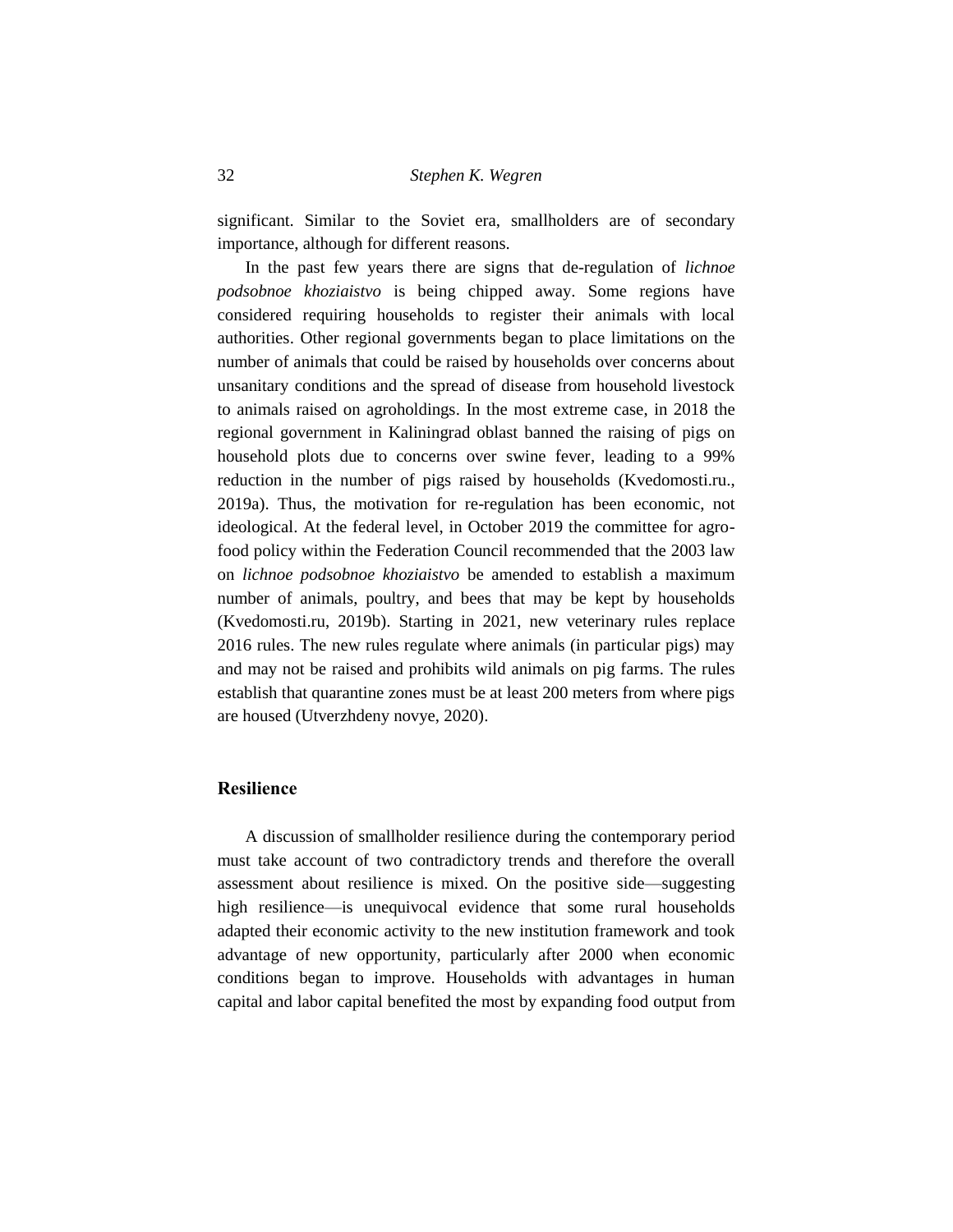significant. Similar to the Soviet era, smallholders are of secondary importance, although for different reasons.

In the past few years there are signs that de-regulation of *lichnoe podsobnoe khoziaistvo* is being chipped away. Some regions have considered requiring households to register their animals with local authorities. Other regional governments began to place limitations on the number of animals that could be raised by households over concerns about unsanitary conditions and the spread of disease from household livestock to animals raised on agroholdings. In the most extreme case, in 2018 the regional government in Kaliningrad oblast banned the raising of pigs on household plots due to concerns over swine fever, leading to a 99% reduction in the number of pigs raised by households (Kvedomosti.ru., 2019a). Thus, the motivation for re-regulation has been economic, not ideological. At the federal level, in October 2019 the committee for agrofood policy within the Federation Council recommended that the 2003 law on *lichnoe podsobnoe khoziaistvo* be amended to establish a maximum number of animals, poultry, and bees that may be kept by households (Kvedomosti.ru, 2019b). Starting in 2021, new veterinary rules replace 2016 rules. The new rules regulate where animals (in particular pigs) may and may not be raised and prohibits wild animals on pig farms. The rules establish that quarantine zones must be at least 200 meters from where pigs are housed (Utverzhdeny novye, 2020).

#### **Resilience**

A discussion of smallholder resilience during the contemporary period must take account of two contradictory trends and therefore the overall assessment about resilience is mixed. On the positive side—suggesting high resilience—is unequivocal evidence that some rural households adapted their economic activity to the new institution framework and took advantage of new opportunity, particularly after 2000 when economic conditions began to improve. Households with advantages in human capital and labor capital benefited the most by expanding food output from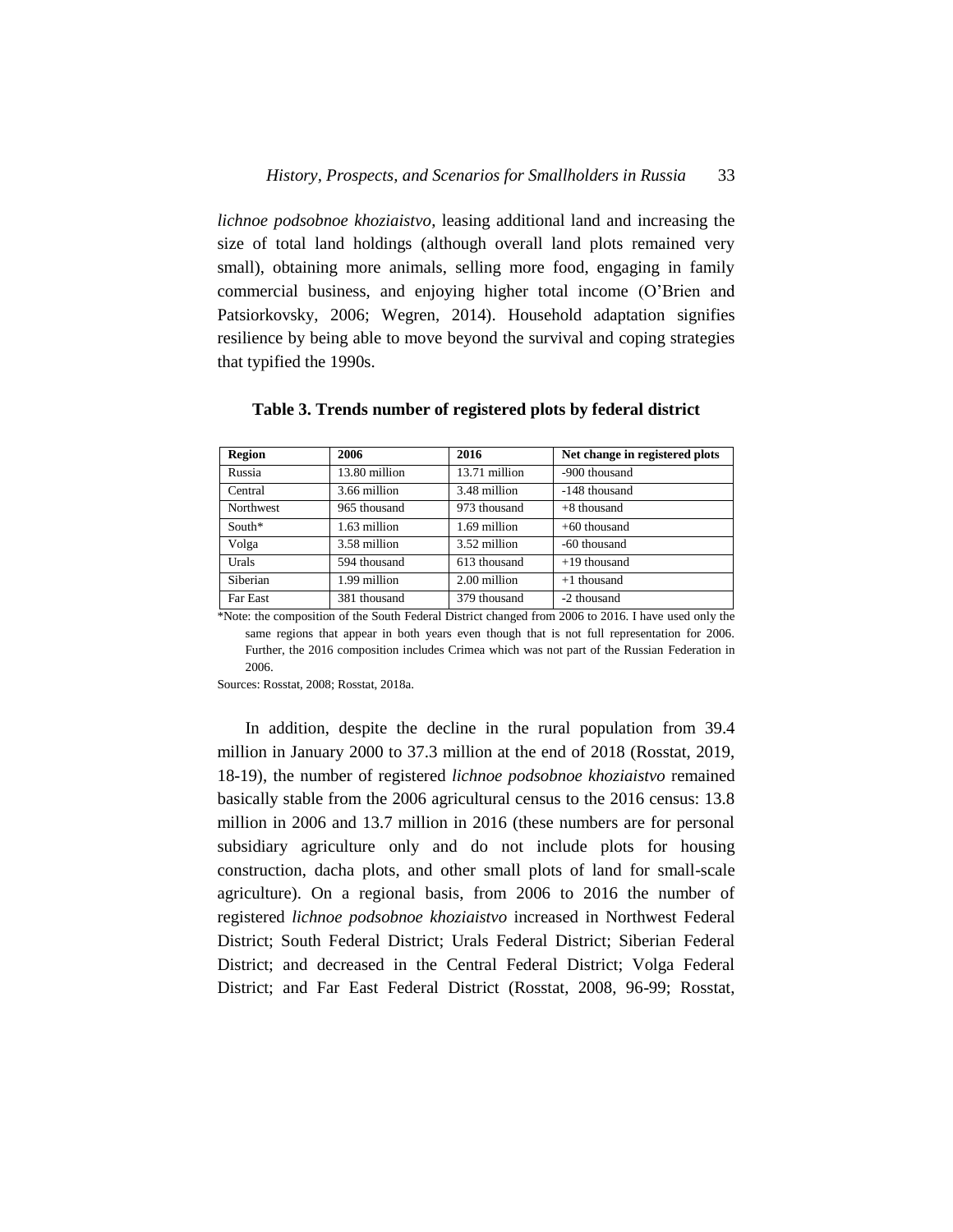*lichnoe podsobnoe khoziaistvo*, leasing additional land and increasing the size of total land holdings (although overall land plots remained very small), obtaining more animals, selling more food, engaging in family commercial business, and enjoying higher total income (O'Brien and Patsiorkovsky, 2006; Wegren, 2014). Household adaptation signifies resilience by being able to move beyond the survival and coping strategies that typified the 1990s.

| <b>Region</b> | 2006          | 2016          | Net change in registered plots |
|---------------|---------------|---------------|--------------------------------|
| Russia        | 13.80 million | 13.71 million | -900 thousand                  |
| Central       | 3.66 million  | 3.48 million  | -148 thousand                  |
| Northwest     | 965 thousand  | 973 thousand  | $+8$ thousand                  |
| $South*$      | 1.63 million  | 1.69 million  | $+60$ thousand                 |
| Volga         | 3.58 million  | 3.52 million  | -60 thousand                   |
| Urals         | 594 thousand  | 613 thousand  | $+19$ thousand                 |
| Siberian      | 1.99 million  | 2.00 million  | $+1$ thousand                  |
| Far East      | 381 thousand  | 379 thousand  | -2 thousand                    |

**Table 3. Trends number of registered plots by federal district**

\*Note: the composition of the South Federal District changed from 2006 to 2016. I have used only the same regions that appear in both years even though that is not full representation for 2006. Further, the 2016 composition includes Crimea which was not part of the Russian Federation in 2006.

Sources: Rosstat, 2008; Rosstat, 2018a.

In addition, despite the decline in the rural population from 39.4 million in January 2000 to 37.3 million at the end of 2018 (Rosstat, 2019, 18-19), the number of registered *lichnoe podsobnoe khoziaistvo* remained basically stable from the 2006 agricultural census to the 2016 census: 13.8 million in 2006 and 13.7 million in 2016 (these numbers are for personal subsidiary agriculture only and do not include plots for housing construction, dacha plots, and other small plots of land for small-scale agriculture). On a regional basis, from 2006 to 2016 the number of registered *lichnoe podsobnoe khoziaistvo* increased in Northwest Federal District; South Federal District; Urals Federal District; Siberian Federal District; and decreased in the Central Federal District; Volga Federal District; and Far East Federal District (Rosstat, 2008, 96-99; Rosstat,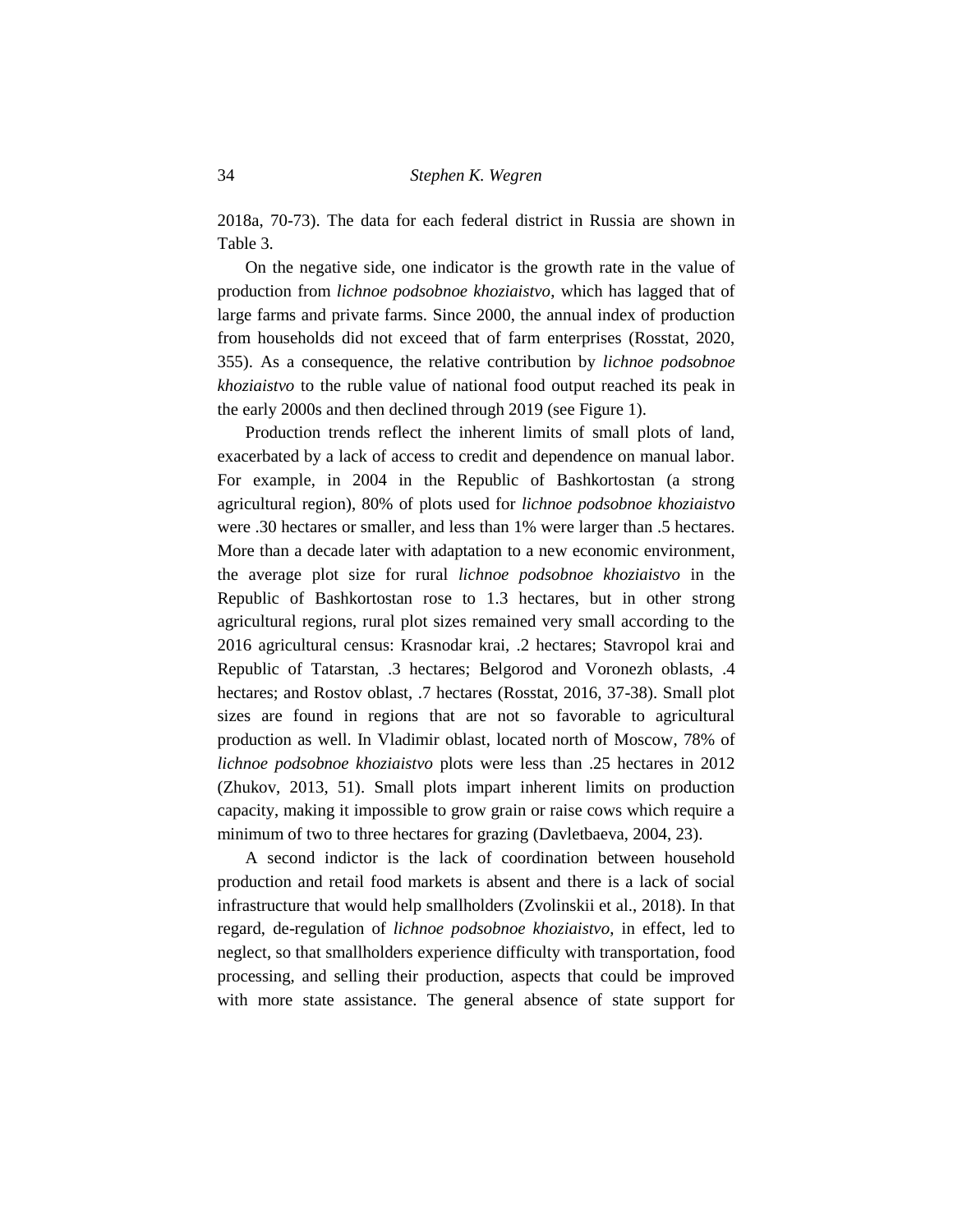2018a, 70-73). The data for each federal district in Russia are shown in Table 3.

On the negative side, one indicator is the growth rate in the value of production from *lichnoe podsobnoe khoziaistvo*, which has lagged that of large farms and private farms. Since 2000, the annual index of production from households did not exceed that of farm enterprises (Rosstat, 2020, 355). As a consequence, the relative contribution by *lichnoe podsobnoe khoziaistvo* to the ruble value of national food output reached its peak in the early 2000s and then declined through 2019 (see Figure 1).

Production trends reflect the inherent limits of small plots of land, exacerbated by a lack of access to credit and dependence on manual labor. For example, in 2004 in the Republic of Bashkortostan (a strong agricultural region), 80% of plots used for *lichnoe podsobnoe khoziaistvo* were .30 hectares or smaller, and less than 1% were larger than .5 hectares. More than a decade later with adaptation to a new economic environment, the average plot size for rural *lichnoe podsobnoe khoziaistvo* in the Republic of Bashkortostan rose to 1.3 hectares, but in other strong agricultural regions, rural plot sizes remained very small according to the 2016 agricultural census: Krasnodar krai, .2 hectares; Stavropol krai and Republic of Tatarstan, .3 hectares; Belgorod and Voronezh oblasts, .4 hectares; and Rostov oblast, .7 hectares (Rosstat, 2016, 37-38). Small plot sizes are found in regions that are not so favorable to agricultural production as well. In Vladimir oblast, located north of Moscow, 78% of *lichnoe podsobnoe khoziaistvo* plots were less than .25 hectares in 2012 (Zhukov, 2013, 51). Small plots impart inherent limits on production capacity, making it impossible to grow grain or raise cows which require a minimum of two to three hectares for grazing (Davletbaeva, 2004, 23).

A second indictor is the lack of coordination between household production and retail food markets is absent and there is a lack of social infrastructure that would help smallholders (Zvolinskii et al., 2018). In that regard, de-regulation of *lichnoe podsobnoe khoziaistvo*, in effect, led to neglect, so that smallholders experience difficulty with transportation, food processing, and selling their production, aspects that could be improved with more state assistance. The general absence of state support for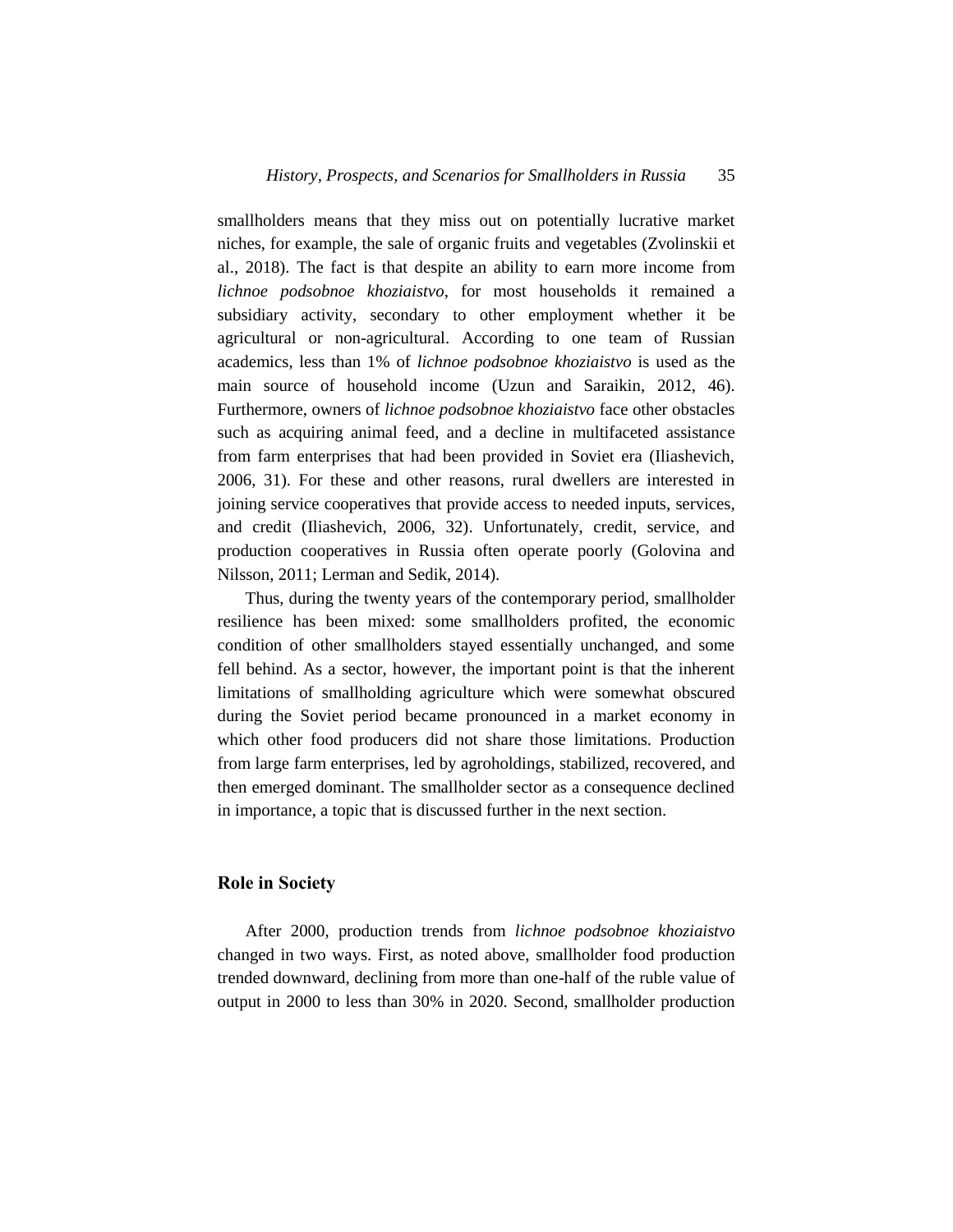smallholders means that they miss out on potentially lucrative market niches, for example, the sale of organic fruits and vegetables (Zvolinskii et al., 2018). The fact is that despite an ability to earn more income from *lichnoe podsobnoe khoziaistvo*, for most households it remained a subsidiary activity, secondary to other employment whether it be agricultural or non-agricultural. According to one team of Russian academics, less than 1% of *lichnoe podsobnoe khoziaistvo* is used as the main source of household income (Uzun and Saraikin, 2012, 46). Furthermore, owners of *lichnoe podsobnoe khoziaistvo* face other obstacles such as acquiring animal feed, and a decline in multifaceted assistance from farm enterprises that had been provided in Soviet era (Iliashevich, 2006, 31). For these and other reasons, rural dwellers are interested in joining service cooperatives that provide access to needed inputs, services, and credit (Iliashevich, 2006, 32). Unfortunately, credit, service, and production cooperatives in Russia often operate poorly (Golovina and Nilsson, 2011; Lerman and Sedik, 2014).

Thus, during the twenty years of the contemporary period, smallholder resilience has been mixed: some smallholders profited, the economic condition of other smallholders stayed essentially unchanged, and some fell behind. As a sector, however, the important point is that the inherent limitations of smallholding agriculture which were somewhat obscured during the Soviet period became pronounced in a market economy in which other food producers did not share those limitations. Production from large farm enterprises, led by agroholdings, stabilized, recovered, and then emerged dominant. The smallholder sector as a consequence declined in importance, a topic that is discussed further in the next section.

#### **Role in Society**

After 2000, production trends from *lichnoe podsobnoe khoziaistvo* changed in two ways. First, as noted above, smallholder food production trended downward, declining from more than one-half of the ruble value of output in 2000 to less than 30% in 2020. Second, smallholder production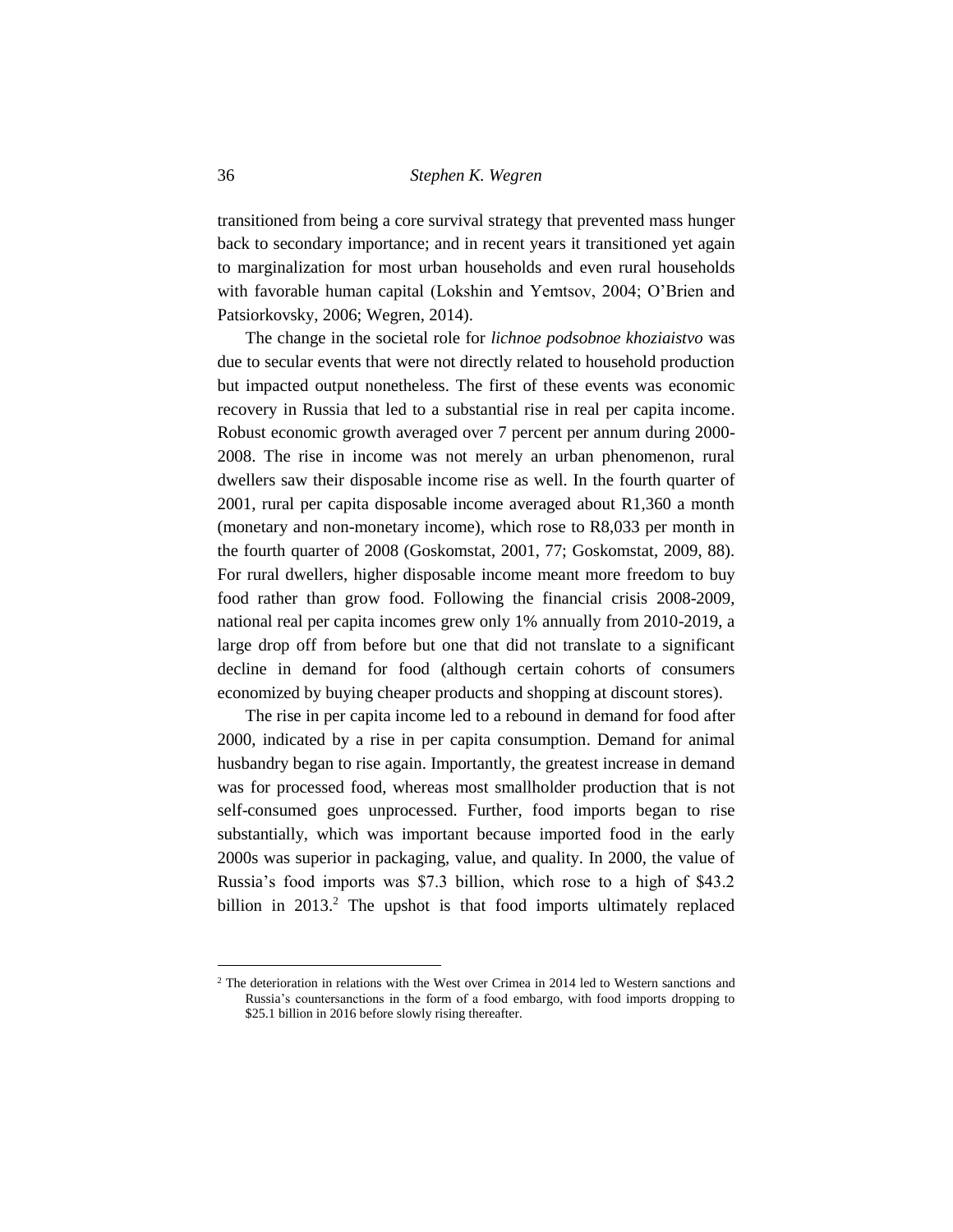transitioned from being a core survival strategy that prevented mass hunger back to secondary importance; and in recent years it transitioned yet again to marginalization for most urban households and even rural households with favorable human capital (Lokshin and Yemtsov, 2004; O'Brien and Patsiorkovsky, 2006; Wegren, 2014).

The change in the societal role for *lichnoe podsobnoe khoziaistvo* was due to secular events that were not directly related to household production but impacted output nonetheless. The first of these events was economic recovery in Russia that led to a substantial rise in real per capita income. Robust economic growth averaged over 7 percent per annum during 2000- 2008. The rise in income was not merely an urban phenomenon, rural dwellers saw their disposable income rise as well. In the fourth quarter of 2001, rural per capita disposable income averaged about R1,360 a month (monetary and non-monetary income), which rose to R8,033 per month in the fourth quarter of 2008 (Goskomstat, 2001, 77; Goskomstat, 2009, 88). For rural dwellers, higher disposable income meant more freedom to buy food rather than grow food. Following the financial crisis 2008-2009, national real per capita incomes grew only 1% annually from 2010-2019, a large drop off from before but one that did not translate to a significant decline in demand for food (although certain cohorts of consumers economized by buying cheaper products and shopping at discount stores).

The rise in per capita income led to a rebound in demand for food after 2000, indicated by a rise in per capita consumption. Demand for animal husbandry began to rise again. Importantly, the greatest increase in demand was for processed food, whereas most smallholder production that is not self-consumed goes unprocessed. Further, food imports began to rise substantially, which was important because imported food in the early 2000s was superior in packaging, value, and quality. In 2000, the value of Russia's food imports was \$7.3 billion, which rose to a high of \$43.2 billion in 2013.<sup>2</sup> The upshot is that food imports ultimately replaced

l

<sup>&</sup>lt;sup>2</sup> The deterioration in relations with the West over Crimea in 2014 led to Western sanctions and Russia's countersanctions in the form of a food embargo, with food imports dropping to \$25.1 billion in 2016 before slowly rising thereafter.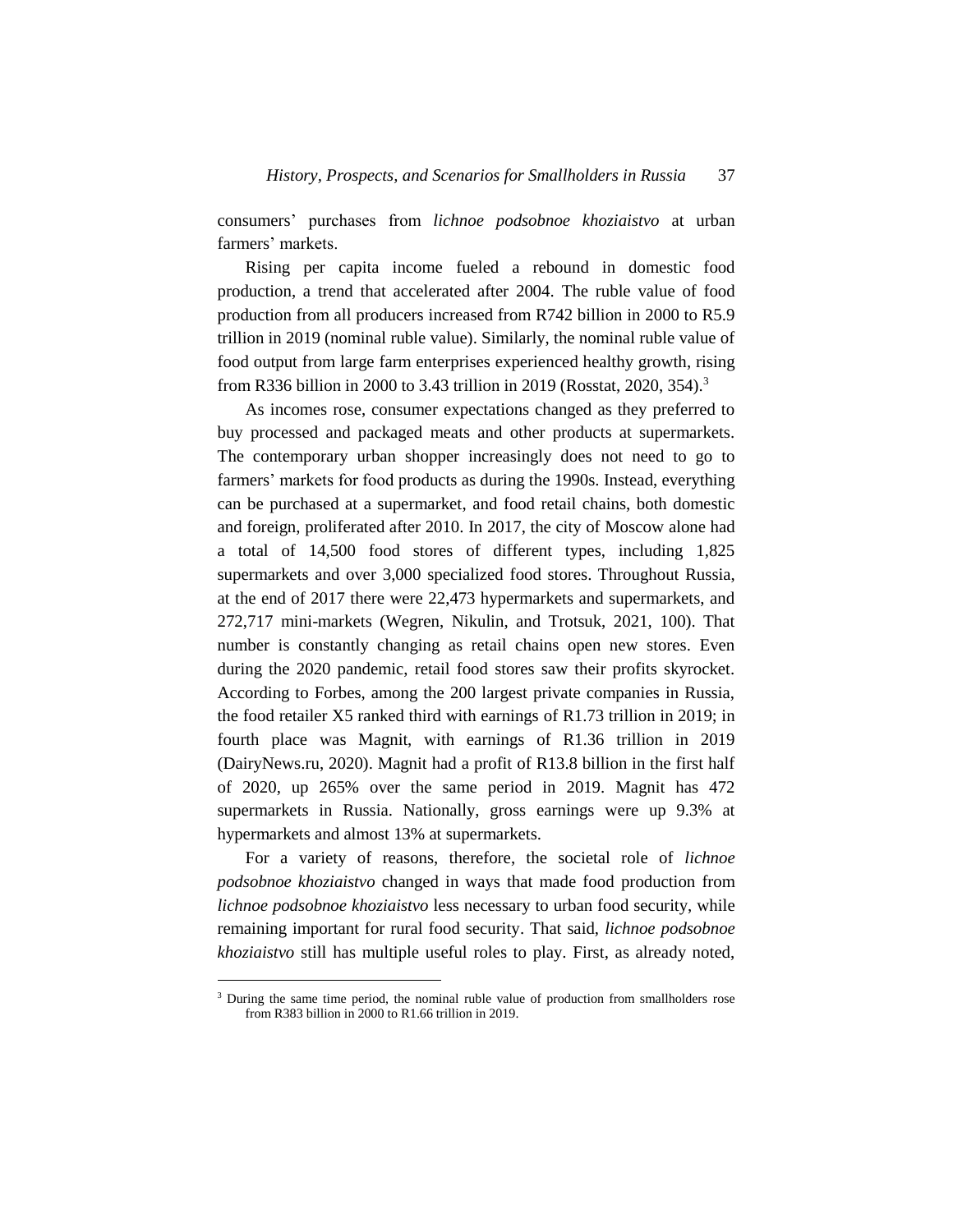consumers' purchases from *lichnoe podsobnoe khoziaistvo* at urban farmers' markets.

Rising per capita income fueled a rebound in domestic food production, a trend that accelerated after 2004. The ruble value of food production from all producers increased from R742 billion in 2000 to R5.9 trillion in 2019 (nominal ruble value). Similarly, the nominal ruble value of food output from large farm enterprises experienced healthy growth, rising from R336 billion in 2000 to 3.43 trillion in 2019 (Rosstat, 2020, 354).<sup>3</sup>

As incomes rose, consumer expectations changed as they preferred to buy processed and packaged meats and other products at supermarkets. The contemporary urban shopper increasingly does not need to go to farmers' markets for food products as during the 1990s. Instead, everything can be purchased at a supermarket, and food retail chains, both domestic and foreign, proliferated after 2010. In 2017, the city of Moscow alone had a total of 14,500 food stores of different types, including 1,825 supermarkets and over 3,000 specialized food stores. Throughout Russia, at the end of 2017 there were 22,473 hypermarkets and supermarkets, and 272,717 mini-markets (Wegren, Nikulin, and Trotsuk, 2021, 100). That number is constantly changing as retail chains open new stores. Even during the 2020 pandemic, retail food stores saw their profits skyrocket. According to Forbes, among the 200 largest private companies in Russia, the food retailer X5 ranked third with earnings of R1.73 trillion in 2019; in fourth place was Magnit, with earnings of R1.36 trillion in 2019 (DairyNews.ru, 2020). Magnit had a profit of R13.8 billion in the first half of 2020, up 265% over the same period in 2019. Magnit has 472 supermarkets in Russia. Nationally, gross earnings were up 9.3% at hypermarkets and almost 13% at supermarkets.

For a variety of reasons, therefore, the societal role of *lichnoe podsobnoe khoziaistvo* changed in ways that made food production from *lichnoe podsobnoe khoziaistvo* less necessary to urban food security, while remaining important for rural food security. That said, *lichnoe podsobnoe khoziaistvo* still has multiple useful roles to play. First, as already noted,

l

<sup>&</sup>lt;sup>3</sup> During the same time period, the nominal ruble value of production from smallholders rose from R383 billion in 2000 to R1.66 trillion in 2019.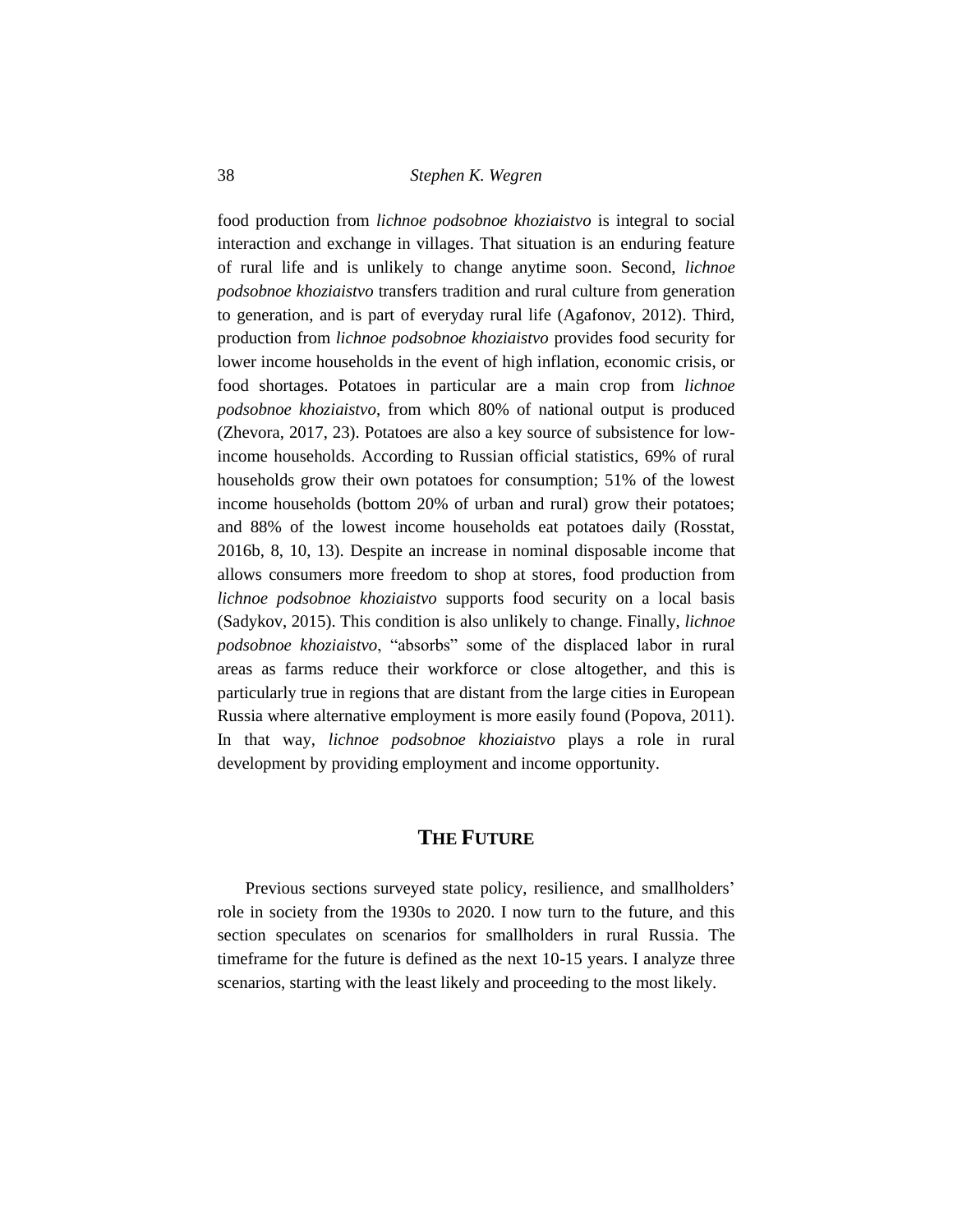food production from *lichnoe podsobnoe khoziaistvo* is integral to social interaction and exchange in villages. That situation is an enduring feature of rural life and is unlikely to change anytime soon. Second, *lichnoe podsobnoe khoziaistvo* transfers tradition and rural culture from generation to generation, and is part of everyday rural life (Agafonov, 2012). Third, production from *lichnoe podsobnoe khoziaistvo* provides food security for lower income households in the event of high inflation, economic crisis, or food shortages. Potatoes in particular are a main crop from *lichnoe podsobnoe khoziaistvo*, from which 80% of national output is produced (Zhevora, 2017, 23). Potatoes are also a key source of subsistence for lowincome households. According to Russian official statistics, 69% of rural households grow their own potatoes for consumption; 51% of the lowest income households (bottom 20% of urban and rural) grow their potatoes; and 88% of the lowest income households eat potatoes daily (Rosstat, 2016b, 8, 10, 13). Despite an increase in nominal disposable income that allows consumers more freedom to shop at stores, food production from *lichnoe podsobnoe khoziaistvo* supports food security on a local basis (Sadykov, 2015). This condition is also unlikely to change. Finally, *lichnoe podsobnoe khoziaistvo*, "absorbs" some of the displaced labor in rural areas as farms reduce their workforce or close altogether, and this is particularly true in regions that are distant from the large cities in European Russia where alternative employment is more easily found (Popova, 2011). In that way, *lichnoe podsobnoe khoziaistvo* plays a role in rural development by providing employment and income opportunity.

## **THE FUTURE**

Previous sections surveyed state policy, resilience, and smallholders' role in society from the 1930s to 2020. I now turn to the future, and this section speculates on scenarios for smallholders in rural Russia. The timeframe for the future is defined as the next 10-15 years. I analyze three scenarios, starting with the least likely and proceeding to the most likely.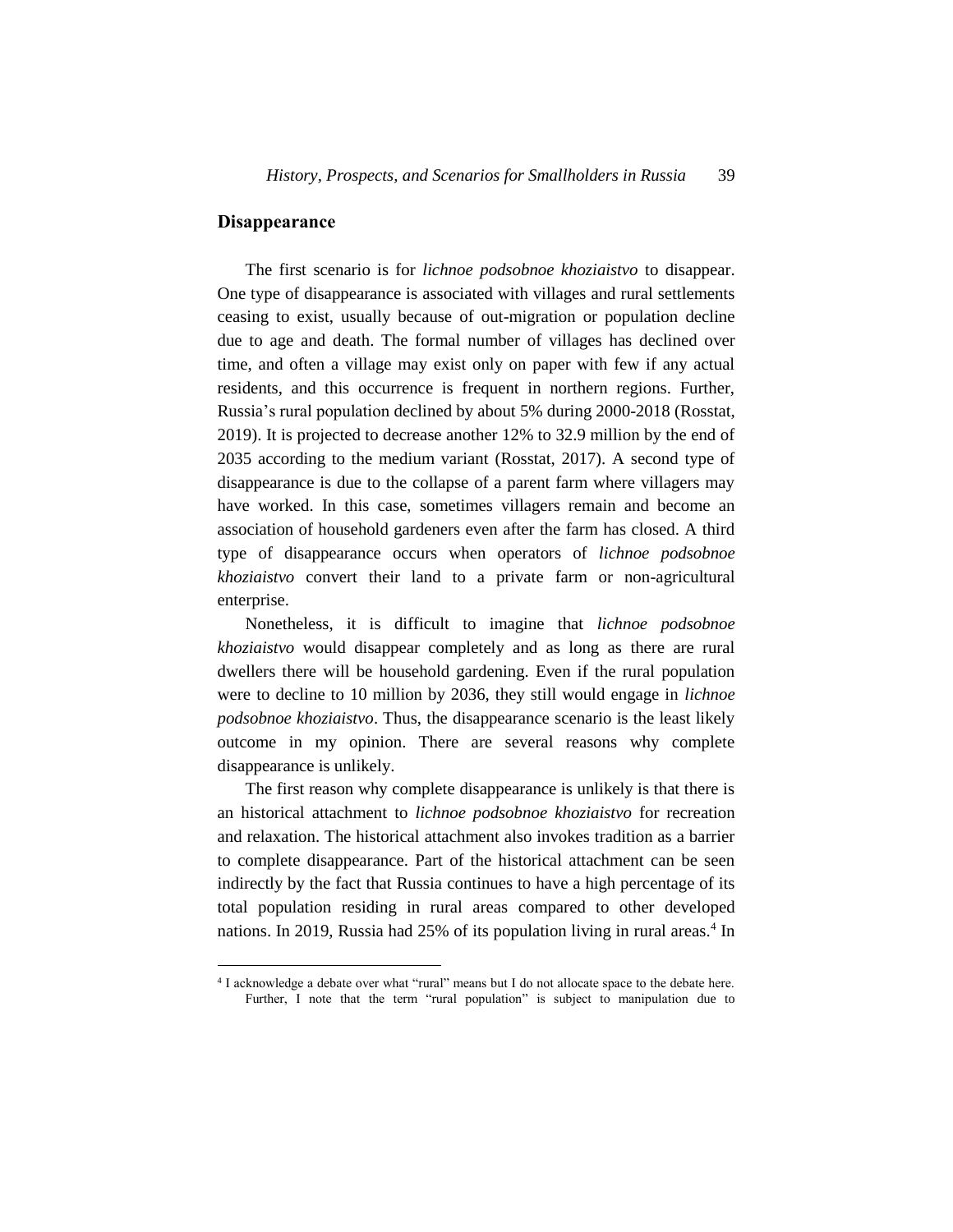## **Disappearance**

l

The first scenario is for *lichnoe podsobnoe khoziaistvo* to disappear. One type of disappearance is associated with villages and rural settlements ceasing to exist, usually because of out-migration or population decline due to age and death. The formal number of villages has declined over time, and often a village may exist only on paper with few if any actual residents, and this occurrence is frequent in northern regions. Further, Russia's rural population declined by about 5% during 2000-2018 (Rosstat, 2019). It is projected to decrease another 12% to 32.9 million by the end of 2035 according to the medium variant (Rosstat, 2017). A second type of disappearance is due to the collapse of a parent farm where villagers may have worked. In this case, sometimes villagers remain and become an association of household gardeners even after the farm has closed. A third type of disappearance occurs when operators of *lichnoe podsobnoe khoziaistvo* convert their land to a private farm or non-agricultural enterprise.

Nonetheless, it is difficult to imagine that *lichnoe podsobnoe khoziaistvo* would disappear completely and as long as there are rural dwellers there will be household gardening. Even if the rural population were to decline to 10 million by 2036, they still would engage in *lichnoe podsobnoe khoziaistvo*. Thus, the disappearance scenario is the least likely outcome in my opinion. There are several reasons why complete disappearance is unlikely.

The first reason why complete disappearance is unlikely is that there is an historical attachment to *lichnoe podsobnoe khoziaistvo* for recreation and relaxation. The historical attachment also invokes tradition as a barrier to complete disappearance. Part of the historical attachment can be seen indirectly by the fact that Russia continues to have a high percentage of its total population residing in rural areas compared to other developed nations. In 2019, Russia had 25% of its population living in rural areas.<sup>4</sup> In

<sup>&</sup>lt;sup>4</sup> I acknowledge a debate over what "rural" means but I do not allocate space to the debate here. Further, I note that the term "rural population" is subject to manipulation due to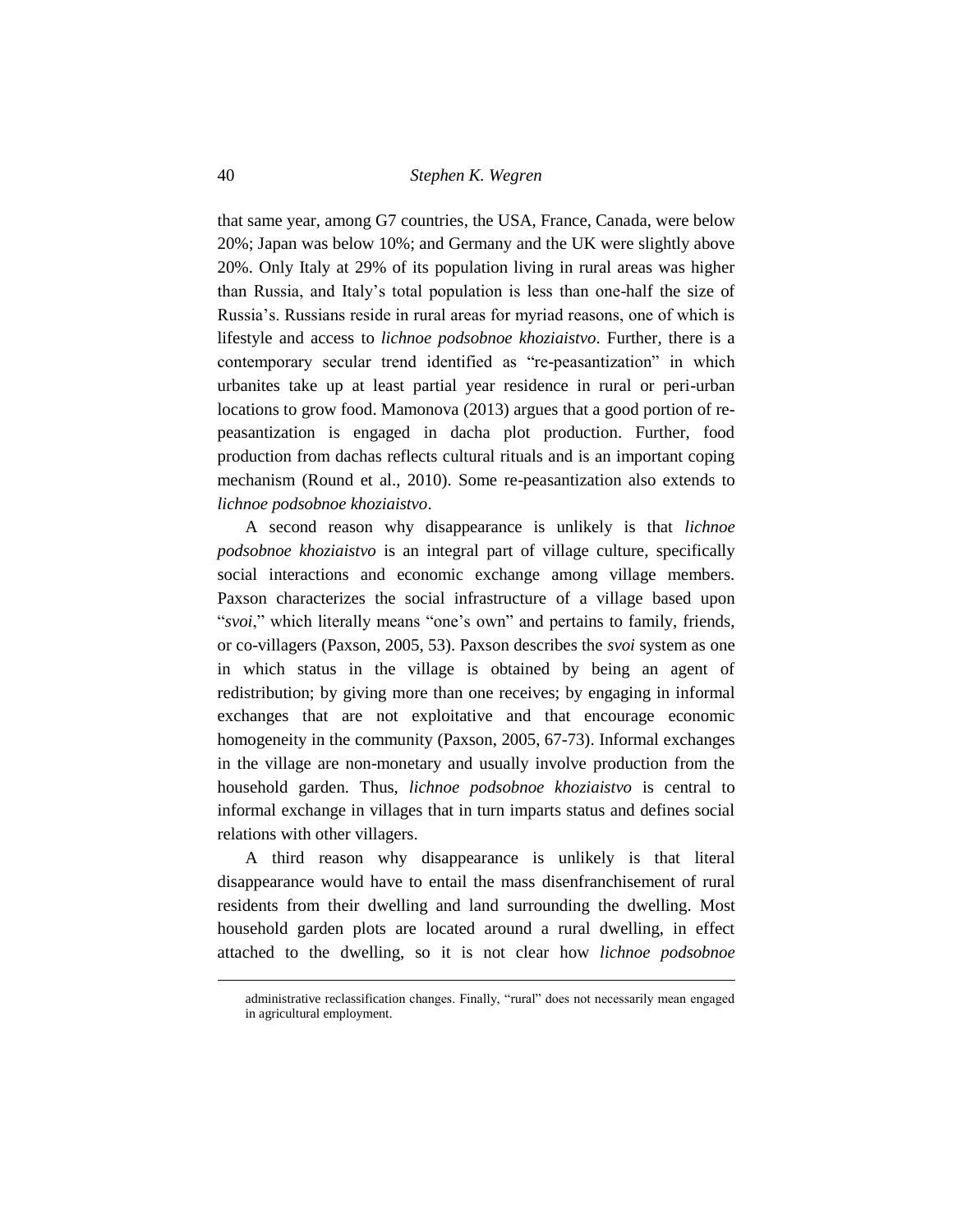that same year, among G7 countries, the USA, France, Canada, were below 20%; Japan was below 10%; and Germany and the UK were slightly above 20%. Only Italy at 29% of its population living in rural areas was higher than Russia, and Italy's total population is less than one-half the size of Russia's. Russians reside in rural areas for myriad reasons, one of which is lifestyle and access to *lichnoe podsobnoe khoziaistvo*. Further, there is a contemporary secular trend identified as "re-peasantization" in which urbanites take up at least partial year residence in rural or peri-urban locations to grow food. Mamonova (2013) argues that a good portion of repeasantization is engaged in dacha plot production. Further, food production from dachas reflects cultural rituals and is an important coping mechanism (Round et al., 2010). Some re-peasantization also extends to *lichnoe podsobnoe khoziaistvo*.

A second reason why disappearance is unlikely is that *lichnoe podsobnoe khoziaistvo* is an integral part of village culture, specifically social interactions and economic exchange among village members. Paxson characterizes the social infrastructure of a village based upon "*svoi*," which literally means "one's own" and pertains to family, friends, or co-villagers (Paxson, 2005, 53). Paxson describes the *svoi* system as one in which status in the village is obtained by being an agent of redistribution; by giving more than one receives; by engaging in informal exchanges that are not exploitative and that encourage economic homogeneity in the community (Paxson, 2005, 67-73). Informal exchanges in the village are non-monetary and usually involve production from the household garden. Thus, *lichnoe podsobnoe khoziaistvo* is central to informal exchange in villages that in turn imparts status and defines social relations with other villagers.

A third reason why disappearance is unlikely is that literal disappearance would have to entail the mass disenfranchisement of rural residents from their dwelling and land surrounding the dwelling. Most household garden plots are located around a rural dwelling, in effect attached to the dwelling, so it is not clear how *lichnoe podsobnoe* 

l

administrative reclassification changes. Finally, "rural" does not necessarily mean engaged in agricultural employment.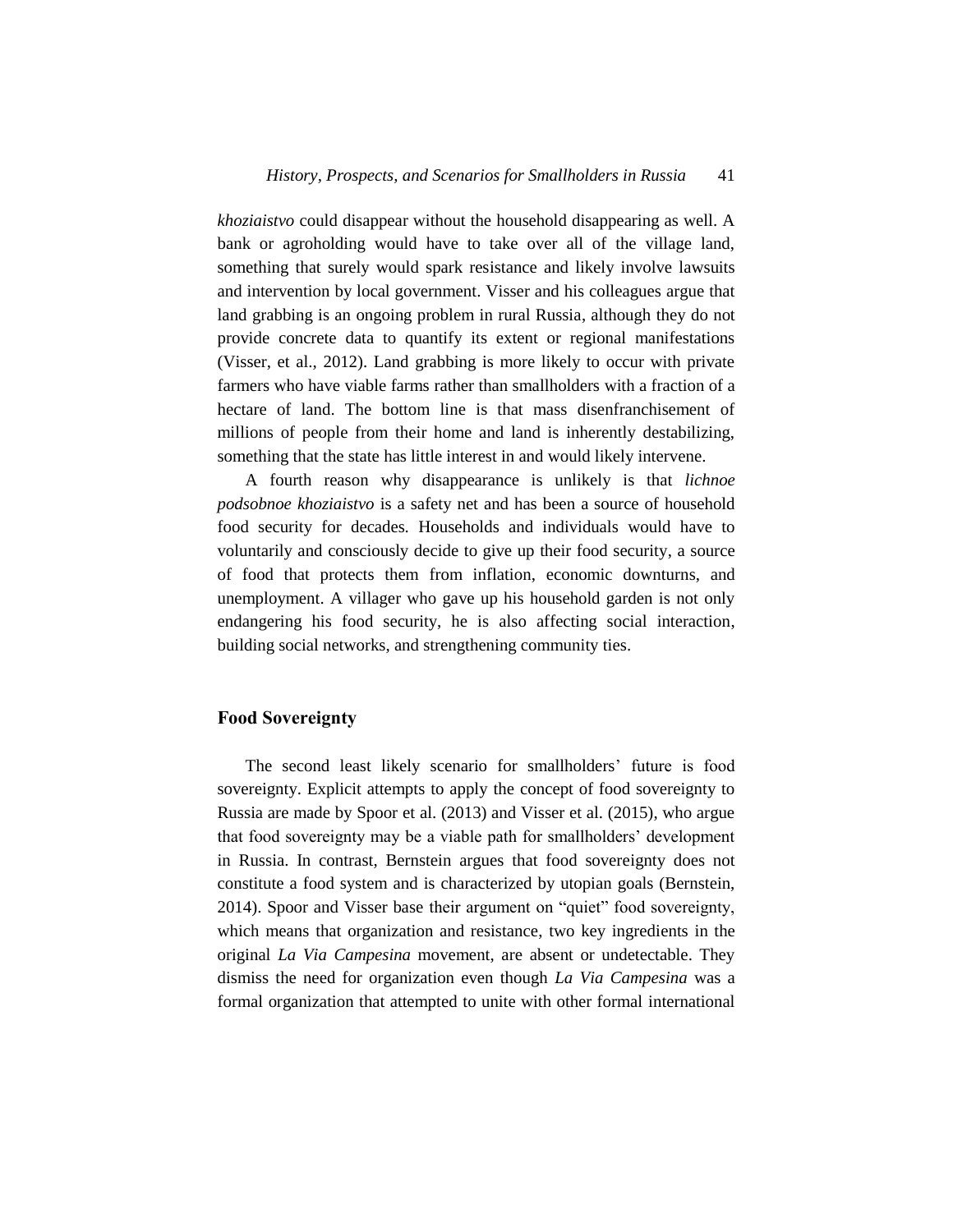*khoziaistvo* could disappear without the household disappearing as well. A bank or agroholding would have to take over all of the village land, something that surely would spark resistance and likely involve lawsuits and intervention by local government. Visser and his colleagues argue that land grabbing is an ongoing problem in rural Russia, although they do not provide concrete data to quantify its extent or regional manifestations (Visser, et al., 2012). Land grabbing is more likely to occur with private farmers who have viable farms rather than smallholders with a fraction of a hectare of land. The bottom line is that mass disenfranchisement of millions of people from their home and land is inherently destabilizing, something that the state has little interest in and would likely intervene.

A fourth reason why disappearance is unlikely is that *lichnoe podsobnoe khoziaistvo* is a safety net and has been a source of household food security for decades. Households and individuals would have to voluntarily and consciously decide to give up their food security, a source of food that protects them from inflation, economic downturns, and unemployment. A villager who gave up his household garden is not only endangering his food security, he is also affecting social interaction, building social networks, and strengthening community ties.

## **Food Sovereignty**

The second least likely scenario for smallholders' future is food sovereignty. Explicit attempts to apply the concept of food sovereignty to Russia are made by Spoor et al. (2013) and Visser et al. (2015), who argue that food sovereignty may be a viable path for smallholders' development in Russia. In contrast, Bernstein argues that food sovereignty does not constitute a food system and is characterized by utopian goals (Bernstein, 2014). Spoor and Visser base their argument on "quiet" food sovereignty, which means that organization and resistance, two key ingredients in the original *La Via Campesina* movement, are absent or undetectable. They dismiss the need for organization even though *La Via Campesina* was a formal organization that attempted to unite with other formal international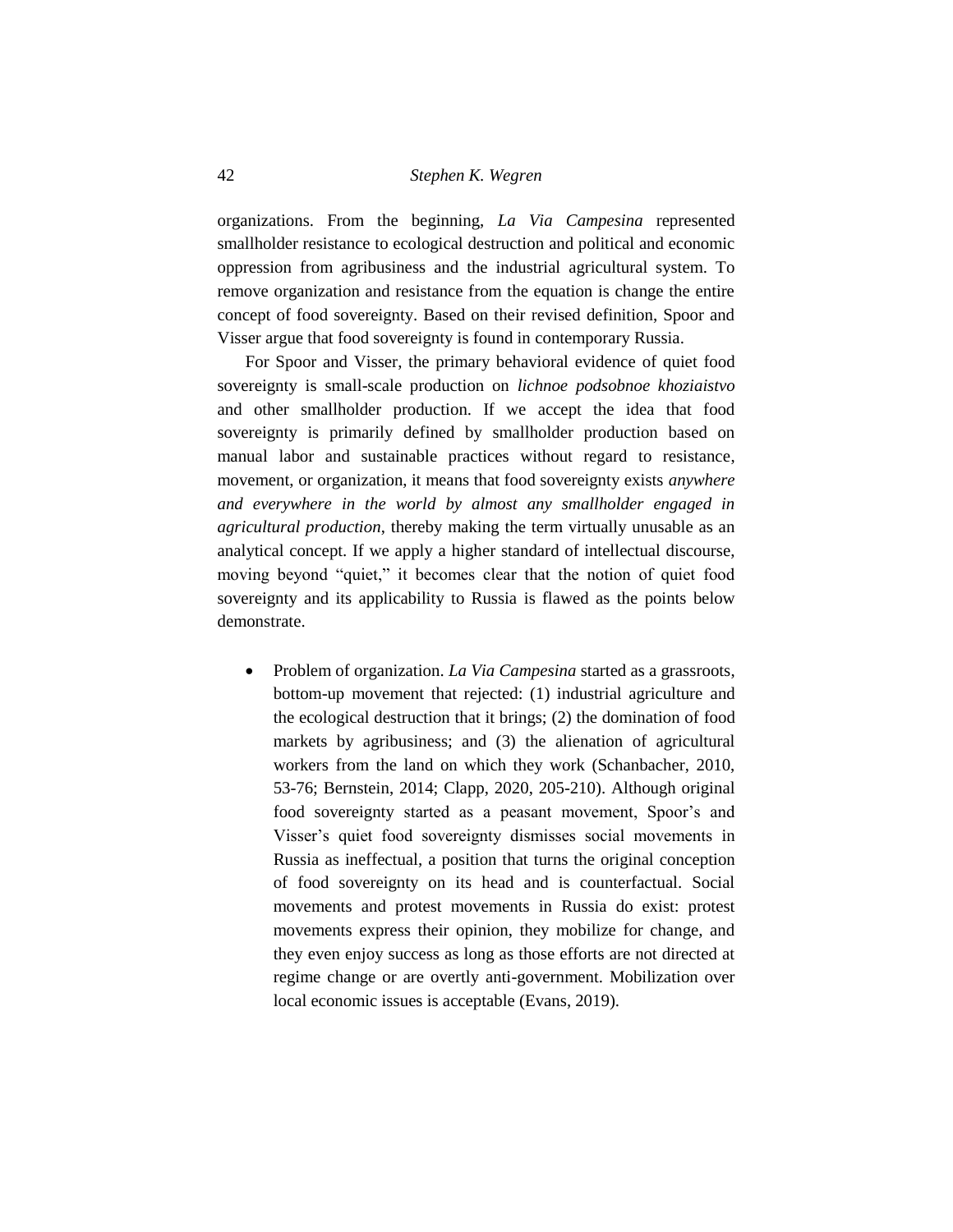organizations. From the beginning, *La Via Campesina* represented smallholder resistance to ecological destruction and political and economic oppression from agribusiness and the industrial agricultural system. To remove organization and resistance from the equation is change the entire concept of food sovereignty. Based on their revised definition, Spoor and Visser argue that food sovereignty is found in contemporary Russia.

For Spoor and Visser, the primary behavioral evidence of quiet food sovereignty is small-scale production on *lichnoe podsobnoe khoziaistvo* and other smallholder production. If we accept the idea that food sovereignty is primarily defined by smallholder production based on manual labor and sustainable practices without regard to resistance, movement, or organization, it means that food sovereignty exists *anywhere and everywhere in the world by almost any smallholder engaged in agricultural production*, thereby making the term virtually unusable as an analytical concept. If we apply a higher standard of intellectual discourse, moving beyond "quiet," it becomes clear that the notion of quiet food sovereignty and its applicability to Russia is flawed as the points below demonstrate.

• Problem of organization. *La Via Campesina* started as a grassroots, bottom-up movement that rejected: (1) industrial agriculture and the ecological destruction that it brings; (2) the domination of food markets by agribusiness; and (3) the alienation of agricultural workers from the land on which they work (Schanbacher, 2010, 53-76; Bernstein, 2014; Clapp, 2020, 205-210). Although original food sovereignty started as a peasant movement, Spoor's and Visser's quiet food sovereignty dismisses social movements in Russia as ineffectual, a position that turns the original conception of food sovereignty on its head and is counterfactual. Social movements and protest movements in Russia do exist: protest movements express their opinion, they mobilize for change, and they even enjoy success as long as those efforts are not directed at regime change or are overtly anti-government. Mobilization over local economic issues is acceptable (Evans, 2019).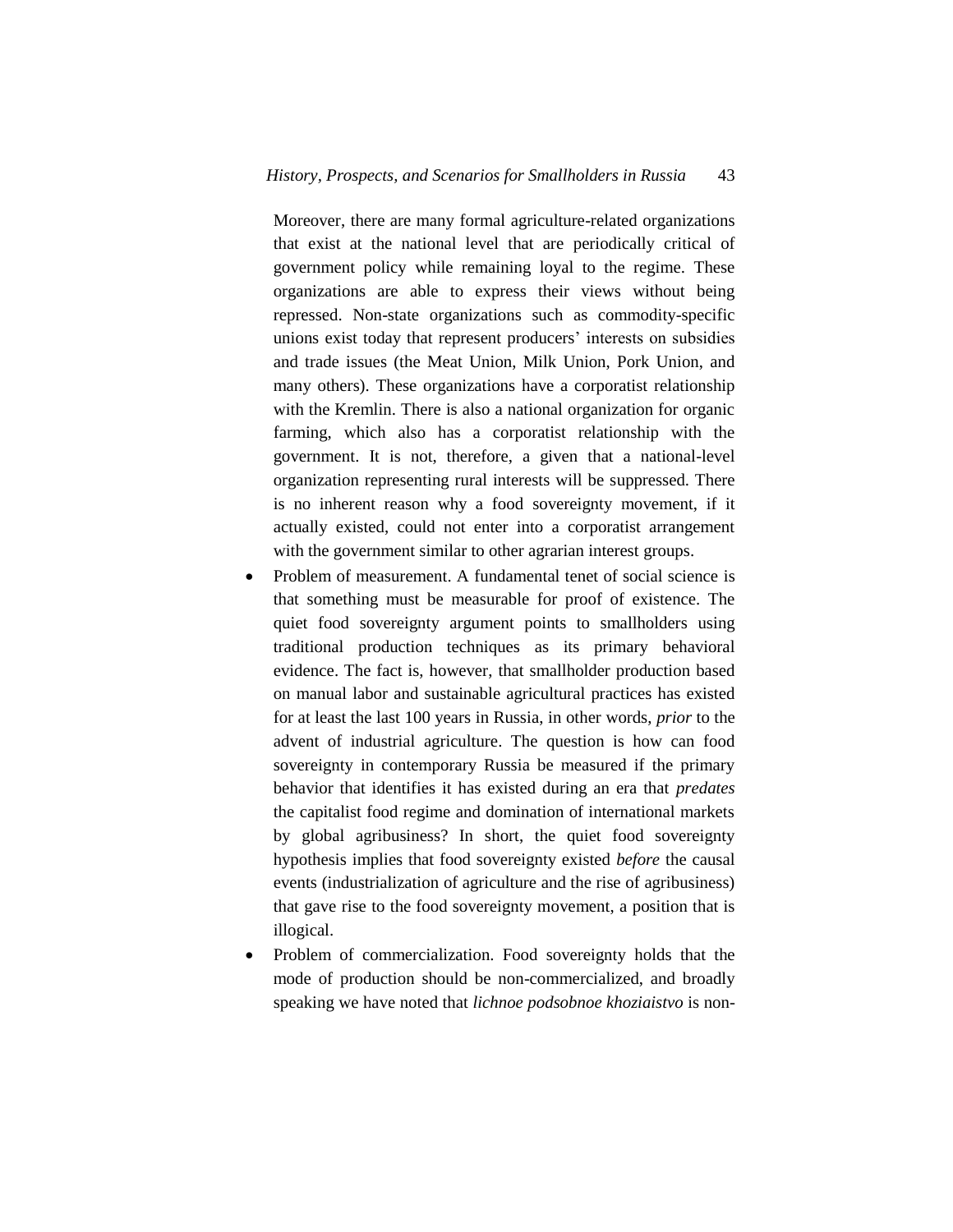Moreover, there are many formal agriculture-related organizations that exist at the national level that are periodically critical of government policy while remaining loyal to the regime. These organizations are able to express their views without being repressed. Non-state organizations such as commodity-specific unions exist today that represent producers' interests on subsidies and trade issues (the Meat Union, Milk Union, Pork Union, and many others). These organizations have a corporatist relationship with the Kremlin. There is also a national organization for organic farming, which also has a corporatist relationship with the government. It is not, therefore, a given that a national-level organization representing rural interests will be suppressed. There is no inherent reason why a food sovereignty movement, if it actually existed, could not enter into a corporatist arrangement with the government similar to other agrarian interest groups.

- Problem of measurement. A fundamental tenet of social science is that something must be measurable for proof of existence. The quiet food sovereignty argument points to smallholders using traditional production techniques as its primary behavioral evidence. The fact is, however, that smallholder production based on manual labor and sustainable agricultural practices has existed for at least the last 100 years in Russia, in other words, *prior* to the advent of industrial agriculture. The question is how can food sovereignty in contemporary Russia be measured if the primary behavior that identifies it has existed during an era that *predates* the capitalist food regime and domination of international markets by global agribusiness? In short, the quiet food sovereignty hypothesis implies that food sovereignty existed *before* the causal events (industrialization of agriculture and the rise of agribusiness) that gave rise to the food sovereignty movement, a position that is illogical.
- Problem of commercialization. Food sovereignty holds that the mode of production should be non-commercialized, and broadly speaking we have noted that *lichnoe podsobnoe khoziaistvo* is non-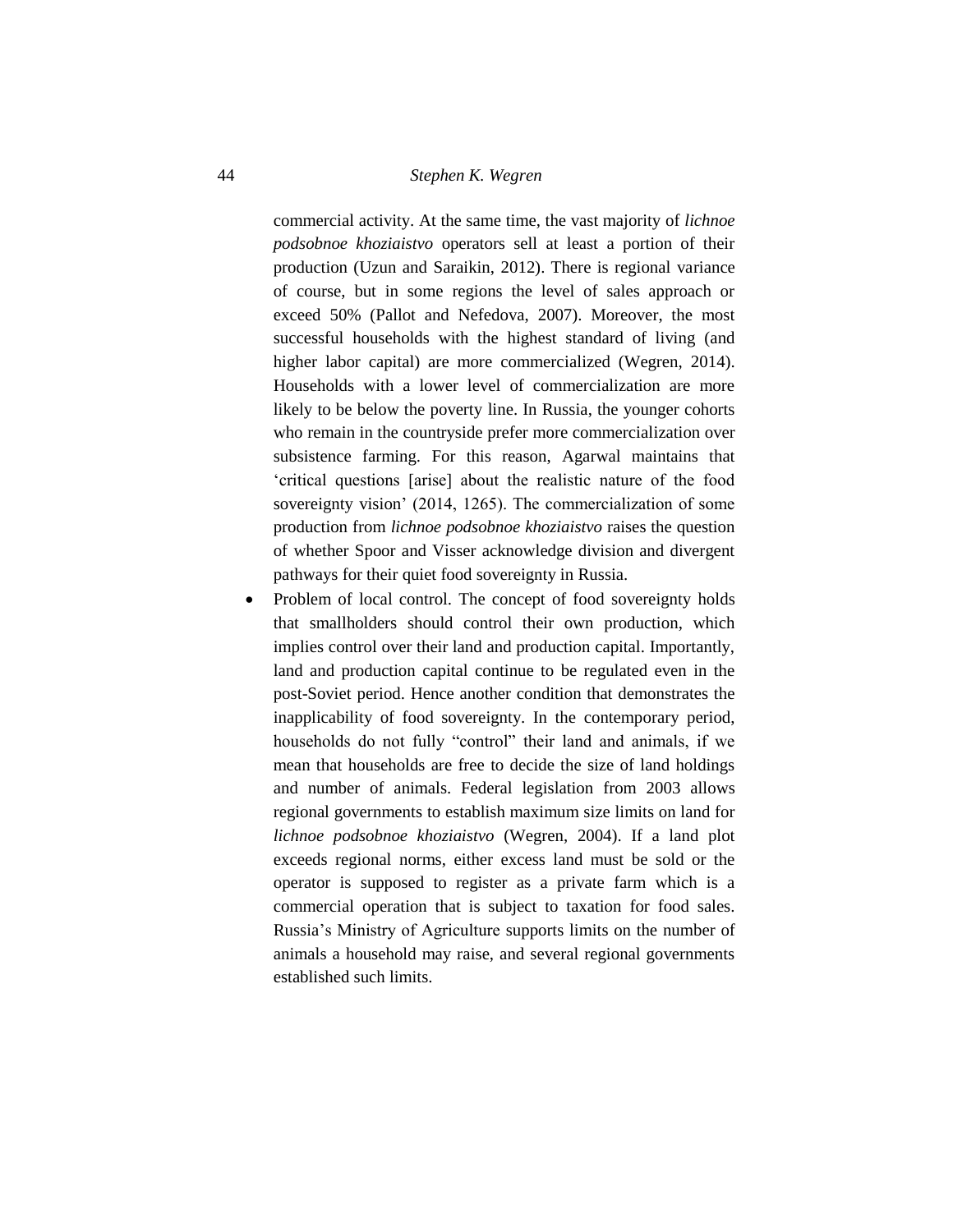commercial activity. At the same time, the vast majority of *lichnoe podsobnoe khoziaistvo* operators sell at least a portion of their production (Uzun and Saraikin, 2012). There is regional variance of course, but in some regions the level of sales approach or exceed 50% (Pallot and Nefedova, 2007). Moreover, the most successful households with the highest standard of living (and higher labor capital) are more commercialized (Wegren, 2014). Households with a lower level of commercialization are more likely to be below the poverty line. In Russia, the younger cohorts who remain in the countryside prefer more commercialization over subsistence farming. For this reason, Agarwal maintains that 'critical questions [arise] about the realistic nature of the food sovereignty vision' (2014, 1265). The commercialization of some production from *lichnoe podsobnoe khoziaistvo* raises the question of whether Spoor and Visser acknowledge division and divergent pathways for their quiet food sovereignty in Russia.

• Problem of local control. The concept of food sovereignty holds that smallholders should control their own production, which implies control over their land and production capital. Importantly, land and production capital continue to be regulated even in the post-Soviet period. Hence another condition that demonstrates the inapplicability of food sovereignty. In the contemporary period, households do not fully "control" their land and animals, if we mean that households are free to decide the size of land holdings and number of animals. Federal legislation from 2003 allows regional governments to establish maximum size limits on land for *lichnoe podsobnoe khoziaistvo* (Wegren, 2004). If a land plot exceeds regional norms, either excess land must be sold or the operator is supposed to register as a private farm which is a commercial operation that is subject to taxation for food sales. Russia's Ministry of Agriculture supports limits on the number of animals a household may raise, and several regional governments established such limits.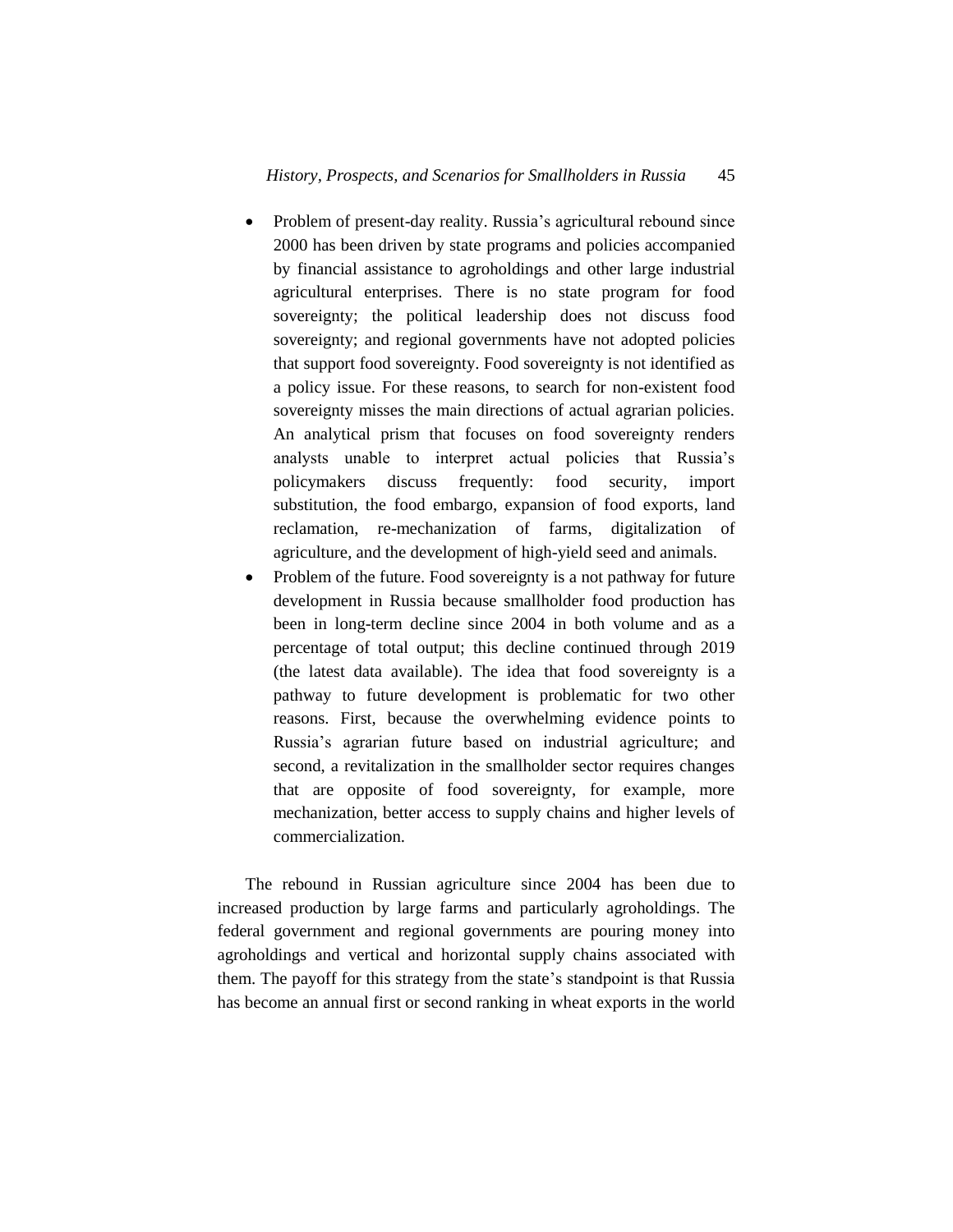- Problem of present-day reality. Russia's agricultural rebound since 2000 has been driven by state programs and policies accompanied by financial assistance to agroholdings and other large industrial agricultural enterprises. There is no state program for food sovereignty; the political leadership does not discuss food sovereignty; and regional governments have not adopted policies that support food sovereignty. Food sovereignty is not identified as a policy issue. For these reasons, to search for non-existent food sovereignty misses the main directions of actual agrarian policies. An analytical prism that focuses on food sovereignty renders analysts unable to interpret actual policies that Russia's policymakers discuss frequently: food security, import substitution, the food embargo, expansion of food exports, land reclamation, re-mechanization of farms, digitalization of agriculture, and the development of high-yield seed and animals.
- Problem of the future. Food sovereignty is a not pathway for future development in Russia because smallholder food production has been in long-term decline since 2004 in both volume and as a percentage of total output; this decline continued through 2019 (the latest data available). The idea that food sovereignty is a pathway to future development is problematic for two other reasons. First, because the overwhelming evidence points to Russia's agrarian future based on industrial agriculture; and second, a revitalization in the smallholder sector requires changes that are opposite of food sovereignty, for example, more mechanization, better access to supply chains and higher levels of commercialization.

The rebound in Russian agriculture since 2004 has been due to increased production by large farms and particularly agroholdings. The federal government and regional governments are pouring money into agroholdings and vertical and horizontal supply chains associated with them. The payoff for this strategy from the state's standpoint is that Russia has become an annual first or second ranking in wheat exports in the world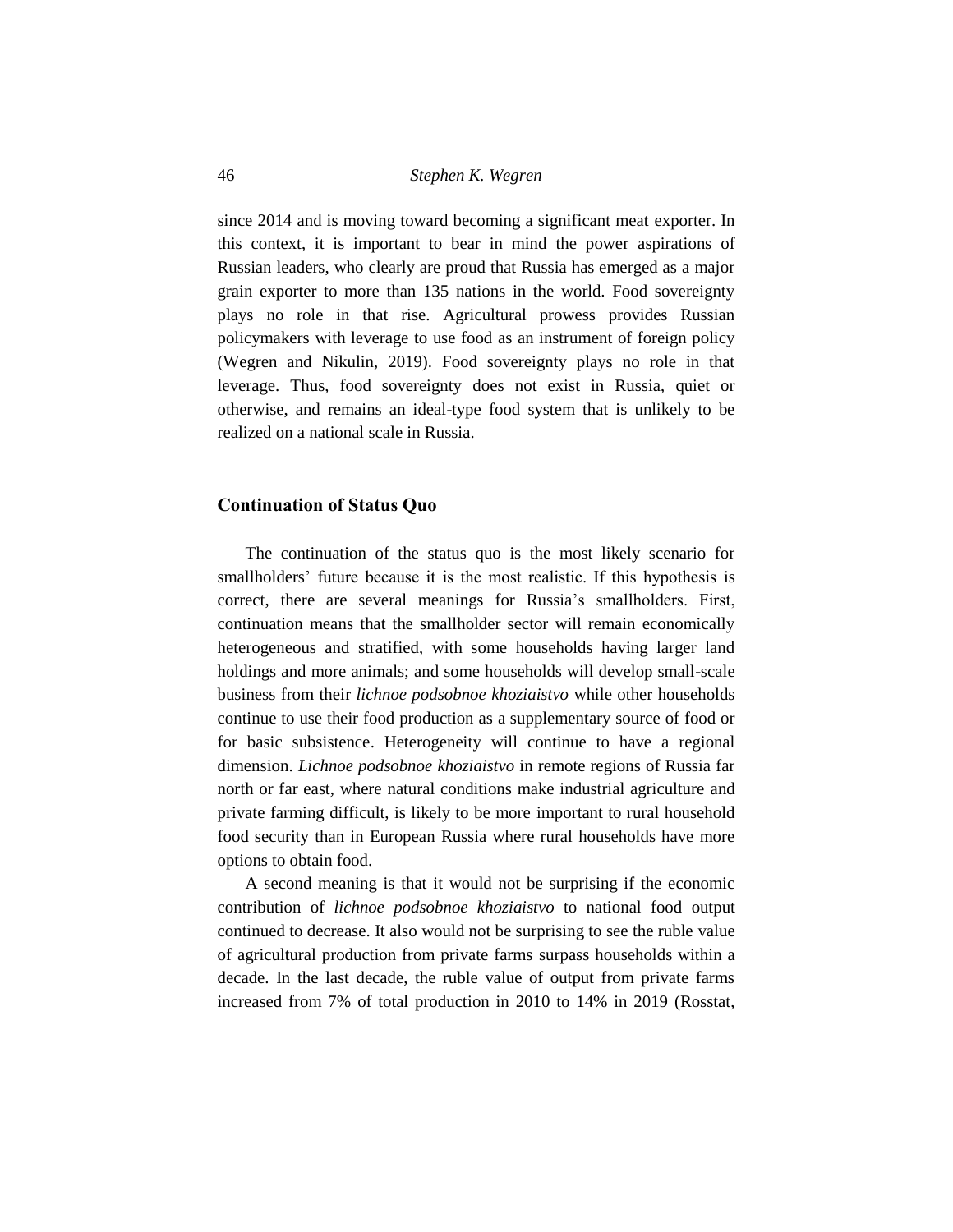since 2014 and is moving toward becoming a significant meat exporter. In this context, it is important to bear in mind the power aspirations of Russian leaders, who clearly are proud that Russia has emerged as a major grain exporter to more than 135 nations in the world. Food sovereignty plays no role in that rise. Agricultural prowess provides Russian policymakers with leverage to use food as an instrument of foreign policy (Wegren and Nikulin, 2019). Food sovereignty plays no role in that leverage. Thus, food sovereignty does not exist in Russia, quiet or otherwise, and remains an ideal-type food system that is unlikely to be realized on a national scale in Russia.

#### **Continuation of Status Quo**

The continuation of the status quo is the most likely scenario for smallholders' future because it is the most realistic. If this hypothesis is correct, there are several meanings for Russia's smallholders. First, continuation means that the smallholder sector will remain economically heterogeneous and stratified, with some households having larger land holdings and more animals; and some households will develop small-scale business from their *lichnoe podsobnoe khoziaistvo* while other households continue to use their food production as a supplementary source of food or for basic subsistence. Heterogeneity will continue to have a regional dimension. *Lichnoe podsobnoe khoziaistvo* in remote regions of Russia far north or far east, where natural conditions make industrial agriculture and private farming difficult, is likely to be more important to rural household food security than in European Russia where rural households have more options to obtain food.

A second meaning is that it would not be surprising if the economic contribution of *lichnoe podsobnoe khoziaistvo* to national food output continued to decrease. It also would not be surprising to see the ruble value of agricultural production from private farms surpass households within a decade. In the last decade, the ruble value of output from private farms increased from 7% of total production in 2010 to 14% in 2019 (Rosstat,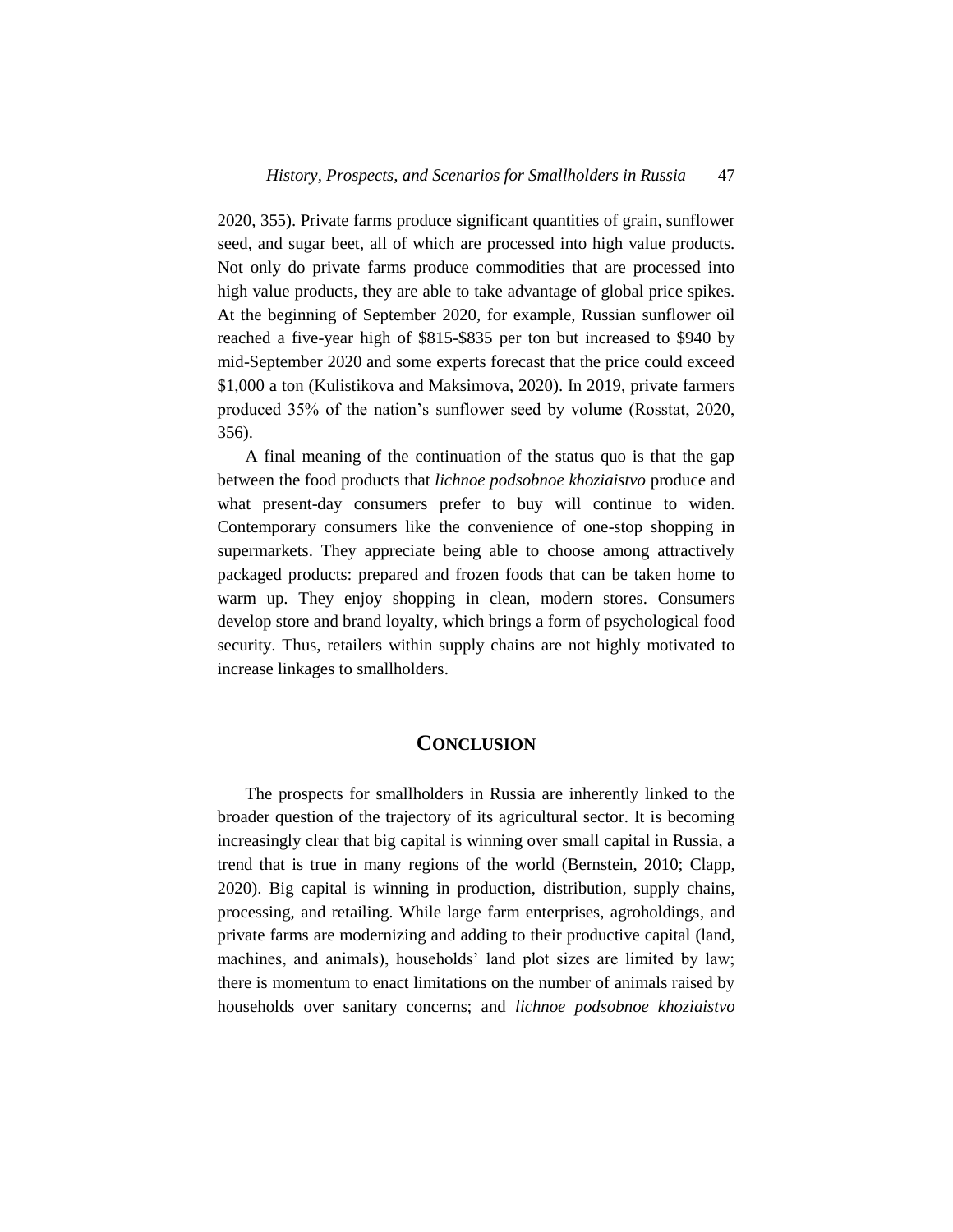2020, 355). Private farms produce significant quantities of grain, sunflower seed, and sugar beet, all of which are processed into high value products. Not only do private farms produce commodities that are processed into high value products, they are able to take advantage of global price spikes. At the beginning of September 2020, for example, Russian sunflower oil reached a five-year high of \$815-\$835 per ton but increased to \$940 by mid-September 2020 and some experts forecast that the price could exceed \$1,000 a ton (Kulistikova and Maksimova, 2020). In 2019, private farmers produced 35% of the nation's sunflower seed by volume (Rosstat, 2020, 356).

A final meaning of the continuation of the status quo is that the gap between the food products that *lichnoe podsobnoe khoziaistvo* produce and what present-day consumers prefer to buy will continue to widen. Contemporary consumers like the convenience of one-stop shopping in supermarkets. They appreciate being able to choose among attractively packaged products: prepared and frozen foods that can be taken home to warm up. They enjoy shopping in clean, modern stores. Consumers develop store and brand loyalty, which brings a form of psychological food security. Thus, retailers within supply chains are not highly motivated to increase linkages to smallholders.

## **CONCLUSION**

The prospects for smallholders in Russia are inherently linked to the broader question of the trajectory of its agricultural sector. It is becoming increasingly clear that big capital is winning over small capital in Russia, a trend that is true in many regions of the world (Bernstein, 2010; Clapp, 2020). Big capital is winning in production, distribution, supply chains, processing, and retailing. While large farm enterprises, agroholdings, and private farms are modernizing and adding to their productive capital (land, machines, and animals), households' land plot sizes are limited by law; there is momentum to enact limitations on the number of animals raised by households over sanitary concerns; and *lichnoe podsobnoe khoziaistvo*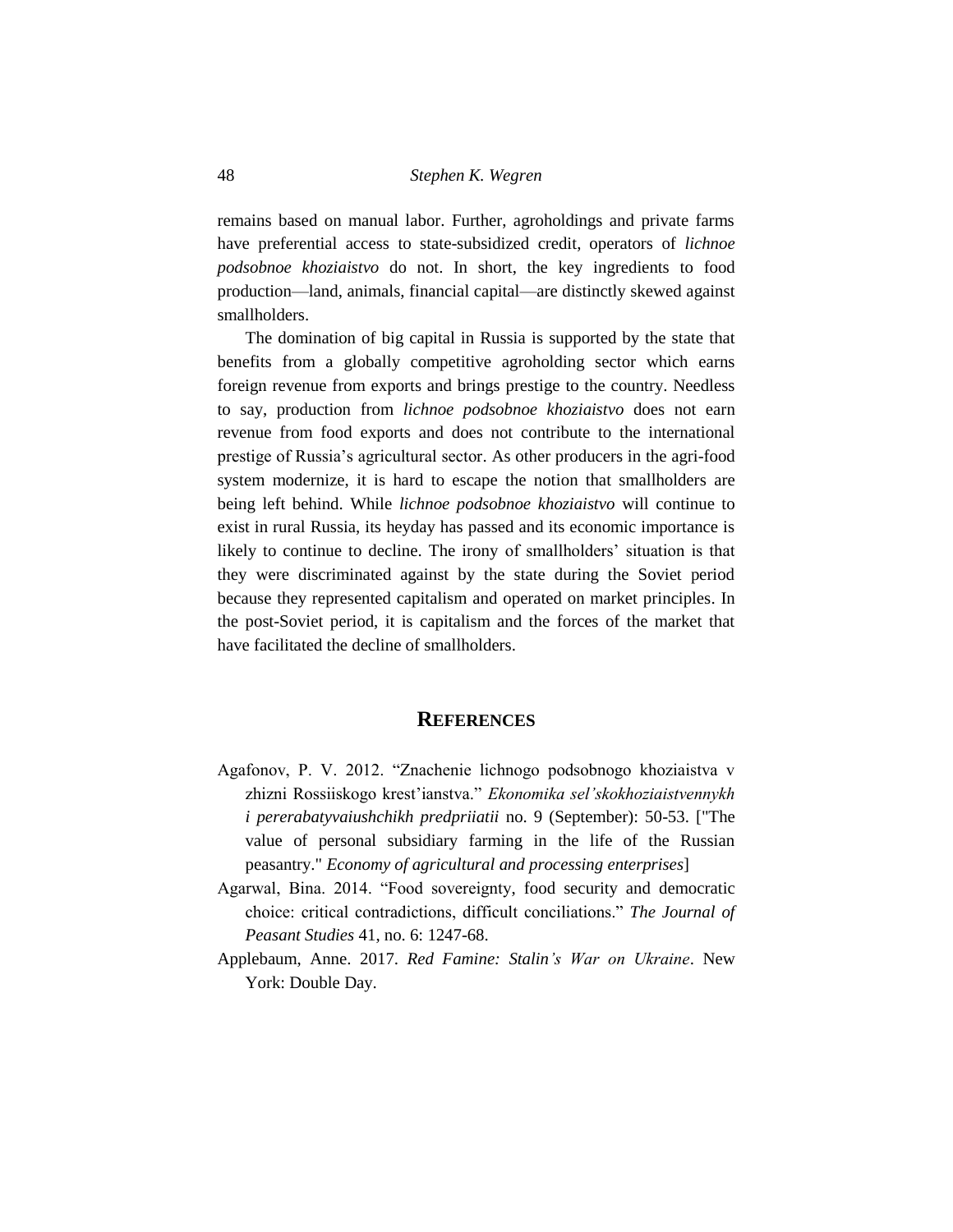remains based on manual labor. Further, agroholdings and private farms have preferential access to state-subsidized credit, operators of *lichnoe podsobnoe khoziaistvo* do not. In short, the key ingredients to food production—land, animals, financial capital—are distinctly skewed against smallholders.

The domination of big capital in Russia is supported by the state that benefits from a globally competitive agroholding sector which earns foreign revenue from exports and brings prestige to the country. Needless to say, production from *lichnoe podsobnoe khoziaistvo* does not earn revenue from food exports and does not contribute to the international prestige of Russia's agricultural sector. As other producers in the agri-food system modernize, it is hard to escape the notion that smallholders are being left behind. While *lichnoe podsobnoe khoziaistvo* will continue to exist in rural Russia, its heyday has passed and its economic importance is likely to continue to decline. The irony of smallholders' situation is that they were discriminated against by the state during the Soviet period because they represented capitalism and operated on market principles. In the post-Soviet period, it is capitalism and the forces of the market that have facilitated the decline of smallholders.

#### **REFERENCES**

- Agafonov, P. V. 2012. "Znachenie lichnogo podsobnogo khoziaistva v zhizni Rossiiskogo krest'ianstva." *Ekonomika sel'skokhoziaistvennykh i pererabatyvaiushchikh predpriiatii* no. 9 (September): 50-53. ["The value of personal subsidiary farming in the life of the Russian peasantry." *Economy of agricultural and processing enterprises*]
- Agarwal, Bina. 2014. "Food sovereignty, food security and democratic choice: critical contradictions, difficult conciliations." *The Journal of Peasant Studies* 41, no. 6: 1247-68.
- Applebaum, Anne. 2017. *Red Famine: Stalin's War on Ukraine*. New York: Double Day.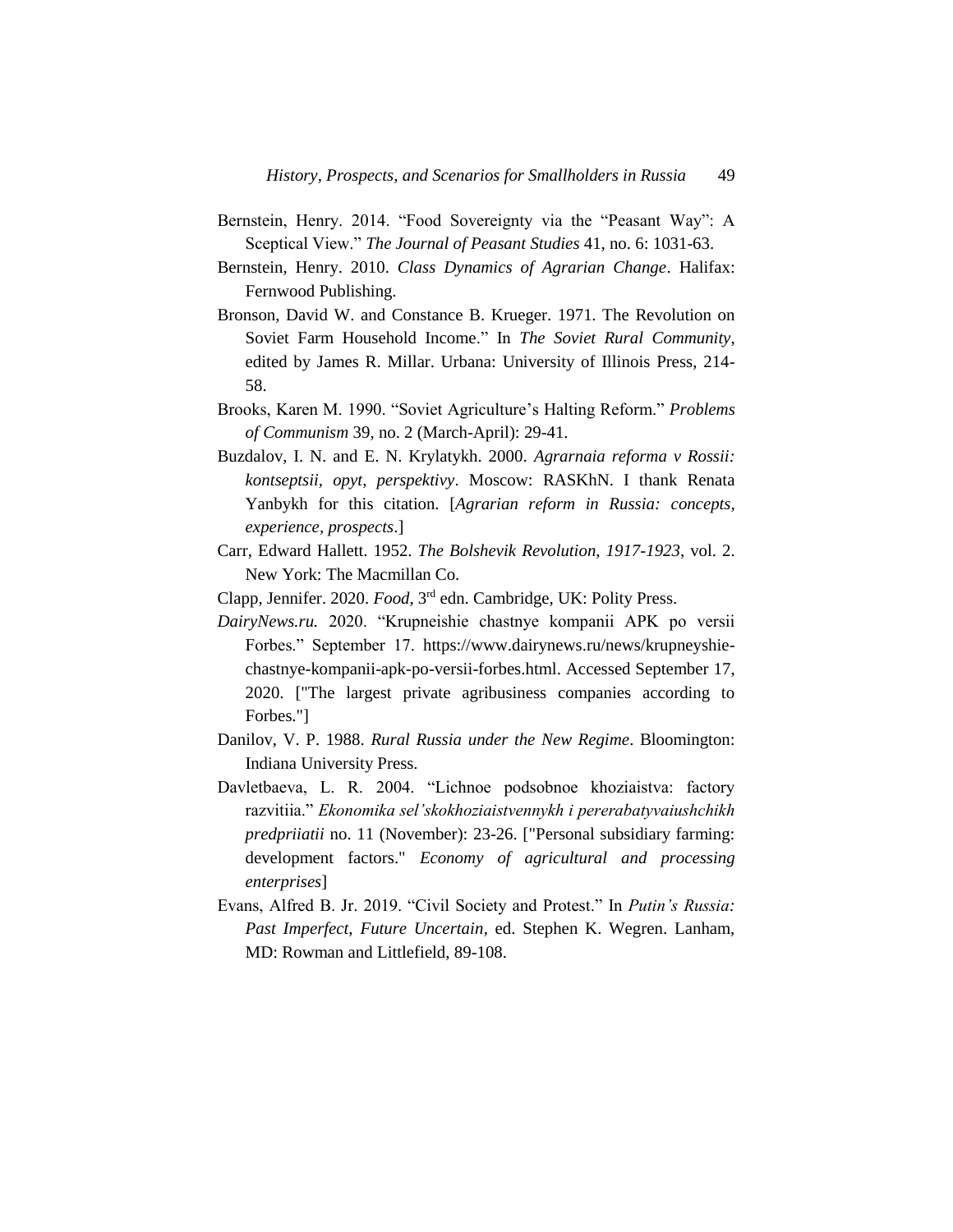- Bernstein, Henry. 2014. "Food Sovereignty via the "Peasant Way": A Sceptical View." *The Journal of Peasant Studies* 41, no. 6: 1031-63.
- Bernstein, Henry. 2010. *Class Dynamics of Agrarian Change*. Halifax: Fernwood Publishing.
- Bronson, David W. and Constance B. Krueger. 1971. The Revolution on Soviet Farm Household Income." In *The Soviet Rural Community*, edited by James R. Millar. Urbana: University of Illinois Press, 214- 58.
- Brooks, Karen M. 1990. "Soviet Agriculture's Halting Reform." *Problems of Communism* 39, no. 2 (March-April): 29-41.
- Buzdalov, I. N. and E. N. Krylatykh. 2000. *Agrarnaia reforma v Rossii: kontseptsii, opyt, perspektivy*. Moscow: RASKhN. I thank Renata Yanbykh for this citation. [*Agrarian reform in Russia: concepts, experience, prospects*.]
- Carr, Edward Hallett. 1952. *The Bolshevik Revolution*, *1917-1923*, vol. 2. New York: The Macmillan Co.
- Clapp, Jennifer. 2020. *Food*, 3rd edn. Cambridge, UK: Polity Press.
- *DairyNews.ru.* 2020. "Krupneishie chastnye kompanii APK po versii Forbes." September 17. [https://www.dairynews.ru/news/krupneyshie](https://www.dairynews.ru/news/krupneyshie-chastnye-kompanii-apk-po-versii-forbes.html)[chastnye-kompanii-apk-po-versii-forbes.html.](https://www.dairynews.ru/news/krupneyshie-chastnye-kompanii-apk-po-versii-forbes.html) Accessed September 17, 2020. ["The largest private agribusiness companies according to Forbes."]
- Danilov, V. P. 1988. *Rural Russia under the New Regime*. Bloomington: Indiana University Press.
- Davletbaeva, L. R. 2004. "Lichnoe podsobnoe khoziaistva: factory razvitiia." *Ekonomika sel'skokhoziaistvennykh i pererabatyvaiushchikh predpriiatii* no. 11 (November): 23-26. ["Personal subsidiary farming: development factors." *Economy of agricultural and processing enterprises*]
- Evans, Alfred B. Jr. 2019. "Civil Society and Protest." In *Putin's Russia: Past Imperfect, Future Uncertain*, ed. Stephen K. Wegren. Lanham, MD: Rowman and Littlefield, 89-108.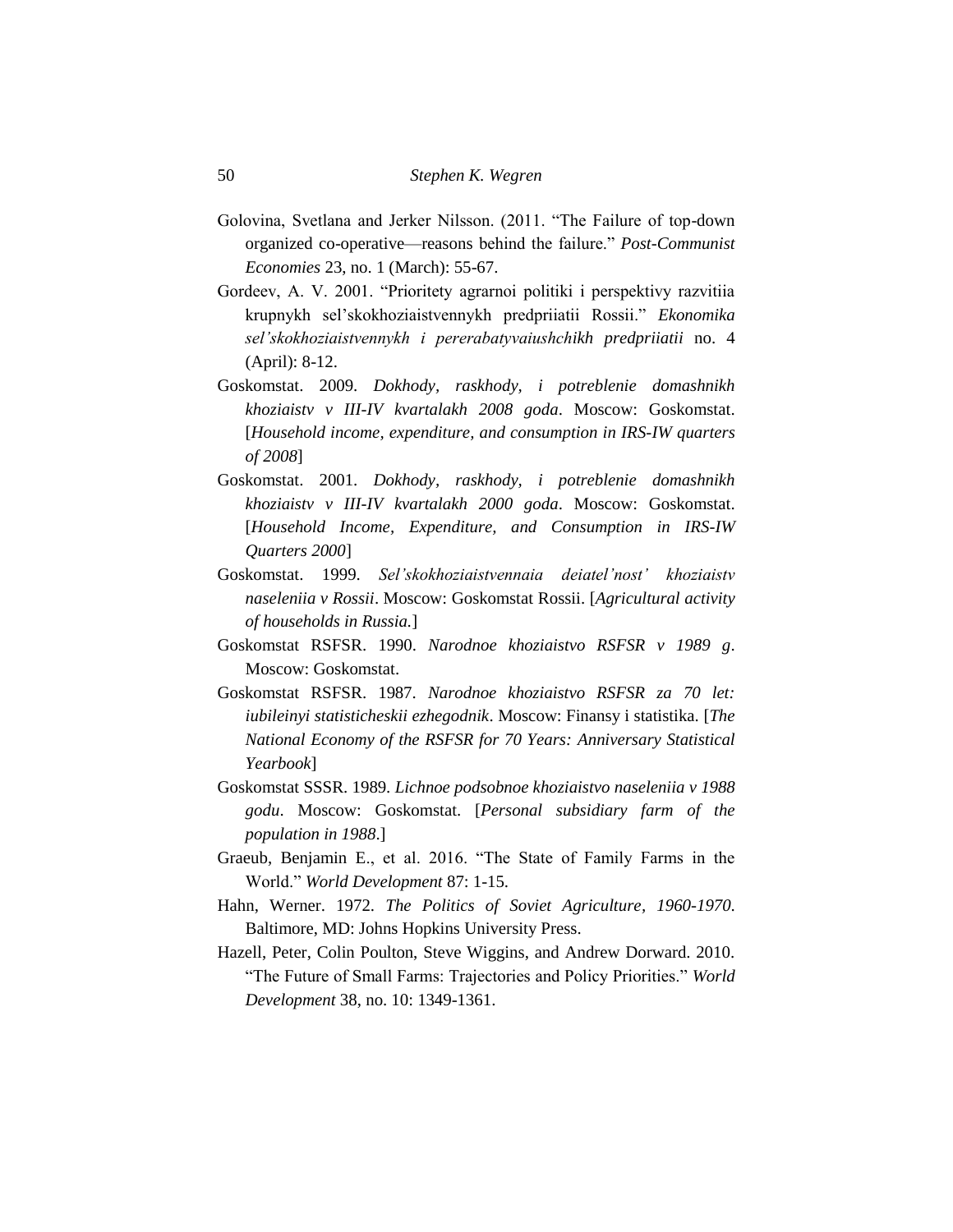- Golovina, Svetlana and Jerker Nilsson. (2011. "The Failure of top-down organized co-operative—reasons behind the failure." *Post-Communist Economies* 23, no. 1 (March): 55-67.
- Gordeev, A. V. 2001. "Prioritety agrarnoi politiki i perspektivy razvitiia krupnykh sel'skokhoziaistvennykh predpriiatii Rossii." *Ekonomika sel'skokhoziaistvennykh i pererabatyvaiushchikh predpriiatii* no. 4 (April): 8-12.
- Goskomstat. 2009. *Dokhody, raskhody, i potreblenie domashnikh khoziaistv v III-IV kvartalakh 2008 goda*. Moscow: Goskomstat. [*Household income, expenditure, and consumption in IRS-IW quarters of 2008*]
- Goskomstat. 2001. *Dokhody, raskhody, i potreblenie domashnikh khoziaistv v III-IV kvartalakh 2000 goda*. Moscow: Goskomstat. [*Household Income, Expenditure, and Consumption in IRS-IW Quarters 2000*]
- Goskomstat. 1999. *Sel'skokhoziaistvennaia deiatel'nost' khoziaistv naseleniia v Rossii*. Moscow: Goskomstat Rossii. [*Agricultural activity of households in Russia.*]
- Goskomstat RSFSR. 1990. *Narodnoe khoziaistvo RSFSR v 1989 g*. Moscow: Goskomstat.
- Goskomstat RSFSR. 1987. *Narodnoe khoziaistvo RSFSR za 70 let: iubileinyi statisticheskii ezhegodnik*. Moscow: Finansy i statistika. [*The National Economy of the RSFSR for 70 Years: Anniversary Statistical Yearbook*]
- Goskomstat SSSR. 1989. *Lichnoe podsobnoe khoziaistvo naseleniia v 1988 godu*. Moscow: Goskomstat. [*Personal subsidiary farm of the population in 1988*.]
- Graeub, Benjamin E., et al. 2016. "The State of Family Farms in the World." *World Development* 87: 1-15.
- Hahn, Werner. 1972. *The Politics of Soviet Agriculture, 1960-1970*. Baltimore, MD: Johns Hopkins University Press.
- Hazell, Peter, Colin Poulton, Steve Wiggins, and Andrew Dorward. 2010. "The Future of Small Farms: Trajectories and Policy Priorities." *World Development* 38, no. 10: 1349-1361.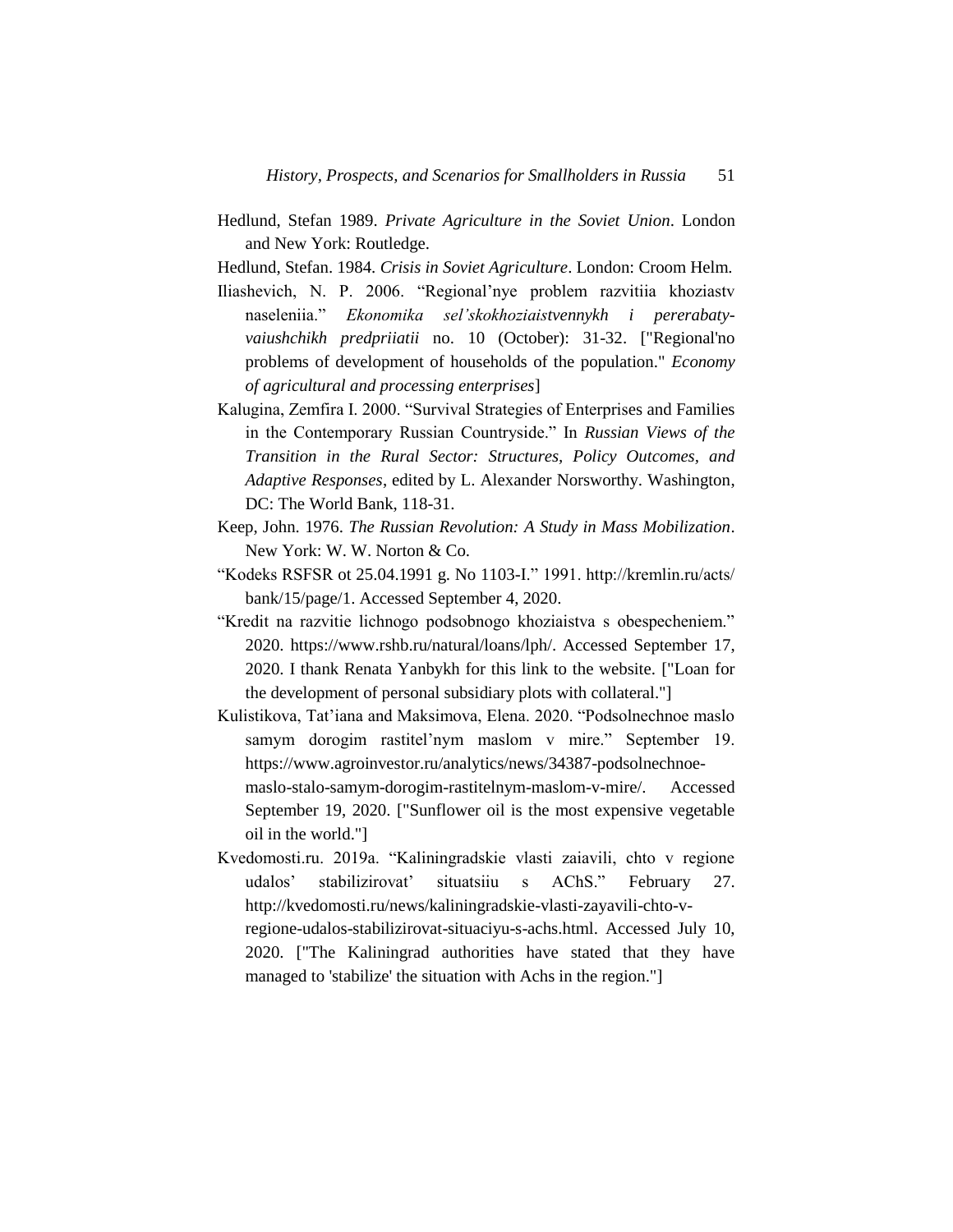- Hedlund, Stefan 1989. *Private Agriculture in the Soviet Union*. London and New York: Routledge.
- Hedlund, Stefan. 1984. *Crisis in Soviet Agriculture*. London: Croom Helm.
- Iliashevich, N. P. 2006. "Regional'nye problem razvitiia khoziastv naseleniia." *Ekonomika sel'skokhoziaistvennykh i pererabatyvaiushchikh predpriiatii* no. 10 (October): 31-32. ["Regional'no problems of development of households of the population." *Economy of agricultural and processing enterprises*]
- Kalugina, Zemfira I. 2000. "Survival Strategies of Enterprises and Families in the Contemporary Russian Countryside." In *Russian Views of the Transition in the Rural Sector: Structures, Policy Outcomes, and Adaptive Responses*, edited by L. Alexander Norsworthy. Washington, DC: The World Bank, 118-31.
- Keep, John. 1976. *The Russian Revolution: A Study in Mass Mobilization*. New York: W. W. Norton & Co.
- "Kodeks RSFSR ot 25.04.1991 g. No 1103-I." 1991. http://kremlin.ru/acts/ bank/15/page/1. Accessed September 4, 2020.
- "Kredit na razvitie lichnogo podsobnogo khoziaistva s obespecheniem." 2020. https://www.rshb.ru/natural/loans/lph/. Accessed September 17, 2020. I thank Renata Yanbykh for this link to the website. ["Loan for the development of personal subsidiary plots with collateral."]
- Kulistikova, Tat'iana and Maksimova, Elena. 2020. "Podsolnechnoe maslo samym dorogim rastitel'nym maslom v mire." September 19. https://www.agroinvestor.ru/analytics/news/34387-podsolnechnoemaslo-stalo-samym-dorogim-rastitelnym-maslom-v-mire/. Accessed September 19, 2020. ["Sunflower oil is the most expensive vegetable oil in the world."]
- Kvedomosti.ru. 2019a. "Kaliningradskie vlasti zaiavili, chto v regione udalos' stabilizirovat' situatsiiu s AChS." February 27. http://kvedomosti.ru/news/kaliningradskie-vlasti-zayavili-chto-vregione-udalos-stabilizirovat-situaciyu-s-achs.html. Accessed July 10, 2020. ["The Kaliningrad authorities have stated that they have managed to 'stabilize' the situation with Achs in the region."]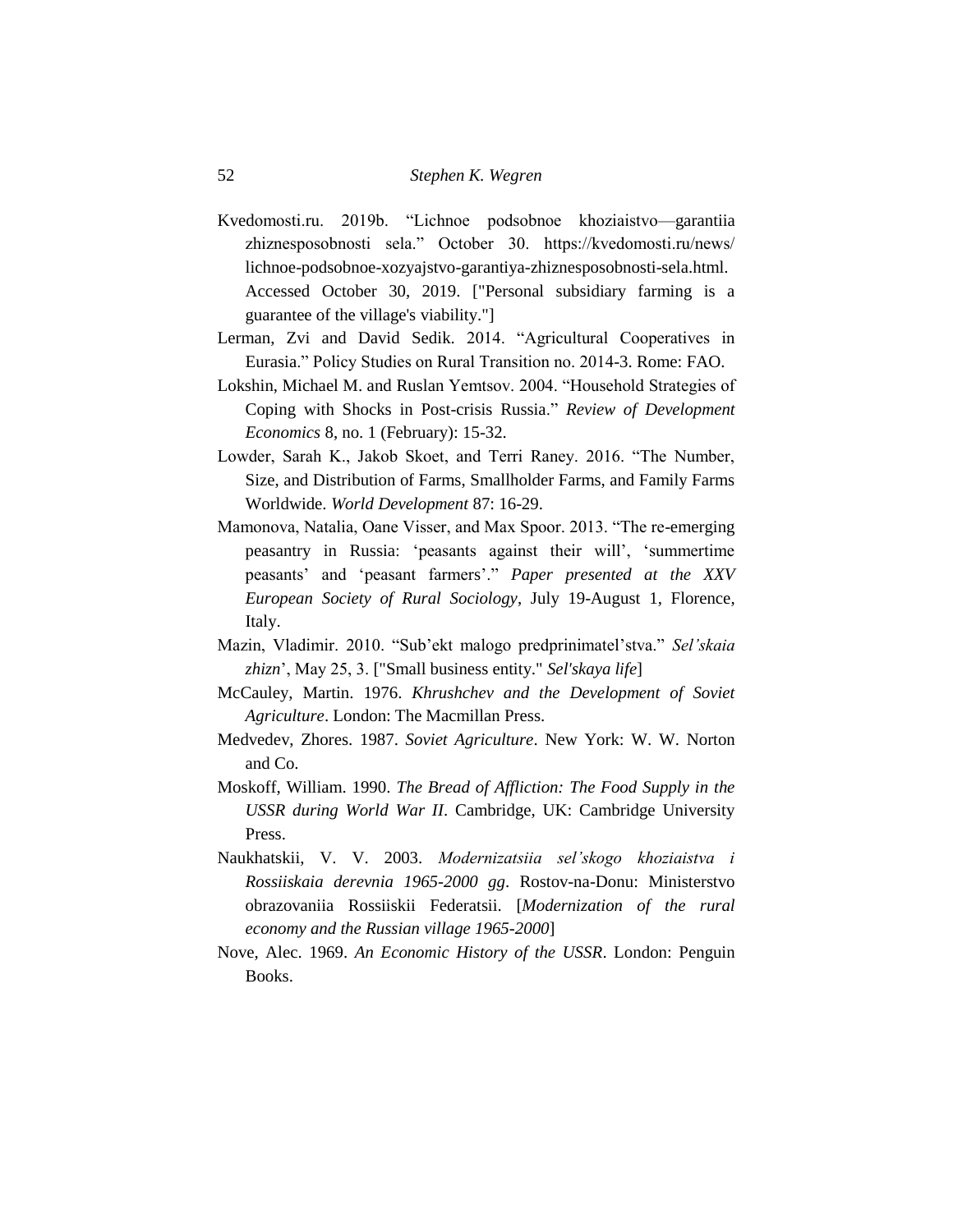- Kvedomosti.ru. 2019b. "Lichnoe podsobnoe khoziaistvo—garantiia zhiznesposobnosti sela." October 30. https://kvedomosti.ru/news/ lichnoe-podsobnoe-xozyajstvo-garantiya-zhiznesposobnosti-sela.html. Accessed October 30, 2019. ["Personal subsidiary farming is a guarantee of the village's viability."]
- Lerman, Zvi and David Sedik. 2014. "Agricultural Cooperatives in Eurasia." Policy Studies on Rural Transition no. 2014-3. Rome: FAO.
- Lokshin, Michael M. and Ruslan Yemtsov. 2004. "Household Strategies of Coping with Shocks in Post-crisis Russia." *Review of Development Economics* 8, no. 1 (February): 15-32.
- Lowder, Sarah K., Jakob Skoet, and Terri Raney. 2016. "The Number, Size, and Distribution of Farms, Smallholder Farms, and Family Farms Worldwide. *World Development* 87: 16-29.
- Mamonova, Natalia, Oane Visser, and Max Spoor. 2013. "The re-emerging peasantry in Russia: 'peasants against their will', 'summertime peasants' and 'peasant farmers'." *Paper presented at the XXV European Society of Rural Sociology*, July 19-August 1, Florence, Italy.
- Mazin, Vladimir. 2010. "Sub'ekt malogo predprinimatel'stva." *Sel'skaia zhizn*', May 25, 3. ["Small business entity." *Sel'skaya life*]
- McCauley, Martin. 1976. *Khrushchev and the Development of Soviet Agriculture*. London: The Macmillan Press.
- Medvedev, Zhores. 1987. *Soviet Agriculture*. New York: W. W. Norton and Co.
- Moskoff, William. 1990. *The Bread of Affliction: The Food Supply in the USSR during World War II*. Cambridge, UK: Cambridge University Press.
- Naukhatskii, V. V. 2003. *Modernizatsiia sel'skogo khoziaistva i Rossiiskaia derevnia 1965-2000 gg*. Rostov-na-Donu: Ministerstvo obrazovaniia Rossiiskii Federatsii. [*Modernization of the rural economy and the Russian village 1965-2000*]
- Nove, Alec. 1969. *An Economic History of the USSR*. London: Penguin Books.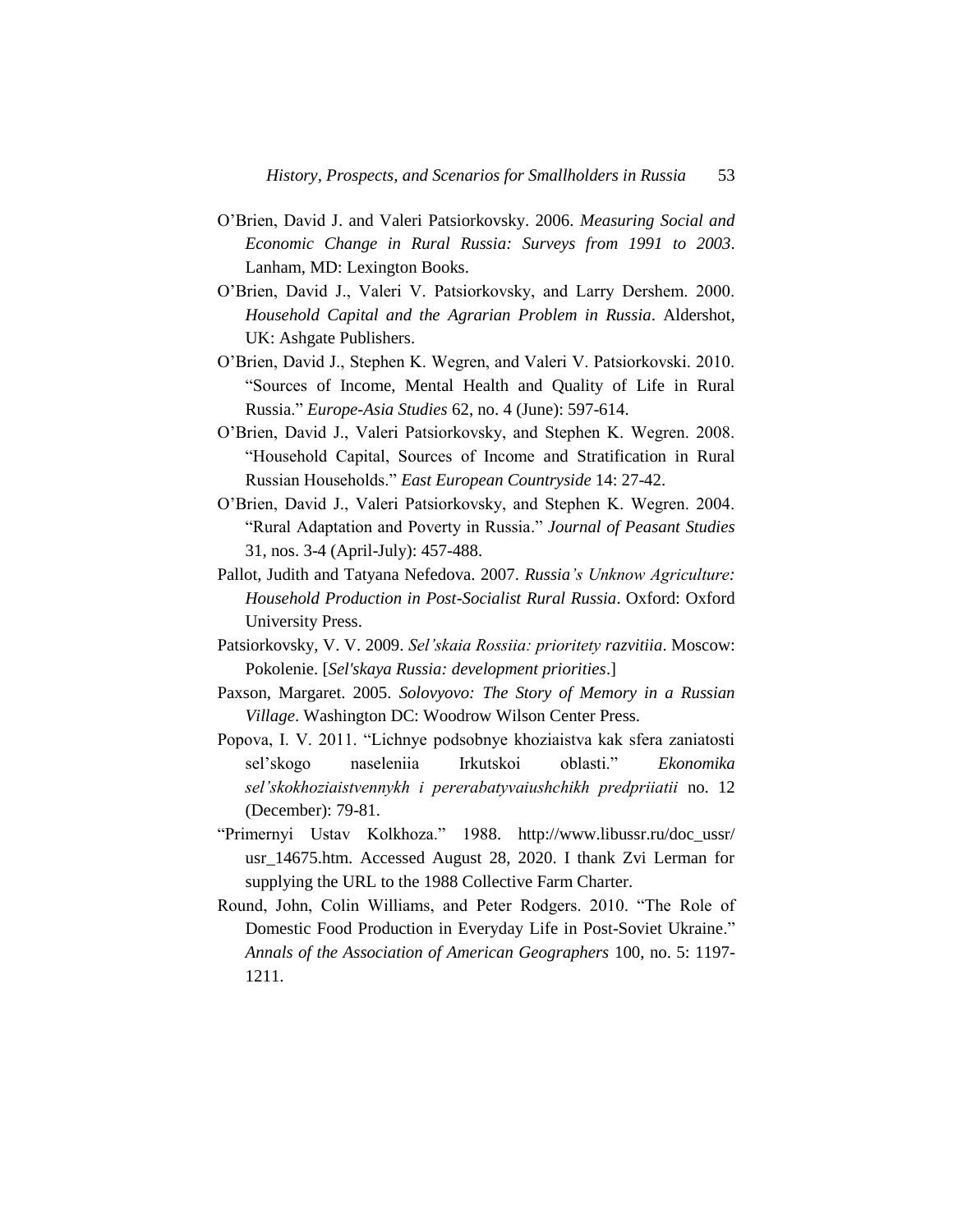- O'Brien, David J. and Valeri Patsiorkovsky. 2006. *Measuring Social and Economic Change in Rural Russia: Surveys from 1991 to 2003*. Lanham, MD: Lexington Books.
- O'Brien, David J., Valeri V. Patsiorkovsky, and Larry Dershem. 2000. *Household Capital and the Agrarian Problem in Russia*. Aldershot, UK: Ashgate Publishers.
- O'Brien, David J., Stephen K. Wegren, and Valeri V. Patsiorkovski. 2010. "Sources of Income, Mental Health and Quality of Life in Rural Russia." *Europe-Asia Studies* 62, no. 4 (June): 597-614.
- O'Brien, David J., Valeri Patsiorkovsky, and Stephen K. Wegren. 2008. "Household Capital, Sources of Income and Stratification in Rural Russian Households." *East European Countryside* 14: 27-42.
- O'Brien, David J., Valeri Patsiorkovsky, and Stephen K. Wegren. 2004. "Rural Adaptation and Poverty in Russia." *Journal of Peasant Studies*  31, nos. 3-4 (April-July): 457-488.
- Pallot, Judith and Tatyana Nefedova. 2007. *Russia's Unknow Agriculture: Household Production in Post-Socialist Rural Russia*. Oxford: Oxford University Press.
- Patsiorkovsky, V. V. 2009. *Sel'skaia Rossiia: prioritety razvitiia*. Moscow: Pokolenie. [*Sel'skaya Russia: development priorities*.]
- Paxson, Margaret. 2005. *Solovyovo: The Story of Memory in a Russian Village*. Washington DC: Woodrow Wilson Center Press.
- Popova, I. V. 2011. "Lichnye podsobnye khoziaistva kak sfera zaniatosti sel'skogo naseleniia Irkutskoi oblasti." *Ekonomika sel'skokhoziaistvennykh i pererabatyvaiushchikh predpriiatii* no. 12 (December): 79-81.
- "Primernyi Ustav Kolkhoza." 1988. http://www.libussr.ru/doc\_ussr/ usr\_14675.htm. Accessed August 28, 2020. I thank Zvi Lerman for supplying the URL to the 1988 Collective Farm Charter.
- Round, John, Colin Williams, and Peter Rodgers. 2010. "The Role of Domestic Food Production in Everyday Life in Post-Soviet Ukraine." *Annals of the Association of American Geographers* 100, no. 5: 1197- 1211.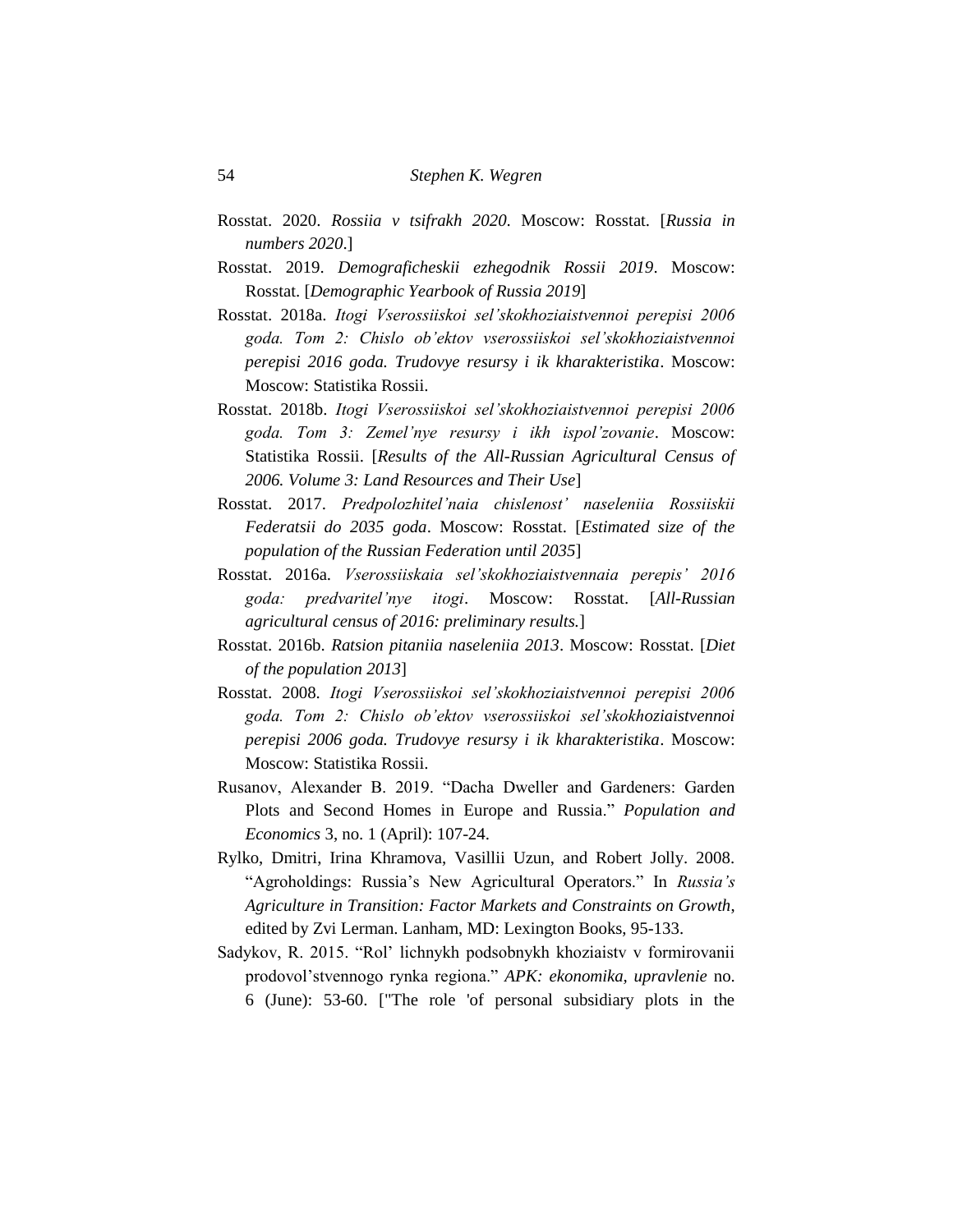- Rosstat. 2020. *Rossiia v tsifrakh 2020*. Moscow: Rosstat. [*Russia in numbers 2020*.]
- Rosstat. 2019. *Demograficheskii ezhegodnik Rossii 2019*. Moscow: Rosstat. [*Demographic Yearbook of Russia 2019*]
- Rosstat. 2018a. *Itogi Vserossiiskoi sel'skokhoziaistvennoi perepisi 2006 goda. Tom 2: Chislo ob'ektov vserossiiskoi sel'skokhoziaistvennoi perepisi 2016 goda. Trudovye resursy i ik kharakteristika*. Moscow: Moscow: Statistika Rossii.
- Rosstat. 2018b. *Itogi Vserossiiskoi sel'skokhoziaistvennoi perepisi 2006 goda. Tom 3: Zemel'nye resursy i ikh ispol'zovanie*. Moscow: Statistika Rossii. [*Results of the All-Russian Agricultural Census of 2006. Volume 3: Land Resources and Their Use*]
- Rosstat. 2017. *Predpolozhitel'naia chislenost' naseleniia Rossiiskii Federatsii do 2035 goda*. Moscow: Rosstat. [*Estimated size of the population of the Russian Federation until 2035*]
- Rosstat. 2016a. *Vserossiiskaia sel'skokhoziaistvennaia perepis' 2016 goda: predvaritel'nye itogi*. Moscow: Rosstat. [*All-Russian agricultural census of 2016: preliminary results.*]
- Rosstat. 2016b. *Ratsion pitaniia naseleniia 2013*. Moscow: Rosstat. [*Diet of the population 2013*]
- Rosstat. 2008. *Itogi Vserossiiskoi sel'skokhoziaistvennoi perepisi 2006 goda. Tom 2: Chislo ob'ektov vserossiiskoi sel'skokhoziaistvennoi perepisi 2006 goda. Trudovye resursy i ik kharakteristika*. Moscow: Moscow: Statistika Rossii.
- Rusanov, Alexander B. 2019. "Dacha Dweller and Gardeners: Garden Plots and Second Homes in Europe and Russia." *Population and Economics* 3, no. 1 (April): 107-24.
- Rylko, Dmitri, Irina Khramova, Vasillii Uzun, and Robert Jolly. 2008. "Agroholdings: Russia's New Agricultural Operators." In *Russia's Agriculture in Transition: Factor Markets and Constraints on Growth*, edited by Zvi Lerman. Lanham, MD: Lexington Books, 95-133.
- Sadykov, R. 2015. "Rol' lichnykh podsobnykh khoziaistv v formirovanii prodovol'stvennogo rynka regiona." *APK: ekonomika, upravlenie* no. 6 (June): 53-60. ["The role 'of personal subsidiary plots in the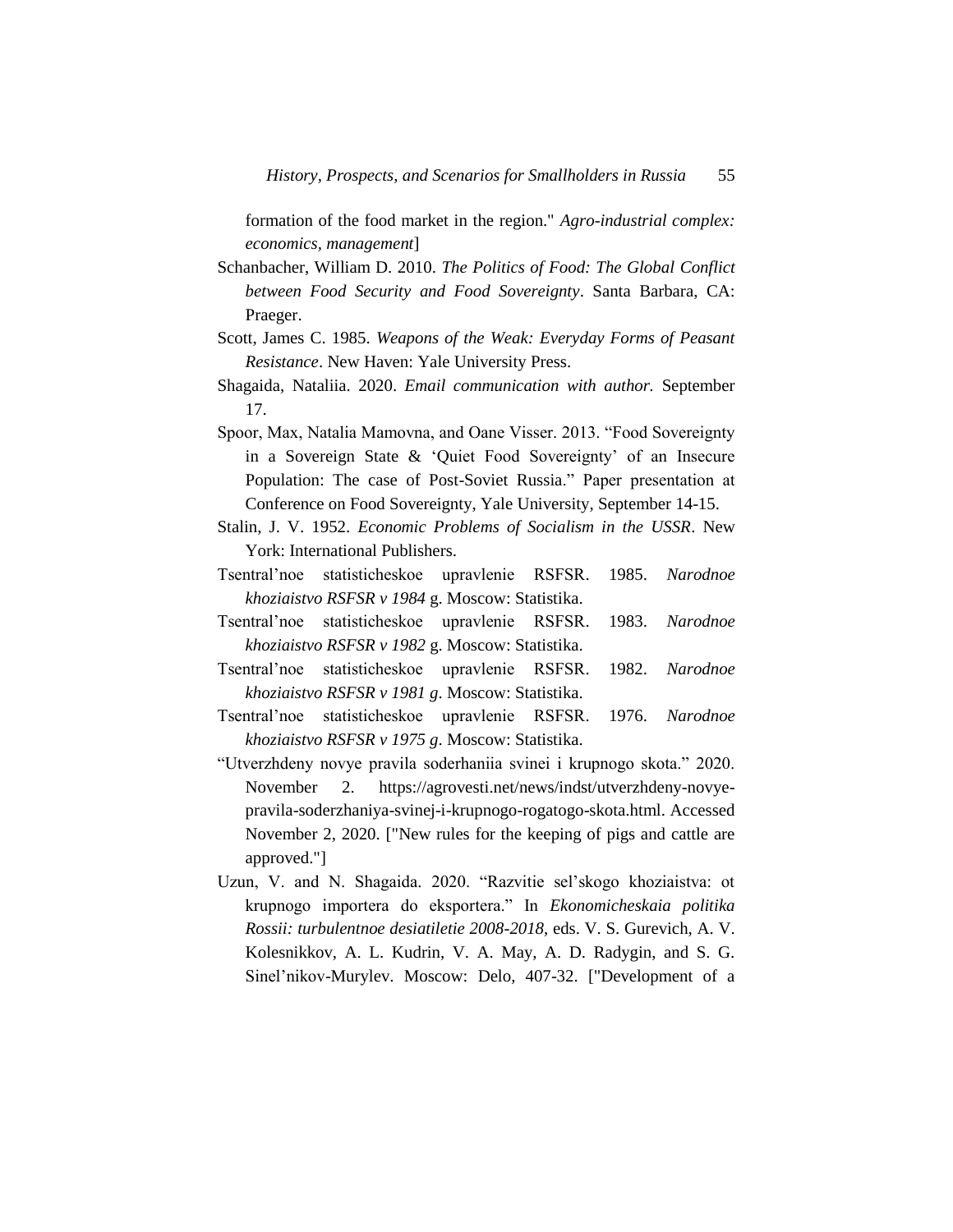formation of the food market in the region." *Agro-industrial complex: economics, management*]

- Schanbacher, William D. 2010. *The Politics of Food: The Global Conflict between Food Security and Food Sovereignty*. Santa Barbara, CA: Praeger.
- Scott, James C. 1985. *Weapons of the Weak: Everyday Forms of Peasant Resistance*. New Haven: Yale University Press.
- Shagaida, Nataliia. 2020. *Email communication with author.* September 17.
- Spoor, Max, Natalia Mamovna, and Oane Visser. 2013. "Food Sovereignty in a Sovereign State & 'Quiet Food Sovereignty' of an Insecure Population: The case of Post-Soviet Russia." Paper presentation at Conference on Food Sovereignty, Yale University, September 14-15.
- Stalin, J. V. 1952. *Economic Problems of Socialism in the USSR*. New York: International Publishers.
- Tsentral'noe statisticheskoe upravlenie RSFSR. 1985. *Narodnoe khoziaistvo RSFSR v 1984* g. Moscow: Statistika.
- Tsentral'noe statisticheskoe upravlenie RSFSR. 1983. *Narodnoe khoziaistvo RSFSR v 1982* g. Moscow: Statistika.
- Tsentral'noe statisticheskoe upravlenie RSFSR. 1982. *Narodnoe khoziaistvo RSFSR v 1981 g*. Moscow: Statistika.
- Tsentral'noe statisticheskoe upravlenie RSFSR. 1976. *Narodnoe khoziaistvo RSFSR v 1975 g*. Moscow: Statistika.
- "Utverzhdeny novye pravila soderhaniia svinei i krupnogo skota." 2020. November 2. https://agrovesti.net/news/indst/utverzhdeny-novyepravila-soderzhaniya-svinej-i-krupnogo-rogatogo-skota.html. Accessed November 2, 2020. ["New rules for the keeping of pigs and cattle are approved."]
- Uzun, V. and N. Shagaida. 2020. "Razvitie sel'skogo khoziaistva: ot krupnogo importera do eksportera." In *Ekonomicheskaia politika Rossii: turbulentnoe desiatiletie 2008-2018*, eds. V. S. Gurevich, A. V. Kolesnikkov, A. L. Kudrin, V. A. May, A. D. Radygin, and S. G. Sinel'nikov-Murylev. Moscow: Delo, 407-32. ["Development of a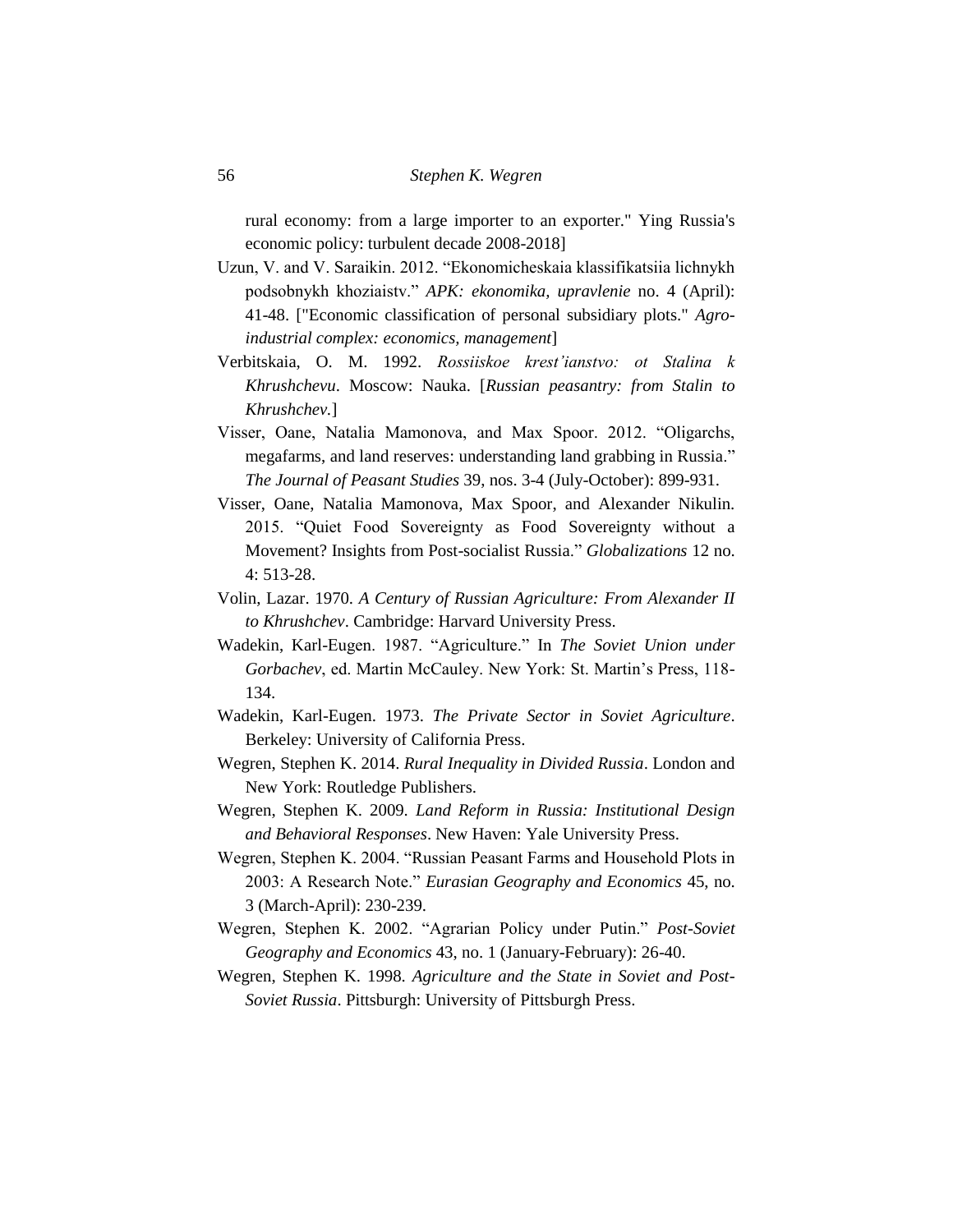rural economy: from a large importer to an exporter." Ying Russia's economic policy: turbulent decade 2008-2018]

- Uzun, V. and V. Saraikin. 2012. "Ekonomicheskaia klassifikatsiia lichnykh podsobnykh khoziaistv." *APK: ekonomika, upravlenie* no. 4 (April): 41-48. ["Economic classification of personal subsidiary plots." *Agroindustrial complex: economics, management*]
- Verbitskaia, O. M. 1992. *Rossiiskoe krest'ianstvo: ot Stalina k Khrushchevu*. Moscow: Nauka. [*Russian peasantry: from Stalin to Khrushchev.*]
- Visser, Oane, Natalia Mamonova, and Max Spoor. 2012. "Oligarchs, megafarms, and land reserves: understanding land grabbing in Russia." *The Journal of Peasant Studies* 39, nos. 3-4 (July-October): 899-931.
- Visser, Oane, Natalia Mamonova, Max Spoor, and Alexander Nikulin. 2015. "Quiet Food Sovereignty as Food Sovereignty without a Movement? Insights from Post-socialist Russia." *Globalizations* 12 no. 4: 513-28.
- Volin, Lazar. 1970. *A Century of Russian Agriculture: From Alexander II to Khrushchev*. Cambridge: Harvard University Press.
- Wadekin, Karl-Eugen. 1987. "Agriculture." In *The Soviet Union under Gorbachev*, ed. Martin McCauley. New York: St. Martin's Press, 118- 134.
- Wadekin, Karl-Eugen. 1973. *The Private Sector in Soviet Agriculture*. Berkeley: University of California Press.
- Wegren, Stephen K. 2014. *Rural Inequality in Divided Russia*. London and New York: Routledge Publishers.
- Wegren, Stephen K. 2009. *Land Reform in Russia: Institutional Design and Behavioral Responses*. New Haven: Yale University Press.
- Wegren, Stephen K. 2004. "Russian Peasant Farms and Household Plots in 2003: A Research Note." *Eurasian Geography and Economics* 45, no. 3 (March-April): 230-239.
- Wegren, Stephen K. 2002. "Agrarian Policy under Putin." *Post-Soviet Geography and Economics* 43, no. 1 (January-February): 26-40.
- Wegren, Stephen K. 1998. *Agriculture and the State in Soviet and Post-Soviet Russia*. Pittsburgh: University of Pittsburgh Press.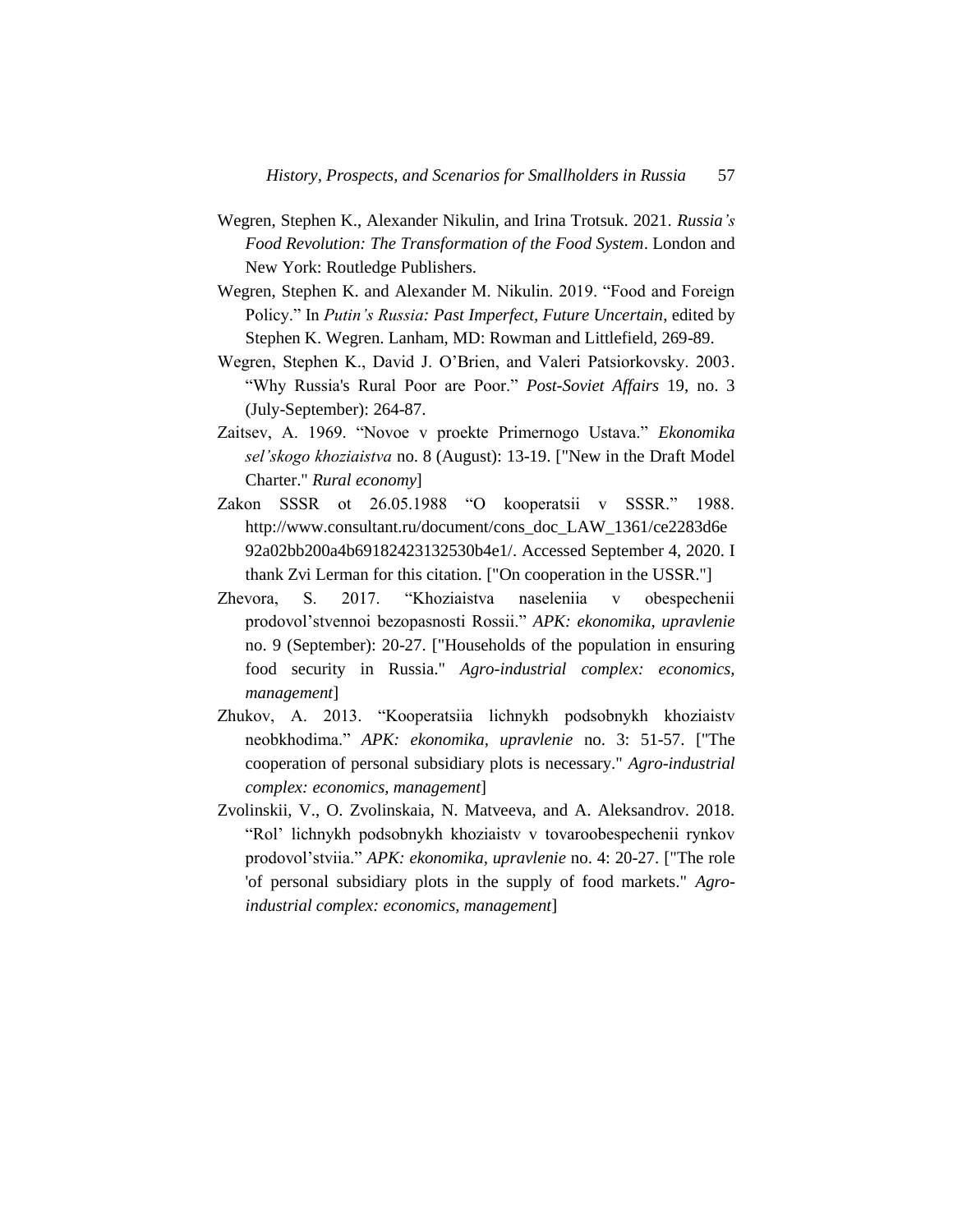- Wegren, Stephen K., Alexander Nikulin, and Irina Trotsuk. 2021. *Russia's Food Revolution: The Transformation of the Food System*. London and New York: Routledge Publishers.
- Wegren, Stephen K. and Alexander M. Nikulin. 2019. "Food and Foreign Policy." In *Putin's Russia: Past Imperfect, Future Uncertain*, edited by Stephen K. Wegren. Lanham, MD: Rowman and Littlefield, 269-89.
- Wegren, Stephen K., David J. O'Brien, and Valeri Patsiorkovsky. 2003. "Why Russia's Rural Poor are Poor." *Post-Soviet Affairs* 19, no. 3 (July-September): 264-87.
- Zaitsev, A. 1969. "Novoe v proekte Primernogo Ustava." *Ekonomika sel'skogo khoziaistva* no. 8 (August): 13-19. ["New in the Draft Model Charter." *Rural economy*]
- Zakon SSSR ot 26.05.1988 "O kooperatsii v SSSR." 1988. http://www.consultant.ru/document/cons\_doc\_LAW\_1361/ce2283d6e 92a02bb200a4b69182423132530b4e1/. Accessed September 4, 2020. I thank Zvi Lerman for this citation. ["On cooperation in the USSR."]
- Zhevora, S. 2017. "Khoziaistva naseleniia v obespechenii prodovol'stvennoi bezopasnosti Rossii." *APK: ekonomika, upravlenie* no. 9 (September): 20-27. ["Households of the population in ensuring food security in Russia." *Agro-industrial complex: economics, management*]
- Zhukov, A. 2013. "Kooperatsiia lichnykh podsobnykh khoziaistv neobkhodima." *APK: ekonomika, upravlenie* no. 3: 51-57. ["The cooperation of personal subsidiary plots is necessary." *Agro-industrial complex: economics, management*]
- Zvolinskii, V., O. Zvolinskaia, N. Matveeva, and A. Aleksandrov. 2018. "Rol' lichnykh podsobnykh khoziaistv v tovaroobespechenii rynkov prodovol'stviia." *APK: ekonomika, upravlenie* no. 4: 20-27. ["The role 'of personal subsidiary plots in the supply of food markets." *Agroindustrial complex: economics, management*]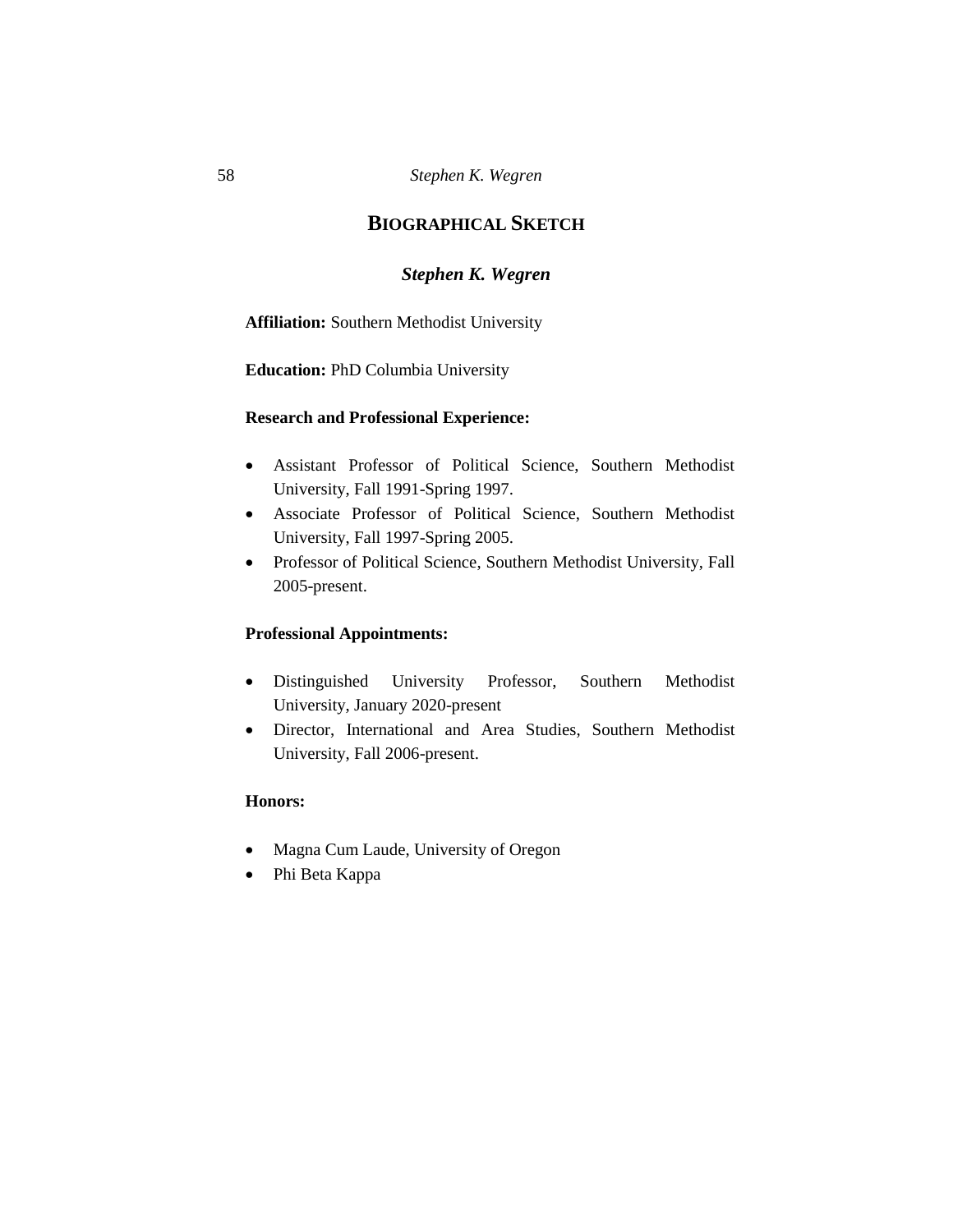# **BIOGRAPHICAL SKETCH**

# *Stephen K. Wegren*

**Affiliation:** Southern Methodist University

**Education:** PhD Columbia University

## **Research and Professional Experience:**

- Assistant Professor of Political Science, Southern Methodist University, Fall 1991-Spring 1997.
- Associate Professor of Political Science, Southern Methodist University, Fall 1997-Spring 2005.
- Professor of Political Science, Southern Methodist University, Fall 2005-present.

## **Professional Appointments:**

- Distinguished University Professor, Southern Methodist University, January 2020-present
- Director, International and Area Studies, Southern Methodist University, Fall 2006-present.

#### **Honors:**

- Magna Cum Laude, University of Oregon
- Phi Beta Kappa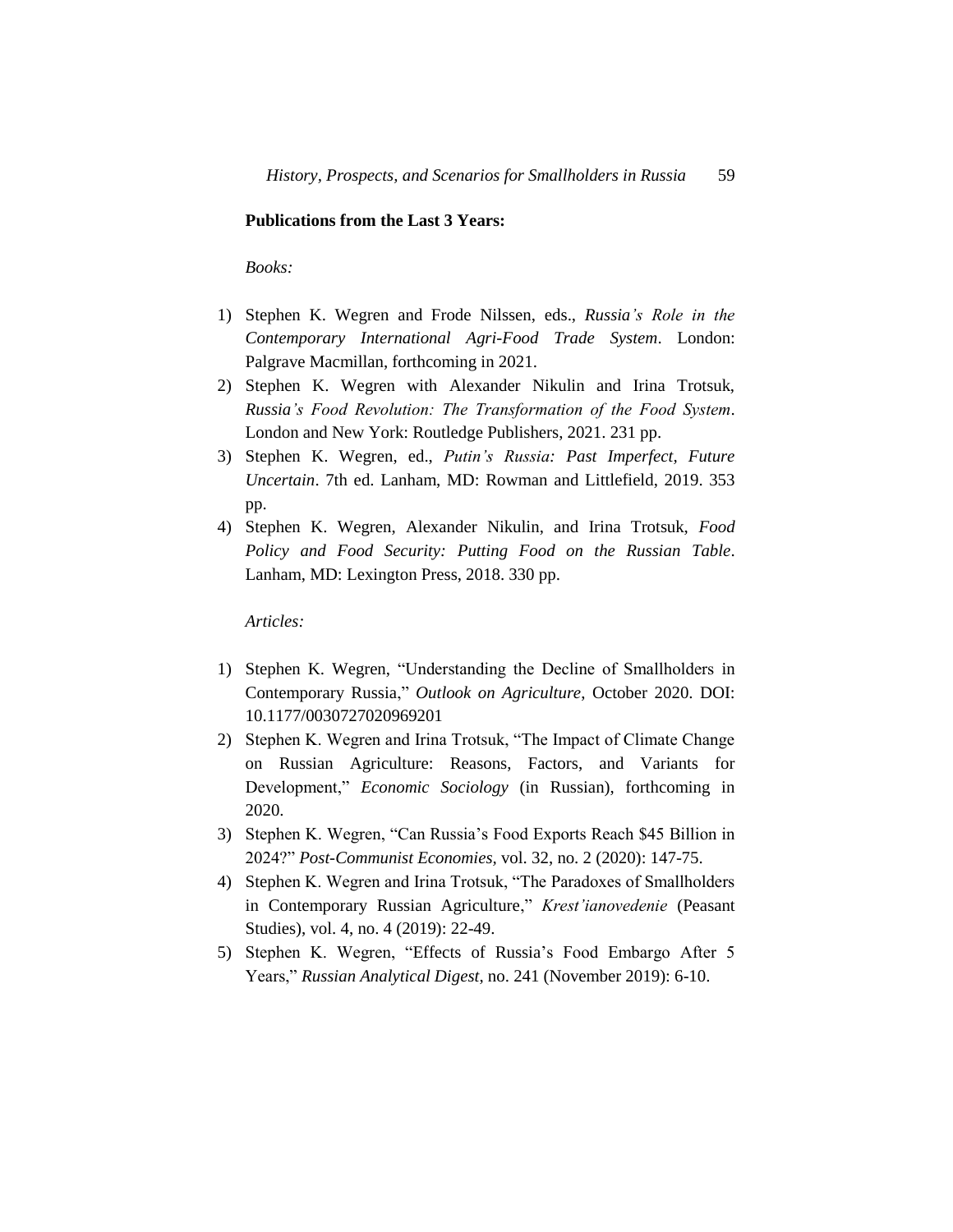#### **Publications from the Last 3 Years:**

*Books:*

- 1) Stephen K. Wegren and Frode Nilssen, eds., *Russia's Role in the Contemporary International Agri-Food Trade System*. London: Palgrave Macmillan, forthcoming in 2021.
- 2) Stephen K. Wegren with Alexander Nikulin and Irina Trotsuk, *Russia's Food Revolution: The Transformation of the Food System*. London and New York: Routledge Publishers, 2021. 231 pp.
- 3) Stephen K. Wegren, ed., *Putin's Russia: Past Imperfect, Future Uncertain*. 7th ed. Lanham, MD: Rowman and Littlefield, 2019. 353 pp.
- 4) Stephen K. Wegren, Alexander Nikulin, and Irina Trotsuk, *Food Policy and Food Security: Putting Food on the Russian Table*. Lanham, MD: Lexington Press, 2018. 330 pp.

*Articles:* 

- 1) Stephen K. Wegren, "Understanding the Decline of Smallholders in Contemporary Russia," *Outlook on Agriculture*, October 2020. DOI: 10.1177/0030727020969201
- 2) Stephen K. Wegren and Irina Trotsuk, "The Impact of Climate Change on Russian Agriculture: Reasons, Factors, and Variants for Development," *Economic Sociology* (in Russian), forthcoming in 2020.
- 3) Stephen K. Wegren, "Can Russia's Food Exports Reach \$45 Billion in 2024?" *Post-Communist Economies,* vol. 32, no. 2 (2020): 147-75.
- 4) Stephen K. Wegren and Irina Trotsuk, "The Paradoxes of Smallholders in Contemporary Russian Agriculture," *Krest'ianovedenie* (Peasant Studies), vol. 4, no. 4 (2019): 22-49.
- 5) Stephen K. Wegren, "Effects of Russia's Food Embargo After 5 Years," *Russian Analytical Digest*, no. 241 (November 2019): 6-10.